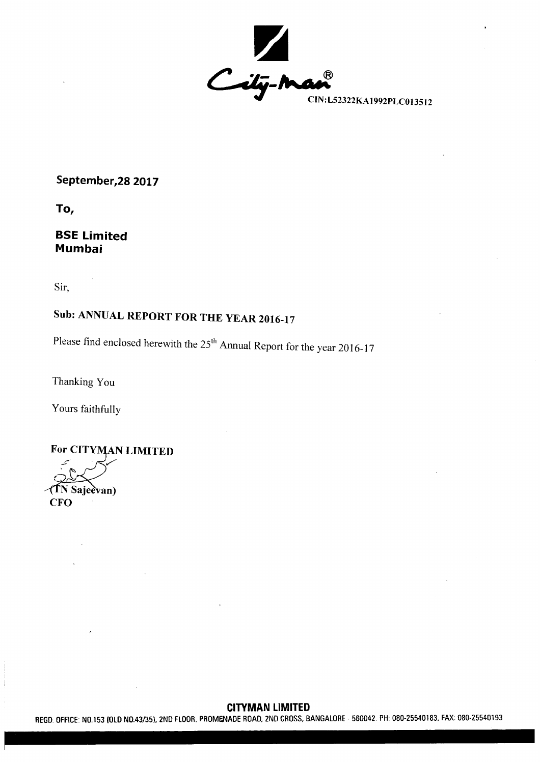

September, 28 2017

To,

**BSE Limited Mumbai** 

Sir,

# Sub: ANNUAL REPORT FOR THE YEAR 2016-17

Please find enclosed herewith the 25<sup>th</sup> Annual Report for the year 2016-17

Thanking You

Yours faithfully

For CITYMAN LIMITED **TN Sajeevan**) **CFO** 

# **CITYMAN LIMITED**

REGD. OFFICE: NO.153 (OLD NO.43/35), 2ND FLOOR, PROMENADE ROAD, 2ND CROSS, BANGALORE - 560042. PH: 080-25540183, FAX: 080-25540193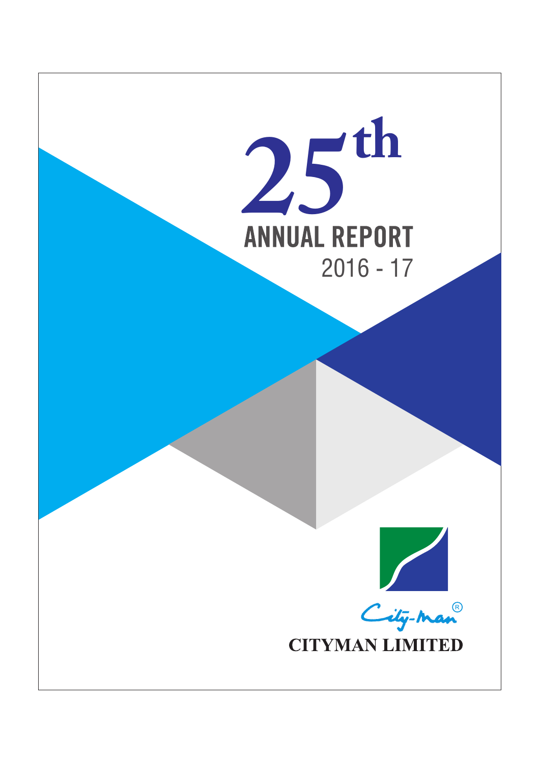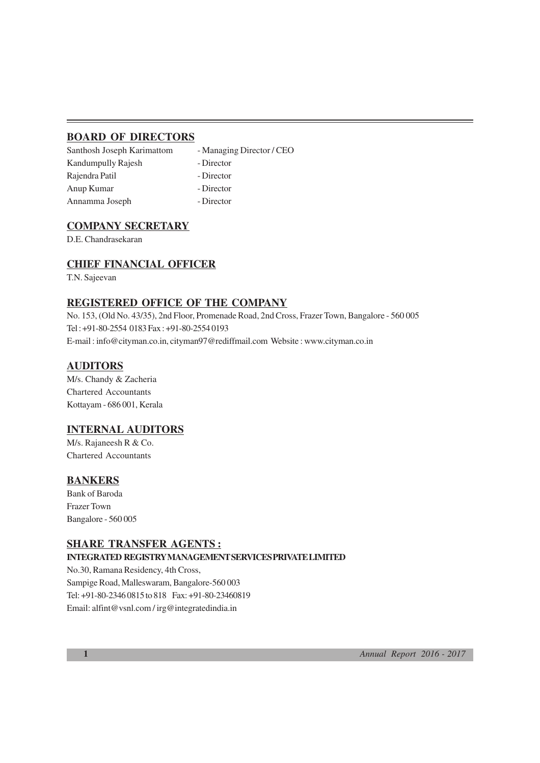# **BOARD OF DIRECTORS**

| Santhosh Joseph Karimattom | - Managing Director / CEO |
|----------------------------|---------------------------|
| Kandumpully Rajesh         | - Director                |
| Rajendra Patil             | - Director                |
| Anup Kumar                 | - Director                |
| Annamma Joseph             | - Director                |

# **COMPANY SECRETARY**

D.E. Chandrasekaran

# **CHIEF FINANCIAL OFFICER**

T.N. Sajeevan

# **REGISTERED OFFICE OF THE COMPANY**

No. 153, (Old No. 43/35), 2nd Floor, Promenade Road, 2nd Cross, Frazer Town, Bangalore - 560 005 Tel : +91-80-2554 0183 Fax : +91-80-2554 0193 E-mail : info@cityman.co.in, cityman97@rediffmail.com Website : www.cityman.co.in

# **AUDITORS**

M/s. Chandy & Zacheria Chartered Accountants Kottayam - 686 001, Kerala

# **INTERNAL AUDITORS**

M/s. Rajaneesh R & Co. Chartered Accountants

# **BANKERS**

Bank of Baroda Frazer Town Bangalore - 560 005

# **SHARE TRANSFER AGENTS :**

# **INTEGRATED REGISTRY MANAGEMENT SERVICES PRIVATE LIMITED**

No.30, Ramana Residency, 4th Cross, Sampige Road, Malleswaram, Bangalore-560 003 Tel: +91-80-2346 0815 to 818 Fax: +91-80-23460819 Email: alfint@vsnl.com / irg@integratedindia.in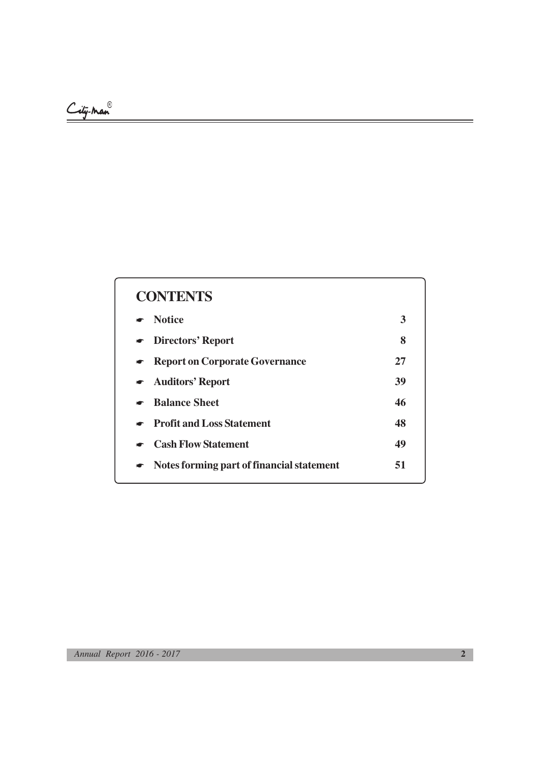| <b>CONTENTS</b>                                     |    |
|-----------------------------------------------------|----|
| $\bullet$ Notice                                    | 3  |
| • Directors' Report                                 | 8  |
| • Report on Corporate Governance                    | 27 |
| Auditors' Report                                    | 39 |
| $\bullet$ Balance Sheet                             | 46 |
| $\bullet$ Profit and Loss Statement                 | 48 |
| $\bullet$ Cash Flow Statement                       | 49 |
| $\bullet$ Notes forming part of financial statement | 51 |
|                                                     |    |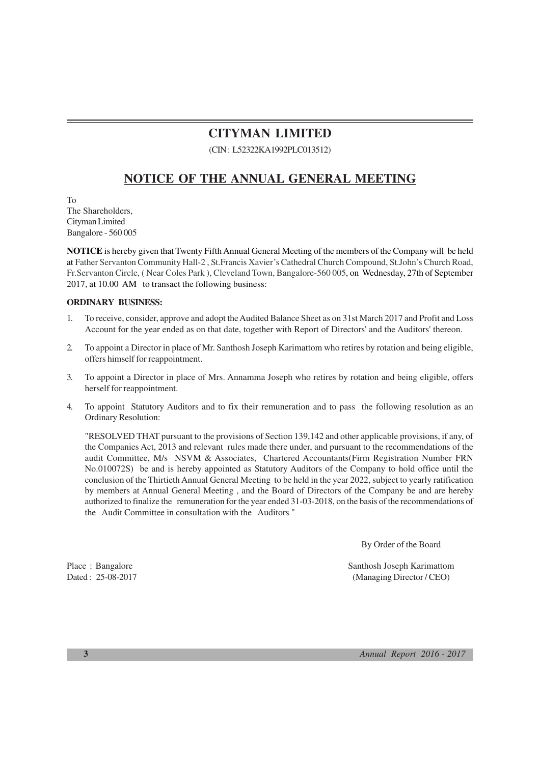# **CITYMAN LIMITED**

(CIN : L52322KA1992PLC013512)

# **NOTICE OF THE ANNUAL GENERAL MEETING**

To The Shareholders, Cityman Limited Bangalore - 560 005

**NOTICE** is hereby given that Twenty Fifth Annual General Meeting of the members of the Company will be held at Father Servanton Community Hall-2 , St.Francis Xavier's Cathedral Church Compound, St.John's Church Road, Fr.Servanton Circle, ( Near Coles Park ), Cleveland Town, Bangalore-560 005, on Wednesday, 27th of September 2017, at 10.00 AM to transact the following business:

# **ORDINARY BUSINESS:**

- 1. To receive, consider, approve and adopt the Audited Balance Sheet as on 31st March 2017 and Profit and Loss Account for the year ended as on that date, together with Report of Directors' and the Auditors' thereon.
- 2. To appoint a Director in place of Mr. Santhosh Joseph Karimattom who retires by rotation and being eligible, offers himself for reappointment.
- 3. To appoint a Director in place of Mrs. Annamma Joseph who retires by rotation and being eligible, offers herself for reappointment.
- 4. To appoint Statutory Auditors and to fix their remuneration and to pass the following resolution as an Ordinary Resolution:

"RESOLVED THAT pursuant to the provisions of Section 139,142 and other applicable provisions, if any, of the Companies Act, 2013 and relevant rules made there under, and pursuant to the recommendations of the audit Committee, M/s NSVM & Associates, Chartered Accountants(Firm Registration Number FRN No.010072S) be and is hereby appointed as Statutory Auditors of the Company to hold office until the conclusion of the Thirtieth Annual General Meeting to be held in the year 2022, subject to yearly ratification by members at Annual General Meeting , and the Board of Directors of the Company be and are hereby authorized to finalize the remuneration for the year ended 31-03-2018, on the basis of the recommendations of the Audit Committee in consultation with the Auditors "

By Order of the Board

Place : Bangalore Santhosh Joseph Karimattom Dated : 25-08-2017 (Managing Director / CEO)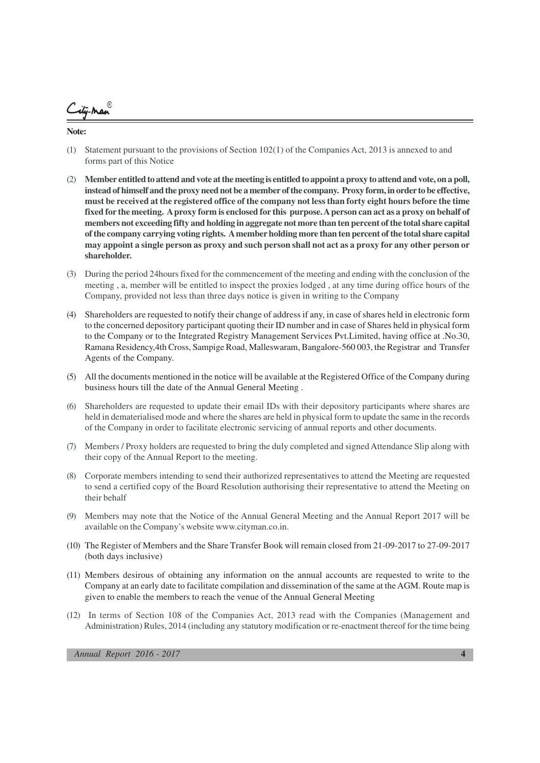ity-Mao

**Note:**

- (1) Statement pursuant to the provisions of Section 102(1) of the Companies Act, 2013 is annexed to and forms part of this Notice
- (2) **Member entitled to attend and vote at the meeting is entitled to appoint a proxy to attend and vote, on a poll, instead of himself and the proxy need not be a member of the company. Proxy form, in order to be effective, must be received at the registered office of the company not less than forty eight hours before the time fixed for the meeting. A proxy form is enclosed for this purpose. A person can act as a proxy on behalf of members not exceeding fifty and holding in aggregate not more than ten percent of the total share capital of the company carrying voting rights. A member holding more than ten percent of the total share capital may appoint a single person as proxy and such person shall not act as a proxy for any other person or shareholder.**
- (3) During the period 24hours fixed for the commencement of the meeting and ending with the conclusion of the meeting , a, member will be entitled to inspect the proxies lodged , at any time during office hours of the Company, provided not less than three days notice is given in writing to the Company
- (4) Shareholders are requested to notify their change of address if any, in case of shares held in electronic form to the concerned depository participant quoting their ID number and in case of Shares held in physical form to the Company or to the Integrated Registry Management Services Pvt.Limited, having office at .No.30, Ramana Residency,4th Cross, Sampige Road, Malleswaram, Bangalore-560 003, the Registrar and Transfer Agents of the Company.
- (5) All the documents mentioned in the notice will be available at the Registered Office of the Company during business hours till the date of the Annual General Meeting .
- (6) Shareholders are requested to update their email IDs with their depository participants where shares are held in dematerialised mode and where the shares are held in physical form to update the same in the records of the Company in order to facilitate electronic servicing of annual reports and other documents.
- (7) Members / Proxy holders are requested to bring the duly completed and signed Attendance Slip along with their copy of the Annual Report to the meeting.
- (8) Corporate members intending to send their authorized representatives to attend the Meeting are requested to send a certified copy of the Board Resolution authorising their representative to attend the Meeting on their behalf
- (9) Members may note that the Notice of the Annual General Meeting and the Annual Report 2017 will be available on the Company's website www.cityman.co.in.
- (10) The Register of Members and the Share Transfer Book will remain closed from 21-09-2017 to 27-09-2017 (both days inclusive)
- (11) Members desirous of obtaining any information on the annual accounts are requested to write to the Company at an early date to facilitate compilation and dissemination of the same at the AGM. Route map is given to enable the members to reach the venue of the Annual General Meeting
- (12) In terms of Section 108 of the Companies Act, 2013 read with the Companies (Management and Administration) Rules, 2014 (including any statutory modification or re-enactment thereof for the time being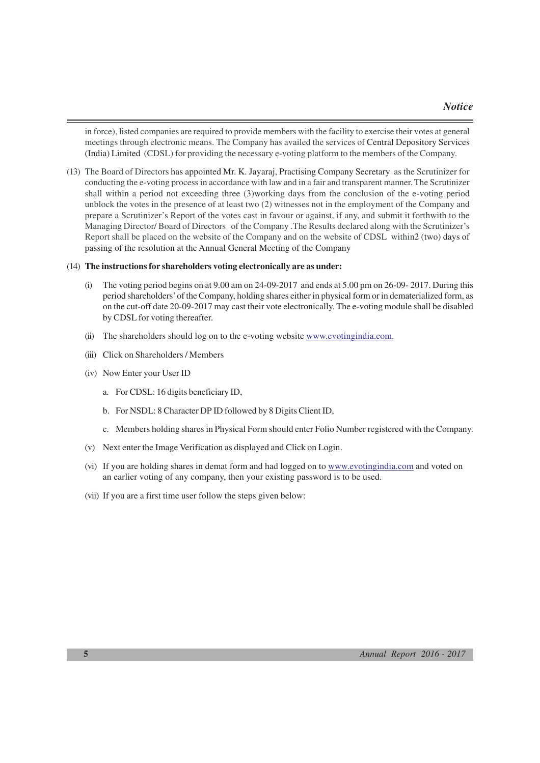in force), listed companies are required to provide members with the facility to exercise their votes at general meetings through electronic means. The Company has availed the services of Central Depository Services (India) Limited (CDSL) for providing the necessary e-voting platform to the members of the Company.

(13) The Board of Directors has appointed Mr. K. Jayaraj, Practising Company Secretary as the Scrutinizer for conducting the e-voting process in accordance with law and in a fair and transparent manner. The Scrutinizer shall within a period not exceeding three (3)working days from the conclusion of the e-voting period unblock the votes in the presence of at least two (2) witnesses not in the employment of the Company and prepare a Scrutinizer's Report of the votes cast in favour or against, if any, and submit it forthwith to the Managing Director/ Board of Directors of the Company .The Results declared along with the Scrutinizer's Report shall be placed on the website of the Company and on the website of CDSL within2 (two) days of passing of the resolution at the Annual General Meeting of the Company

#### (14) **The instructions for shareholders voting electronically are as under:**

- (i) The voting period begins on at 9.00 am on 24-09-2017 and ends at 5.00 pm on 26-09- 2017. During this period shareholders' of the Company, holding shares either in physical form or in dematerialized form, as on the cut-off date 20-09-2017 may cast their vote electronically. The e-voting module shall be disabled by CDSL for voting thereafter.
- (ii) The shareholders should log on to the e-voting website www.evotingindia.com.
- (iii) Click on Shareholders / Members
- (iv) Now Enter your User ID
	- a. For CDSL: 16 digits beneficiary ID,
	- b. For NSDL: 8 Character DP ID followed by 8 Digits Client ID,
	- c. Members holding shares in Physical Form should enter Folio Number registered with the Company.
- (v) Next enter the Image Verification as displayed and Click on Login.
- (vi) If you are holding shares in demat form and had logged on to www.evotingindia.com and voted on an earlier voting of any company, then your existing password is to be used.
- (vii) If you are a first time user follow the steps given below: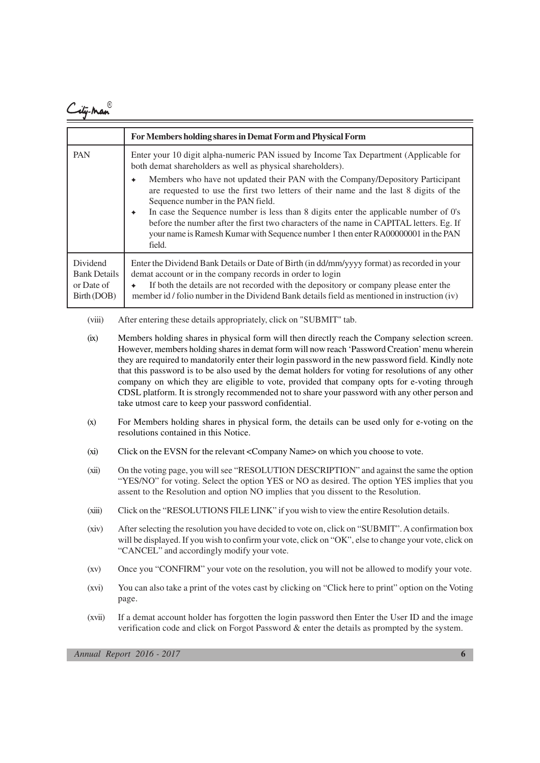# City-Man®

|                                                              | For Members holding shares in Demat Form and Physical Form                                                                                                                                                                                                                                                                                            |
|--------------------------------------------------------------|-------------------------------------------------------------------------------------------------------------------------------------------------------------------------------------------------------------------------------------------------------------------------------------------------------------------------------------------------------|
| <b>PAN</b>                                                   | Enter your 10 digit alpha-numeric PAN issued by Income Tax Department (Applicable for<br>both demat shareholders as well as physical shareholders).                                                                                                                                                                                                   |
|                                                              | Members who have not updated their PAN with the Company/Depository Participant<br>۰<br>are requested to use the first two letters of their name and the last 8 digits of the<br>Sequence number in the PAN field.<br>In case the Sequence number is less than 8 digits enter the applicable number of 0's<br>۰                                        |
|                                                              | before the number after the first two characters of the name in CAPITAL letters. Eg. If<br>your name is Ramesh Kumar with Sequence number 1 then enter RA00000001 in the PAN<br>field.                                                                                                                                                                |
| Dividend<br><b>Bank Details</b><br>or Date of<br>Birth (DOB) | Enter the Dividend Bank Details or Date of Birth (in dd/mm/yyyy format) as recorded in your<br>demat account or in the company records in order to login<br>If both the details are not recorded with the depository or company please enter the<br>۰<br>member id / folio number in the Dividend Bank details field as mentioned in instruction (iv) |

- (viii) After entering these details appropriately, click on "SUBMIT" tab.
- (ix) Members holding shares in physical form will then directly reach the Company selection screen. However, members holding shares in demat form will now reach 'Password Creation' menu wherein they are required to mandatorily enter their login password in the new password field. Kindly note that this password is to be also used by the demat holders for voting for resolutions of any other company on which they are eligible to vote, provided that company opts for e-voting through CDSL platform. It is strongly recommended not to share your password with any other person and take utmost care to keep your password confidential.
- (x) For Members holding shares in physical form, the details can be used only for e-voting on the resolutions contained in this Notice.
- (xi) Click on the EVSN for the relevant <Company Name> on which you choose to vote.
- (xii) On the voting page, you will see "RESOLUTION DESCRIPTION" and against the same the option "YES/NO" for voting. Select the option YES or NO as desired. The option YES implies that you assent to the Resolution and option NO implies that you dissent to the Resolution.
- (xiii) Click on the "RESOLUTIONS FILE LINK" if you wish to view the entire Resolution details.
- (xiv) After selecting the resolution you have decided to vote on, click on "SUBMIT". A confirmation box will be displayed. If you wish to confirm your vote, click on "OK", else to change your vote, click on "CANCEL" and accordingly modify your vote.
- (xv) Once you "CONFIRM" your vote on the resolution, you will not be allowed to modify your vote.
- (xvi) You can also take a print of the votes cast by clicking on "Click here to print" option on the Voting page.
- (xvii) If a demat account holder has forgotten the login password then Enter the User ID and the image verification code and click on Forgot Password & enter the details as prompted by the system.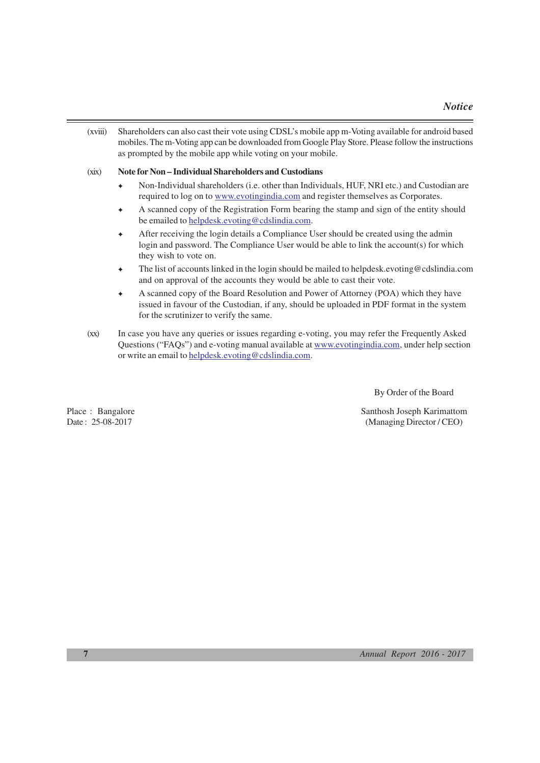(xviii) Shareholders can also cast their vote using CDSL's mobile app m-Voting available for android based mobiles. The m-Voting app can be downloaded from Google Play Store. Please follow the instructions as prompted by the mobile app while voting on your mobile.

#### (xix) **Note for Non – Individual Shareholders and Custodians**

- <sup>F</sup> Non-Individual shareholders (i.e. other than Individuals, HUF, NRI etc.) and Custodian are required to log on to www.evotingindia.com and register themselves as Corporates.
- A scanned copy of the Registration Form bearing the stamp and sign of the entity should be emailed to helpdesk.evoting@cdslindia.com.
- After receiving the login details a Compliance User should be created using the admin login and password. The Compliance User would be able to link the account(s) for which they wish to vote on.
- The list of accounts linked in the login should be mailed to helpdesk.evoting@cdslindia.com and on approval of the accounts they would be able to cast their vote.
- A scanned copy of the Board Resolution and Power of Attorney (POA) which they have issued in favour of the Custodian, if any, should be uploaded in PDF format in the system for the scrutinizer to verify the same.
- (xx) In case you have any queries or issues regarding e-voting, you may refer the Frequently Asked Questions ("FAQs") and e-voting manual available at www.evotingindia.com, under help section or write an email to helpdesk.evoting@cdslindia.com.

By Order of the Board

Place : Bangalore Santhosh Joseph Karimattom Date: 25-08-2017 (Managing Director / CEO)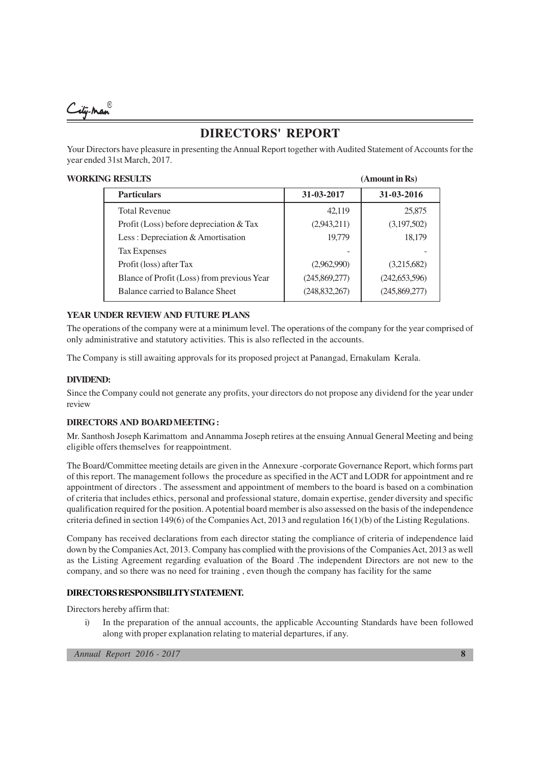.<br>dy-Man

# **DIRECTORS' REPORT**

Your Directors have pleasure in presenting the Annual Report together with Audited Statement of Accounts for the year ended 31st March, 2017.

## **WORKING RESULTS** (Amount in Rs)

| 31-03-2017      | 31-03-2016      |
|-----------------|-----------------|
| 42,119          | 25,875          |
| (2,943,211)     | (3,197,502)     |
| 19,779          | 18,179          |
|                 |                 |
| (2,962,990)     | (3,215,682)     |
| (245,869,277)   | (242, 653, 596) |
| (248, 832, 267) | (245,869,277)   |
|                 |                 |

# **YEAR UNDER REVIEW AND FUTURE PLANS**

The operations of the company were at a minimum level. The operations of the company for the year comprised of only administrative and statutory activities. This is also reflected in the accounts.

The Company is still awaiting approvals for its proposed project at Panangad, Ernakulam Kerala.

## **DIVIDEND:**

Since the Company could not generate any profits, your directors do not propose any dividend for the year under review

## **DIRECTORS AND BOARD MEETING :**

Mr. Santhosh Joseph Karimattom and Annamma Joseph retires at the ensuing Annual General Meeting and being eligible offers themselves for reappointment.

The Board/Committee meeting details are given in the Annexure -corporate Governance Report, which forms part of this report. The management follows the procedure as specified in the ACT and LODR for appointment and re appointment of directors . The assessment and appointment of members to the board is based on a combination of criteria that includes ethics, personal and professional stature, domain expertise, gender diversity and specific qualification required for the position. A potential board member is also assessed on the basis of the independence criteria defined in section 149(6) of the Companies Act, 2013 and regulation 16(1)(b) of the Listing Regulations.

Company has received declarations from each director stating the compliance of criteria of independence laid down by the Companies Act, 2013. Company has complied with the provisions of the Companies Act, 2013 as well as the Listing Agreement regarding evaluation of the Board .The independent Directors are not new to the company, and so there was no need for training , even though the company has facility for the same

# **DIRECTORS RESPONSIBILITY STATEMENT.**

Directors hereby affirm that:

i) In the preparation of the annual accounts, the applicable Accounting Standards have been followed along with proper explanation relating to material departures, if any.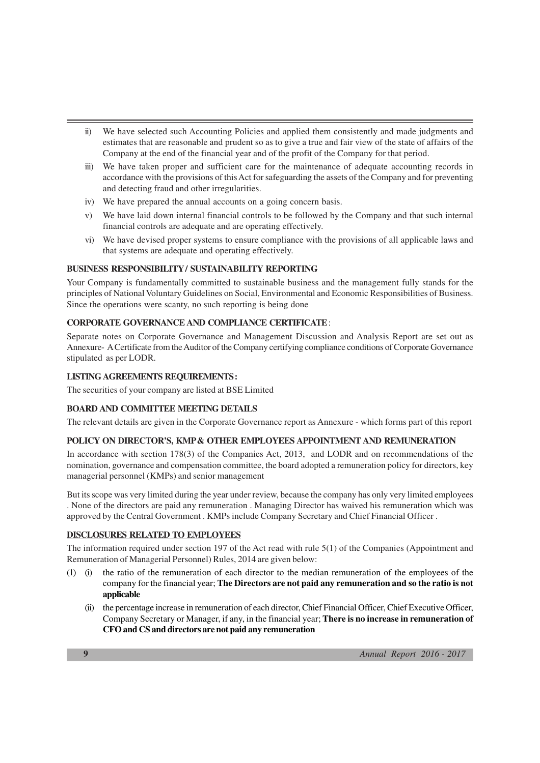- ii) We have selected such Accounting Policies and applied them consistently and made judgments and estimates that are reasonable and prudent so as to give a true and fair view of the state of affairs of the Company at the end of the financial year and of the profit of the Company for that period.
- iii) We have taken proper and sufficient care for the maintenance of adequate accounting records in accordance with the provisions of this Act for safeguarding the assets of the Company and for preventing and detecting fraud and other irregularities.
- iv) We have prepared the annual accounts on a going concern basis.
- v) We have laid down internal financial controls to be followed by the Company and that such internal financial controls are adequate and are operating effectively.
- vi) We have devised proper systems to ensure compliance with the provisions of all applicable laws and that systems are adequate and operating effectively.

# **BUSINESS RESPONSIBILITY / SUSTAINABILITY REPORTING**

Your Company is fundamentally committed to sustainable business and the management fully stands for the principles of National Voluntary Guidelines on Social, Environmental and Economic Responsibilities of Business. Since the operations were scanty, no such reporting is being done

# **CORPORATE GOVERNANCE AND COMPLIANCE CERTIFICATE** :

Separate notes on Corporate Governance and Management Discussion and Analysis Report are set out as Annexure- A Certificate from the Auditor of the Company certifying compliance conditions of Corporate Governance stipulated as per LODR.

# **LISTING AGREEMENTS REQUIREMENTS :**

The securities of your company are listed at BSE Limited

# **BOARD AND COMMITTEE MEETING DETAILS**

The relevant details are given in the Corporate Governance report as Annexure - which forms part of this report

# **POLICY ON DIRECTOR'S, KMP & OTHER EMPLOYEES APPOINTMENT AND REMUNERATION**

In accordance with section 178(3) of the Companies Act, 2013, and LODR and on recommendations of the nomination, governance and compensation committee, the board adopted a remuneration policy for directors, key managerial personnel (KMPs) and senior management

But its scope was very limited during the year under review, because the company has only very limited employees . None of the directors are paid any remuneration . Managing Director has waived his remuneration which was approved by the Central Government . KMPs include Company Secretary and Chief Financial Officer .

# **DISCLOSURES RELATED TO EMPLOYEES**

The information required under section 197 of the Act read with rule 5(1) of the Companies (Appointment and Remuneration of Managerial Personnel) Rules, 2014 are given below:

- (1) (i) the ratio of the remuneration of each director to the median remuneration of the employees of the company for the financial year; **The Directors are not paid any remuneration and so the ratio is not applicable**
	- (ii) the percentage increase in remuneration of each director, Chief Financial Officer, Chief Executive Officer, Company Secretary or Manager, if any, in the financial year; **There is no increase in remuneration of CFO and CS and directors are not paid any remuneration**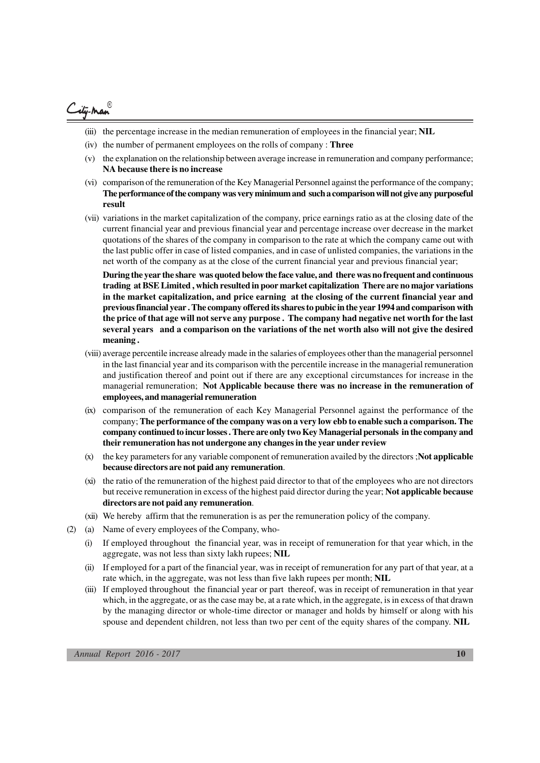<u>-</u><br>ity-Man

- (iii) the percentage increase in the median remuneration of employees in the financial year; **NIL**
- (iv) the number of permanent employees on the rolls of company : **Three**
- (v) the explanation on the relationship between average increase in remuneration and company performance; **NA because there is no increase**
- (vi) comparison of the remuneration of the Key Managerial Personnel against the performance of the company; **The performance of the company was very minimum and such a comparison will not give any purposeful result**
- (vii) variations in the market capitalization of the company, price earnings ratio as at the closing date of the current financial year and previous financial year and percentage increase over decrease in the market quotations of the shares of the company in comparison to the rate at which the company came out with the last public offer in case of listed companies, and in case of unlisted companies, the variations in the net worth of the company as at the close of the current financial year and previous financial year;

**During the year the share was quoted below the face value, and there was no frequent and continuous trading at BSE Limited , which resulted in poor market capitalization There are no major variations in the market capitalization, and price earning at the closing of the current financial year and previous financial year . The company offered its shares to pubic in the year 1994 and comparison with the price of that age will not serve any purpose . The company had negative net worth for the last several years and a comparison on the variations of the net worth also will not give the desired meaning .**

- (viii) average percentile increase already made in the salaries of employees other than the managerial personnel in the last financial year and its comparison with the percentile increase in the managerial remuneration and justification thereof and point out if there are any exceptional circumstances for increase in the managerial remuneration; **Not Applicable because there was no increase in the remuneration of employees, and managerial remuneration**
- (ix) comparison of the remuneration of each Key Managerial Personnel against the performance of the company; **The performance of the company was on a very low ebb to enable such a comparison. The company continued to incur losses . There are only two Key Managerial personals in the company and their remuneration has not undergone any changes in the year under review**
- (x) the key parameters for any variable component of remuneration availed by the directors ;**Not applicable because directors are not paid any remuneration**.
- (xi) the ratio of the remuneration of the highest paid director to that of the employees who are not directors but receive remuneration in excess of the highest paid director during the year; **Not applicable because directors are not paid any remuneration**.
- (xii) We hereby affirm that the remuneration is as per the remuneration policy of the company.
- (2) (a) Name of every employees of the Company, who-
	- (i) If employed throughout the financial year, was in receipt of remuneration for that year which, in the aggregate, was not less than sixty lakh rupees; **NIL**
	- (ii) If employed for a part of the financial year, was in receipt of remuneration for any part of that year, at a rate which, in the aggregate, was not less than five lakh rupees per month; **NIL**
	- (iii) If employed throughout the financial year or part thereof, was in receipt of remuneration in that year which, in the aggregate, or as the case may be, at a rate which, in the aggregate, is in excess of that drawn by the managing director or whole-time director or manager and holds by himself or along with his spouse and dependent children, not less than two per cent of the equity shares of the company. **NIL**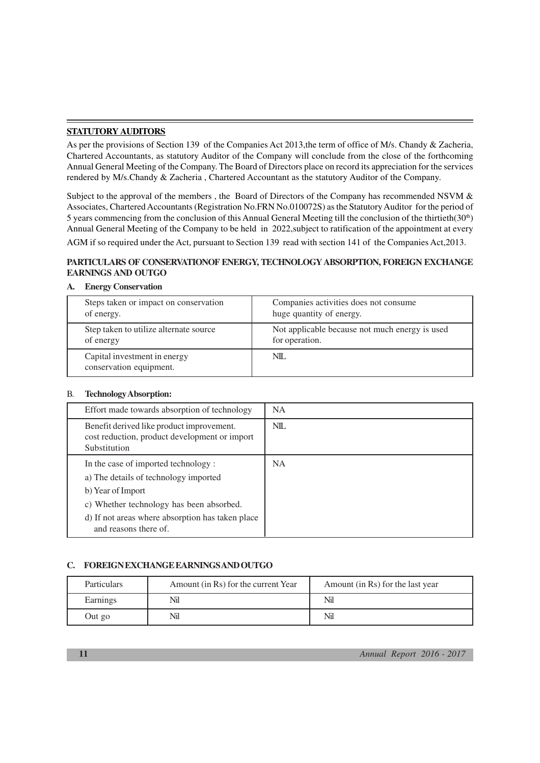# **STATUTORY AUDITORS**

As per the provisions of Section 139 of the Companies Act 2013, the term of office of M/s. Chandy & Zacheria, Chartered Accountants, as statutory Auditor of the Company will conclude from the close of the forthcoming Annual General Meeting of the Company. The Board of Directors place on record its appreciation for the services rendered by M/s.Chandy & Zacheria , Chartered Accountant as the statutory Auditor of the Company.

Subject to the approval of the members, the Board of Directors of the Company has recommended NSVM & Associates, Chartered Accountants (Registration No.FRN No.010072S) as the Statutory Auditor for the period of 5 years commencing from the conclusion of this Annual General Meeting till the conclusion of the thirtieth(30th) Annual General Meeting of the Company to be held in 2022,subject to ratification of the appointment at every

AGM if so required under the Act, pursuant to Section 139 read with section 141 of the Companies Act,2013.

# **PARTICULARS OF CONSERVATIONOF ENERGY, TECHNOLOGY ABSORPTION, FOREIGN EXCHANGE EARNINGS AND OUTGO**

#### **A. Energy Conservation**

| Steps taken or impact on conservation                   | Companies activities does not consume          |
|---------------------------------------------------------|------------------------------------------------|
| of energy.                                              | huge quantity of energy.                       |
| Step taken to utilize alternate source                  | Not applicable because not much energy is used |
| of energy                                               | for operation.                                 |
| Capital investment in energy<br>conservation equipment. | NIL.                                           |

## B. **Technology Absorption:**

| Effort made towards absorption of technology                                                                                                                                                                               | <b>NA</b>  |
|----------------------------------------------------------------------------------------------------------------------------------------------------------------------------------------------------------------------------|------------|
| Benefit derived like product improvement.<br>cost reduction, product development or import<br>Substitution                                                                                                                 | <b>NIL</b> |
| In the case of imported technology:<br>a) The details of technology imported<br>b) Year of Import<br>c) Whether technology has been absorbed.<br>d) If not areas where absorption has taken place<br>and reasons there of. | <b>NA</b>  |

## **C. FOREIGN EXCHANGE EARNINGS AND OUTGO**

| <b>Particulars</b> | Amount (in Rs) for the current Year | Amount (in Rs) for the last year |
|--------------------|-------------------------------------|----------------------------------|
| Earnings           | Nil                                 | Nil                              |
| Out go             | Nil                                 | Nil                              |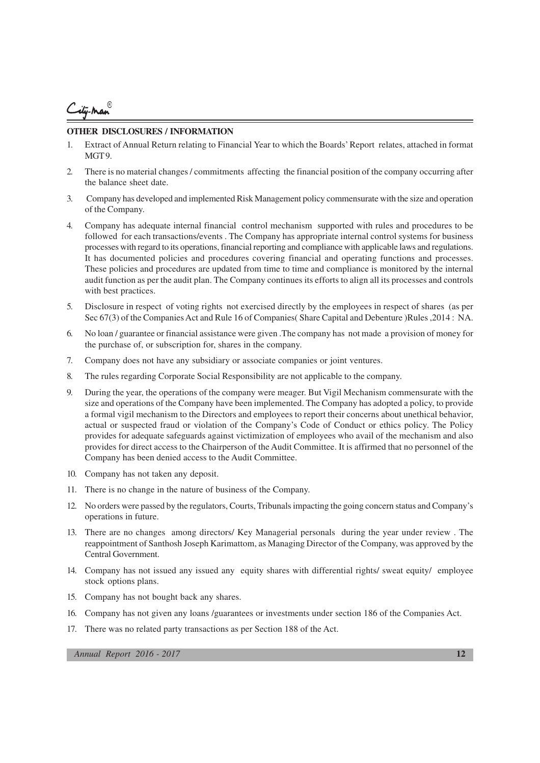City-man

#### **OTHER DISCLOSURES / INFORMATION**

- 1. Extract of Annual Return relating to Financial Year to which the Boards' Report relates, attached in format MGT<sub>9</sub>.
- 2. There is no material changes / commitments affecting the financial position of the company occurring after the balance sheet date.
- 3. Company has developed and implemented Risk Management policy commensurate with the size and operation of the Company.
- 4. Company has adequate internal financial control mechanism supported with rules and procedures to be followed for each transactions/events . The Company has appropriate internal control systems for business processes with regard to its operations, financial reporting and compliance with applicable laws and regulations. It has documented policies and procedures covering financial and operating functions and processes. These policies and procedures are updated from time to time and compliance is monitored by the internal audit function as per the audit plan. The Company continues its efforts to align all its processes and controls with best practices.
- 5. Disclosure in respect of voting rights not exercised directly by the employees in respect of shares (as per Sec 67(3) of the Companies Act and Rule 16 of Companies( Share Capital and Debenture )Rules ,2014 : NA.
- 6. No loan / guarantee or financial assistance were given .The company has not made a provision of money for the purchase of, or subscription for, shares in the company.
- 7. Company does not have any subsidiary or associate companies or joint ventures.
- 8. The rules regarding Corporate Social Responsibility are not applicable to the company.
- 9. During the year, the operations of the company were meager. But Vigil Mechanism commensurate with the size and operations of the Company have been implemented. The Company has adopted a policy, to provide a formal vigil mechanism to the Directors and employees to report their concerns about unethical behavior, actual or suspected fraud or violation of the Company's Code of Conduct or ethics policy. The Policy provides for adequate safeguards against victimization of employees who avail of the mechanism and also provides for direct access to the Chairperson of the Audit Committee. It is affirmed that no personnel of the Company has been denied access to the Audit Committee.
- 10. Company has not taken any deposit.
- 11. There is no change in the nature of business of the Company.
- 12. No orders were passed by the regulators, Courts, Tribunals impacting the going concern status and Company's operations in future.
- 13. There are no changes among directors/ Key Managerial personals during the year under review . The reappointment of Santhosh Joseph Karimattom, as Managing Director of the Company, was approved by the Central Government.
- 14. Company has not issued any issued any equity shares with differential rights/ sweat equity/ employee stock options plans.
- 15. Company has not bought back any shares.
- 16. Company has not given any loans /guarantees or investments under section 186 of the Companies Act.
- 17. There was no related party transactions as per Section 188 of the Act.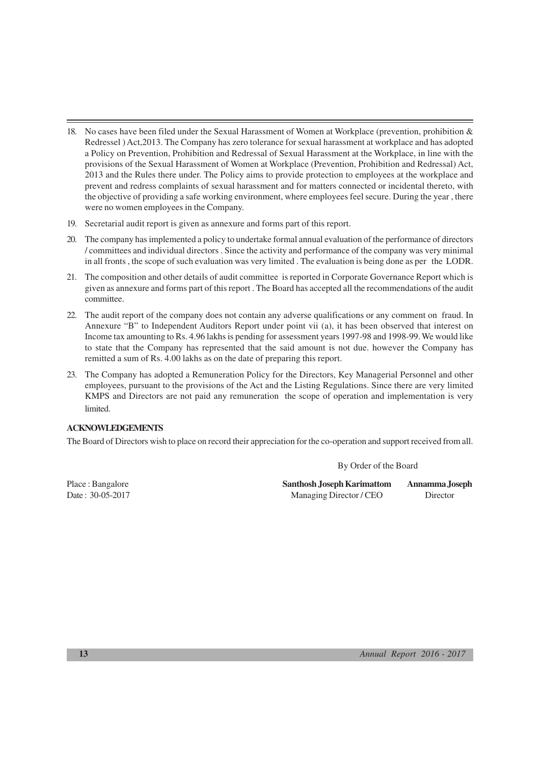- 18. No cases have been filed under the Sexual Harassment of Women at Workplace (prevention, prohibition & Redressel ) Act,2013. The Company has zero tolerance for sexual harassment at workplace and has adopted a Policy on Prevention, Prohibition and Redressal of Sexual Harassment at the Workplace, in line with the provisions of the Sexual Harassment of Women at Workplace (Prevention, Prohibition and Redressal) Act, 2013 and the Rules there under. The Policy aims to provide protection to employees at the workplace and prevent and redress complaints of sexual harassment and for matters connected or incidental thereto, with the objective of providing a safe working environment, where employees feel secure. During the year , there were no women employees in the Company.
- 19. Secretarial audit report is given as annexure and forms part of this report.
- 20. The company has implemented a policy to undertake formal annual evaluation of the performance of directors / committees and individual directors . Since the activity and performance of the company was very minimal in all fronts , the scope of such evaluation was very limited . The evaluation is being done as per the LODR.
- 21. The composition and other details of audit committee is reported in Corporate Governance Report which is given as annexure and forms part of this report . The Board has accepted all the recommendations of the audit committee.
- 22. The audit report of the company does not contain any adverse qualifications or any comment on fraud. In Annexure "B" to Independent Auditors Report under point vii (a), it has been observed that interest on Income tax amounting to Rs. 4.96 lakhs is pending for assessment years 1997-98 and 1998-99. We would like to state that the Company has represented that the said amount is not due. however the Company has remitted a sum of Rs. 4.00 lakhs as on the date of preparing this report.
- 23. The Company has adopted a Remuneration Policy for the Directors, Key Managerial Personnel and other employees, pursuant to the provisions of the Act and the Listing Regulations. Since there are very limited KMPS and Directors are not paid any remuneration the scope of operation and implementation is very limited.

## **ACKNOWLEDGEMENTS**

The Board of Directors wish to place on record their appreciation for the co-operation and support received from all.

By Order of the Board

Place : Bangalore **Santhosh Joseph Karimattom Annamma Joseph** Date: 30-05-2017 Managing Director / CEO Director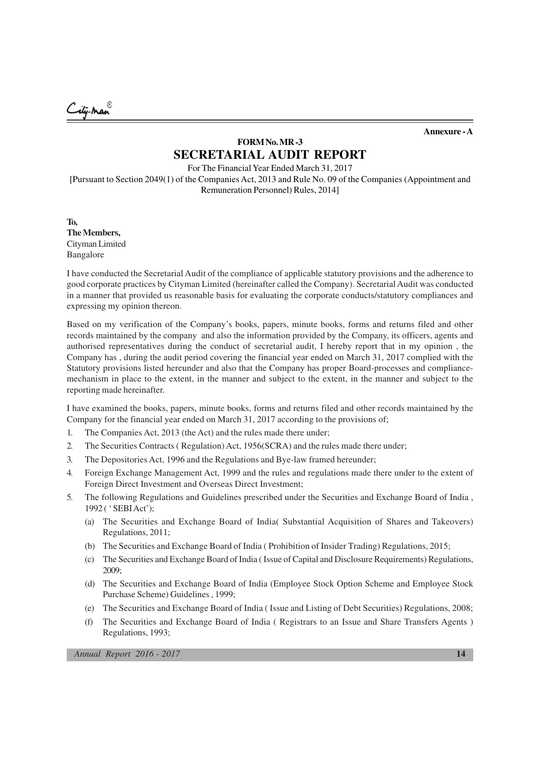.<br>Manus

**Annexure - A**

# **FORM No. MR -3 SECRETARIAL AUDIT REPORT**

For The Financial Year Ended March 31, 2017

[Pursuant to Section 2049(1) of the Companies Act, 2013 and Rule No. 09 of the Companies (Appointment and Remuneration Personnel) Rules, 2014]

**To, The Members,** Cityman Limited Bangalore

I have conducted the Secretarial Audit of the compliance of applicable statutory provisions and the adherence to good corporate practices by Cityman Limited (hereinafter called the Company). Secretarial Audit was conducted in a manner that provided us reasonable basis for evaluating the corporate conducts/statutory compliances and expressing my opinion thereon.

Based on my verification of the Company's books, papers, minute books, forms and returns filed and other records maintained by the company and also the information provided by the Company, its officers, agents and authorised representatives during the conduct of secretarial audit, I hereby report that in my opinion , the Company has , during the audit period covering the financial year ended on March 31, 2017 complied with the Statutory provisions listed hereunder and also that the Company has proper Board-processes and compliancemechanism in place to the extent, in the manner and subject to the extent, in the manner and subject to the reporting made hereinafter.

I have examined the books, papers, minute books, forms and returns filed and other records maintained by the Company for the financial year ended on March 31, 2017 according to the provisions of;

- 1. The Companies Act, 2013 (the Act) and the rules made there under;
- 2. The Securities Contracts ( Regulation) Act, 1956(SCRA) and the rules made there under;
- 3. The Depositories Act, 1996 and the Regulations and Bye-law framed hereunder;
- 4. Foreign Exchange Management Act, 1999 and the rules and regulations made there under to the extent of Foreign Direct Investment and Overseas Direct Investment;
- 5. The following Regulations and Guidelines prescribed under the Securities and Exchange Board of India , 1992 ( ' SEBI Act');
	- (a) The Securities and Exchange Board of India( Substantial Acquisition of Shares and Takeovers) Regulations, 2011;
	- (b) The Securities and Exchange Board of India ( Prohibition of Insider Trading) Regulations, 2015;
	- (c) The Securities and Exchange Board of India ( Issue of Capital and Disclosure Requirements) Regulations, 2009;
	- (d) The Securities and Exchange Board of India (Employee Stock Option Scheme and Employee Stock Purchase Scheme) Guidelines , 1999;
	- (e) The Securities and Exchange Board of India ( Issue and Listing of Debt Securities) Regulations, 2008;
	- (f) The Securities and Exchange Board of India ( Registrars to an Issue and Share Transfers Agents ) Regulations, 1993;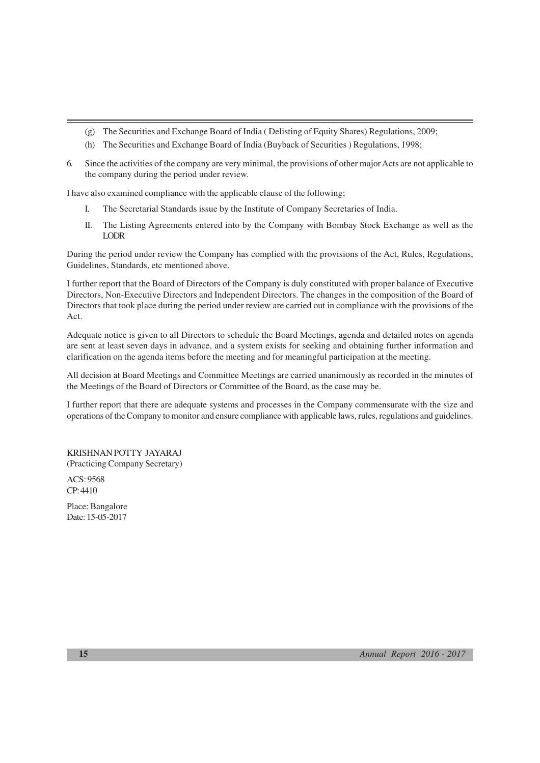- (g) The Securities and Exchange Board of India ( Delisting of Equity Shares) Regulations, 2009;
- (h) The Securities and Exchange Board of India (Buyback of Securities ) Regulations, 1998;
- 6. Since the activities of the company are very minimal, the provisions of other major Acts are not applicable to the company during the period under review.

I have also examined compliance with the applicable clause of the following;

- I. The Secretarial Standards issue by the Institute of Company Secretaries of India.
- II. The Listing Agreements entered into by the Company with Bombay Stock Exchange as well as the LODR

During the period under review the Company has complied with the provisions of the Act, Rules, Regulations, Guidelines, Standards, etc mentioned above.

I further report that the Board of Directors of the Company is duly constituted with proper balance of Executive Directors, Non-Executive Directors and Independent Directors. The changes in the composition of the Board of Directors that took place during the period under review are carried out in compliance with the provisions of the Act.

Adequate notice is given to all Directors to schedule the Board Meetings, agenda and detailed notes on agenda are sent at least seven days in advance, and a system exists for seeking and obtaining further information and clarification on the agenda items before the meeting and for meaningful participation at the meeting.

All decision at Board Meetings and Committee Meetings are carried unanimously as recorded in the minutes of the Meetings of the Board of Directors or Committee of the Board, as the case may be.

I further report that there are adequate systems and processes in the Company commensurate with the size and operations of the Company to monitor and ensure compliance with applicable laws, rules, regulations and guidelines.

KRISHNAN POTTY JAYARAJ (Practicing Company Secretary)

ACS: 9568 CP: 4410

Place: Bangalore Date: 15-05-2017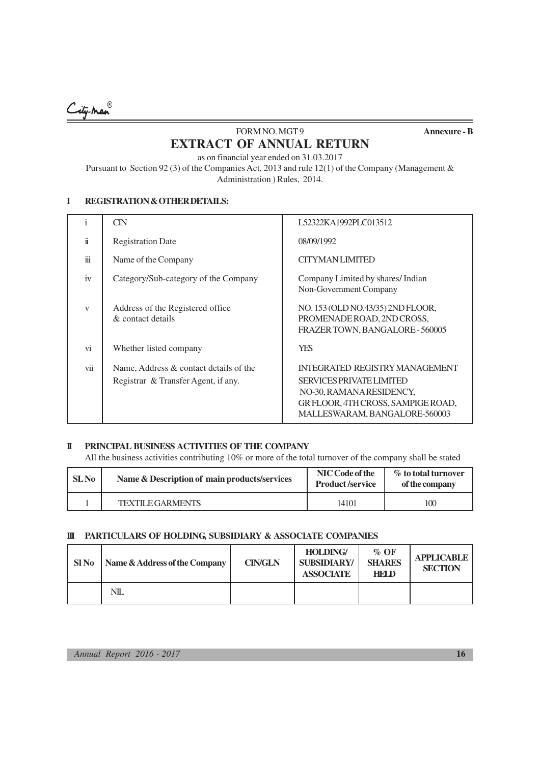City-Man

# FORM NO. MGT 9 **EXTRACT OF ANNUAL RETURN**

**Annexure - B**

as on financial year ended on 31.03.2017 Pursuant to Section 92 (3) of the Companies Act, 2013 and rule 12(1) of the Company (Management & Administration ) Rules, 2014.

#### **I REGISTRATION & OTHER DETAILS:**

|              | CIN                                                                           | L52322KA1992PLC013512                                                                                                                                                |
|--------------|-------------------------------------------------------------------------------|----------------------------------------------------------------------------------------------------------------------------------------------------------------------|
| ï            | <b>Registration Date</b>                                                      | 08/09/1992                                                                                                                                                           |
| 111          | Name of the Company                                                           | <b>CITYMANLIMITED</b>                                                                                                                                                |
| iv           | Category/Sub-category of the Company                                          | Company Limited by shares/Indian<br>Non-Government Company                                                                                                           |
| $\mathbf{V}$ | Address of the Registered office.<br>& contact details                        | NO. 153 (OLD NO.43/35) 2ND FLOOR,<br>PROMENADE ROAD, 2ND CROSS,<br>FRAZER TOWN, BANGALORE - 560005                                                                   |
| vi           | Whether listed company                                                        | <b>YES</b>                                                                                                                                                           |
| vii          | Name, Address & contact details of the<br>Registrar & Transfer Agent, if any. | INTEGRATED REGISTRY MANAGEMENT<br><b>SERVICES PRIVATE LIMITED</b><br>NO-30, RAMANA RESIDENCY,<br>GR FLOOR, 4TH CROSS, SAMPIGE ROAD,<br>MALLESWARAM, BANGALORE-560003 |

## **II PRINCIPAL BUSINESS ACTIVITIES OF THE COMPANY**

All the business activities contributing 10% or more of the total turnover of the company shall be stated

| SL <sub>No</sub> | Name & Description of main products/services | NIC Code of the<br><b>Product/service</b> | % to total turnover<br>of the company |  |
|------------------|----------------------------------------------|-------------------------------------------|---------------------------------------|--|
|                  | <b>TEXTILE GARMENTS</b>                      | 14101                                     | 100                                   |  |

## **III PARTICULARS OF HOLDING, SUBSIDIARY & ASSOCIATE COMPANIES**

| <b>SINo</b> | Name & Address of the Company | <b>CIN/GLN</b> | <b>HOLDING/</b><br><b>SUBSIDIARY/</b><br><b>ASSOCIATE</b> | $\%$ OF<br><b>SHARES</b><br><b>HELD</b> | <b>APPLICABLE</b><br><b>SECTION</b> |
|-------------|-------------------------------|----------------|-----------------------------------------------------------|-----------------------------------------|-------------------------------------|
|             | <b>NIL</b>                    |                |                                                           |                                         |                                     |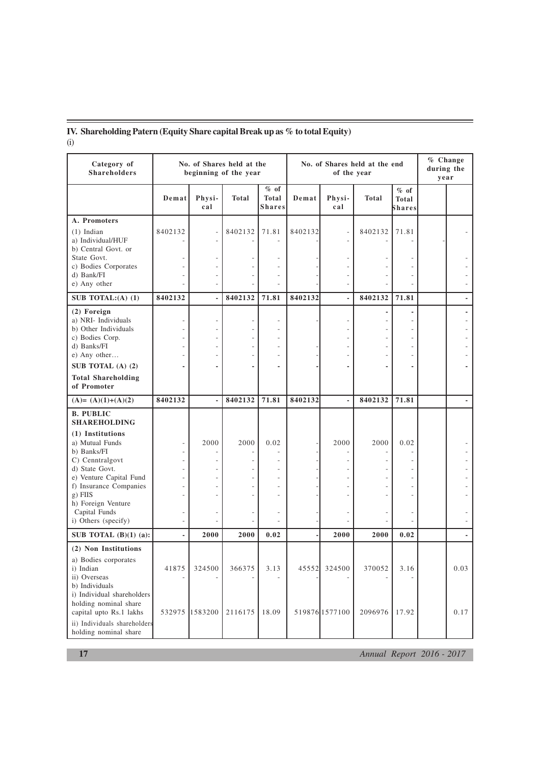# **IV. Shareholding Patern (Equity Share capital Break up as % to total Equity)**

(i)

| Category of<br><b>Shareholders</b>                                                                                                                                                                                    | No. of Shares held at the<br>beginning of the year |                |           | No. of Shares held at the end<br>of the year                  |         |                |              | $%$ Change<br>during the<br>vear |  |                |
|-----------------------------------------------------------------------------------------------------------------------------------------------------------------------------------------------------------------------|----------------------------------------------------|----------------|-----------|---------------------------------------------------------------|---------|----------------|--------------|----------------------------------|--|----------------|
|                                                                                                                                                                                                                       | Demat                                              | Physi-<br>cal  | Total     | $%$ of<br>Total<br>Shares                                     | Demat   | Physi-<br>cal  | <b>Total</b> | $%$ of<br>Total<br>Shares        |  |                |
| A. Promoters<br>$(1)$ Indian<br>a) Individual/HUF<br>b) Central Govt. or                                                                                                                                              | 8402132                                            |                | 8402132   | 71.81                                                         | 8402132 |                | 8402132      | 71.81                            |  |                |
| State Govt.<br>c) Bodies Corporates<br>d) Bank/FI<br>e) Any other                                                                                                                                                     |                                                    |                | ٠         |                                                               |         |                |              |                                  |  |                |
| SUB TOTAL: $(A)$ (1)                                                                                                                                                                                                  | 8402132                                            |                | 8402132   | 71.81                                                         | 8402132 | ÷,             | 8402132      | 71.81                            |  |                |
| (2) Foreign<br>a) NRI- Individuals<br>b) Other Individuals<br>c) Bodies Corp.<br>d) Banks/FI<br>e) Any other                                                                                                          |                                                    |                | ٠         | $\overline{\phantom{a}}$<br>$\frac{1}{2}$<br>÷,<br>÷          |         |                |              | ۰<br>÷,<br>÷.                    |  |                |
| SUB TOTAL (A) (2)<br><b>Total Shareholding</b><br>of Promoter                                                                                                                                                         |                                                    |                |           |                                                               |         |                |              |                                  |  |                |
| $(A)=(A)(1)+(A)(2)$                                                                                                                                                                                                   | 8402132                                            | ÷,             | 8402132   | 71.81                                                         | 8402132 | $\blacksquare$ | 8402132      | 71.81                            |  | $\blacksquare$ |
| <b>B. PUBLIC</b><br><b>SHAREHOLDING</b>                                                                                                                                                                               |                                                    |                |           |                                                               |         |                |              |                                  |  |                |
| (1) Institutions<br>a) Mutual Funds<br>b) Banks/FI<br>C) Cenntralgovt<br>d) State Govt.<br>e) Venture Capital Fund<br>f) Insurance Companies<br>g) FIIS<br>h) Foreign Venture<br>Capital Funds<br>i) Others (specify) | ٠                                                  | 2000           | 2000<br>٠ | 0.02<br>÷,<br>÷<br>÷,<br>÷,<br>÷,<br>$\overline{\phantom{a}}$ |         | 2000           | 2000         | 0.02<br>÷.<br>٠                  |  |                |
| SUB TOTAL $(B)(1)$ (a):                                                                                                                                                                                               | $\overline{a}$                                     | 2000           | 2000      | 0.02                                                          |         | 2000           | 2000         | 0.02                             |  |                |
| (2) Non Institutions<br>a) Bodies corporates<br>i) Indian<br>ii) Overseas<br>b) Individuals<br>i) Individual shareholders                                                                                             | 41875                                              | 324500         | 366375    | 3.13                                                          | 45552   | 324500         | 370052       | 3.16                             |  | 0.03           |
| holding nominal share<br>capital upto Rs.1 lakhs<br>ii) Individuals shareholders<br>holding nominal share                                                                                                             |                                                    | 532975 1583200 | 2116175   | 18.09                                                         |         | 519876 1577100 | 2096976      | 17.92                            |  | 0.17           |

**17** *Annual Report 2016 - 2017*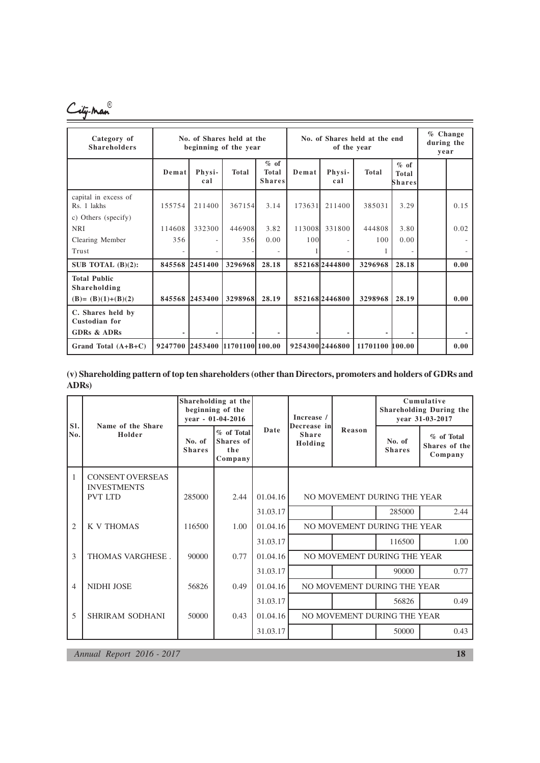City-man

| Category of<br><b>Shareholders</b>                           | No. of Shares held at the<br>beginning of the year |                         | No. of Shares held at the end<br>of the year |                                  |        |                 | $%$ Change<br>during the<br>year |                                  |  |      |
|--------------------------------------------------------------|----------------------------------------------------|-------------------------|----------------------------------------------|----------------------------------|--------|-----------------|----------------------------------|----------------------------------|--|------|
|                                                              | Demat                                              | Physi-<br>cal           | <b>Total</b>                                 | $%$ of<br>Total<br><b>Shares</b> | Demat  | Physi-<br>cal   | Total                            | $%$ of<br>Total<br><b>Shares</b> |  |      |
| capital in excess of<br>Rs. 1 lakhs<br>c) Others (specify)   | 155754                                             | 211400                  | 367154                                       | 3.14                             | 173631 | 211400          | 385031                           | 3.29                             |  | 0.15 |
| <b>NRI</b>                                                   | 114608                                             | 332300                  | 446908                                       | 3.82                             | 113008 | 331800          | 444808                           | 3.80                             |  | 0.02 |
| Clearing Member                                              | 356                                                |                         | 356                                          | 0.00                             | 100    |                 | 100                              | 0.00                             |  |      |
| Trust                                                        | ۰                                                  |                         |                                              |                                  |        |                 |                                  |                                  |  |      |
| SUB TOTAL $(B)(2)$ :                                         | 845568                                             | 2451400                 | 3296968                                      | 28.18                            |        | 8521682444800   | 3296968                          | 28.18                            |  | 0.00 |
| <b>Total Public</b><br>Shareholding<br>$(B)=(B)(1)+(B)(2)$   |                                                    | 845568 2453400          | 3298968                                      | 28.19                            |        | 8521682446800   | 3298968                          | 28.19                            |  | 0.00 |
| C. Shares held by<br>Custodian for<br><b>GDRs &amp; ADRs</b> |                                                    |                         |                                              |                                  |        |                 |                                  |                                  |  |      |
| Grand Total $(A+B+C)$                                        | 9247700                                            | 2453400 11701100 100.00 |                                              |                                  |        | 9254300 2446800 | 11701100 100.00                  |                                  |  | 0.00 |

**(v) Shareholding pattern of top ten shareholders (other than Directors, promoters and holders of GDRs and ADRs)**

| SI.<br>lNo.    | Name of the Share<br>Holder                   | Shareholding at the<br>beginning of the<br>year - 01-04-2016 |                                           |          | Increase /<br>Decrease in   |        | Cumulative<br>Shareholding During the<br>year 31-03-2017 |                                        |
|----------------|-----------------------------------------------|--------------------------------------------------------------|-------------------------------------------|----------|-----------------------------|--------|----------------------------------------------------------|----------------------------------------|
|                |                                               | No. of<br><b>Shares</b>                                      | % of Total<br>Shares of<br>the<br>Company | Date     | <b>Share</b><br>Holding     | Reason | No. of<br><b>Shares</b>                                  | % of Total<br>Shares of the<br>Company |
| 1              | <b>CONSENT OVERSEAS</b><br><b>INVESTMENTS</b> |                                                              |                                           |          |                             |        |                                                          |                                        |
|                | <b>PVT LTD</b>                                | 285000                                                       | 2.44                                      | 01.04.16 | NO MOVEMENT DURING THE YEAR |        |                                                          |                                        |
|                |                                               |                                                              |                                           | 31.03.17 |                             |        | 285000                                                   | 2.44                                   |
| $\overline{2}$ | <b>K V THOMAS</b>                             | 116500                                                       | 1.00                                      | 01.04.16 |                             |        | NO MOVEMENT DURING THE YEAR                              |                                        |
|                |                                               |                                                              |                                           | 31.03.17 |                             |        | 116500                                                   | 1.00                                   |
| 3              | THOMAS VARGHESE.                              | 90000                                                        | 0.77                                      | 01.04.16 |                             |        | NO MOVEMENT DURING THE YEAR                              |                                        |
|                |                                               |                                                              |                                           | 31.03.17 |                             |        | 90000                                                    | 0.77                                   |
| $\overline{4}$ | <b>NIDHI JOSE</b>                             | 56826                                                        | 0.49                                      | 01.04.16 |                             |        | NO MOVEMENT DURING THE YEAR                              |                                        |
|                |                                               |                                                              |                                           | 31.03.17 |                             |        | 56826                                                    | 0.49                                   |
| 5              | <b>SHRIRAM SODHANI</b>                        | 50000                                                        | 0.43                                      | 01.04.16 |                             |        | NO MOVEMENT DURING THE YEAR                              |                                        |
|                |                                               |                                                              |                                           | 31.03.17 |                             |        | 50000                                                    | 0.43                                   |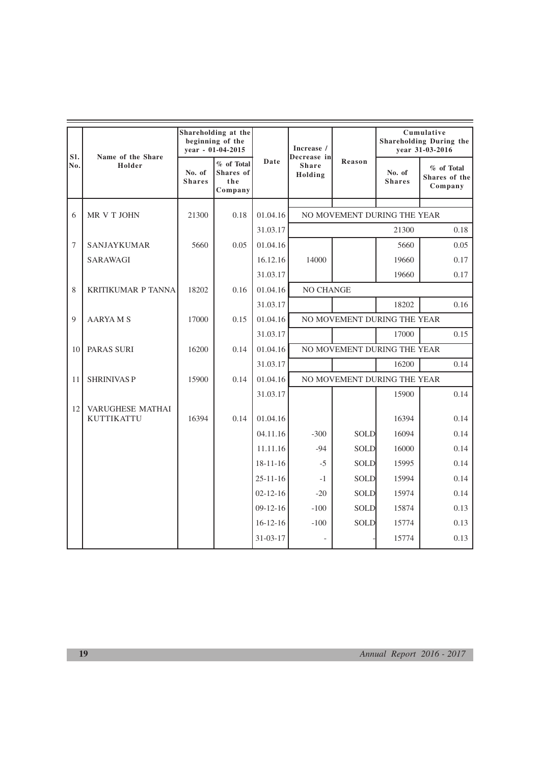|            |                                       |                         | Shareholding at the<br>beginning of the<br>year - 01-04-2015 |                | Increase /                             |                             |                         | Cumulative<br><b>Shareholding During the</b><br>vear 31-03-2016 |
|------------|---------------------------------------|-------------------------|--------------------------------------------------------------|----------------|----------------------------------------|-----------------------------|-------------------------|-----------------------------------------------------------------|
| SI.<br>No. | Name of the Share<br>Holder           | No. of<br><b>Shares</b> | % of Total<br>Shares of<br>the<br>Company                    | Date           | Decrease in<br><b>Share</b><br>Holding | Reason                      | No. of<br><b>Shares</b> | % of Total<br>Shares of the<br>Company                          |
| 6          | MR V T JOHN                           | 21300                   | 0.18                                                         | 01.04.16       |                                        | NO MOVEMENT DURING THE YEAR |                         |                                                                 |
|            |                                       |                         |                                                              | 31.03.17       |                                        |                             | 21300                   | 0.18                                                            |
| 7          | <b>SANJAYKUMAR</b>                    | 5660                    | 0.05                                                         | 01.04.16       |                                        |                             | 5660                    | 0.05                                                            |
|            | SARAWAGI                              |                         |                                                              | 16.12.16       | 14000                                  |                             | 19660                   | 0.17                                                            |
|            |                                       |                         |                                                              | 31.03.17       |                                        |                             | 19660                   | 0.17                                                            |
| 8          | KRITIKUMAR P TANNA                    | 18202                   | 0.16                                                         | 01.04.16       | NO CHANGE                              |                             |                         |                                                                 |
|            |                                       |                         |                                                              | 31.03.17       |                                        |                             | 18202                   | 0.16                                                            |
| 9          | <b>AARYA M S</b>                      | 17000                   | 0.15                                                         | 01.04.16       | NO MOVEMENT DURING THE YEAR            |                             |                         |                                                                 |
|            |                                       |                         |                                                              | 31.03.17       |                                        |                             | 17000                   | 0.15                                                            |
| 10         | <b>PARAS SURI</b>                     | 16200                   | 0.14                                                         | 01.04.16       | NO MOVEMENT DURING THE YEAR            |                             |                         |                                                                 |
|            |                                       |                         |                                                              | 31.03.17       |                                        |                             | 16200                   | 0.14                                                            |
| 11         | <b>SHRINIVAS P</b>                    | 15900                   | 0.14                                                         | 01.04.16       |                                        | NO MOVEMENT DURING THE YEAR |                         |                                                                 |
|            |                                       |                         |                                                              | 31.03.17       |                                        |                             | 15900                   | 0.14                                                            |
| 12         | VARUGHESE MATHAI<br><b>KUTTIKATTU</b> | 16394                   | 0.14                                                         | 01.04.16       |                                        |                             | 16394                   | 0.14                                                            |
|            |                                       |                         |                                                              | 04.11.16       | $-300$                                 | <b>SOLD</b>                 | 16094                   | 0.14                                                            |
|            |                                       |                         |                                                              | 11.11.16       | $-94$                                  | <b>SOLD</b>                 | 16000                   | 0.14                                                            |
|            |                                       |                         |                                                              | $18 - 11 - 16$ | $-5$                                   | <b>SOLD</b>                 | 15995                   | 0.14                                                            |
|            |                                       |                         |                                                              | $25 - 11 - 16$ | $-1$                                   | <b>SOLD</b>                 | 15994                   | 0.14                                                            |
|            |                                       |                         |                                                              | $02 - 12 - 16$ | $-20$                                  | <b>SOLD</b>                 | 15974                   | 0.14                                                            |
|            |                                       |                         |                                                              | $09-12-16$     | $-100$                                 | <b>SOLD</b>                 | 15874                   | 0.13                                                            |
|            |                                       |                         |                                                              | $16-12-16$     | $-100$                                 | <b>SOLD</b>                 | 15774                   | 0.13                                                            |
|            |                                       |                         |                                                              | $31 - 03 - 17$ |                                        |                             | 15774                   | 0.13                                                            |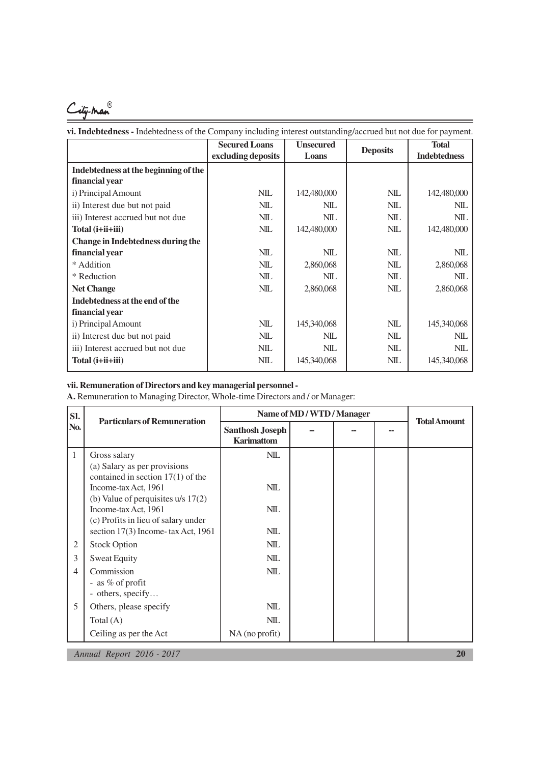# City-Man

**vi. Indebtedness -** Indebtedness of the Company including interest outstanding/accrued but not due for payment.

|                                      | <b>Secured Loans</b> | <b>Unsecured</b> | <b>Deposits</b> | <b>Total</b>        |
|--------------------------------------|----------------------|------------------|-----------------|---------------------|
|                                      | excluding deposits   | Loans            |                 | <b>Indebtedness</b> |
| Indebtedness at the beginning of the |                      |                  |                 |                     |
| financial year                       |                      |                  |                 |                     |
| i) Principal Amount                  | <b>NIL</b>           | 142,480,000      | NIL             | 142,480,000         |
| ii) Interest due but not paid        | NIL                  | NIL              | NIL             | NIL                 |
| iii) Interest accrued but not due    | NIL                  | NIL              | NIL             | <b>NIL</b>          |
| $Total(i+ii+iii)$                    | <b>NIL</b>           | 142,480,000      | NIL             | 142,480,000         |
| Change in Indebtedness during the    |                      |                  |                 |                     |
| financial year                       | NIL.                 | <b>NIL</b>       | NIL             | <b>NIL</b>          |
| * Addition                           | NIL.                 | 2,860,068        | <b>NIL</b>      | 2,860,068           |
| * Reduction                          | <b>NIL</b>           | NIL              | NIL             | <b>NIL</b>          |
| <b>Net Change</b>                    | <b>NIL</b>           | 2,860,068        | <b>NIL</b>      | 2,860,068           |
| Indebtedness at the end of the       |                      |                  |                 |                     |
| financial year                       |                      |                  |                 |                     |
| i) Principal Amount                  | NIL.                 | 145,340,068      | NIL             | 145,340,068         |
| ii) Interest due but not paid        | NIL                  | <b>NIL</b>       | NIL             | NIL                 |
| iii) Interest accrued but not due    | <b>NIL</b>           | NIL              | NIL             | <b>NIL</b>          |
| Total (i+ii+iii)                     | <b>NIL</b>           | 145,340,068      | <b>NIL</b>      | 145,340,068         |

# **vii. Remuneration of Directors and key managerial personnel -**

**A.** Remuneration to Managing Director, Whole-time Directors and / or Manager:

|                                    |                                                                                                                                                                                                          |            | Name of MD/WTD/Manager |  | <b>Total Amount</b> |  |
|------------------------------------|----------------------------------------------------------------------------------------------------------------------------------------------------------------------------------------------------------|------------|------------------------|--|---------------------|--|
|                                    | <b>Santhosh Joseph</b><br><b>Karimattom</b>                                                                                                                                                              |            |                        |  |                     |  |
| Gross salary                       | NIL                                                                                                                                                                                                      |            |                        |  |                     |  |
| (a) Salary as per provisions       |                                                                                                                                                                                                          |            |                        |  |                     |  |
|                                    |                                                                                                                                                                                                          |            |                        |  |                     |  |
|                                    |                                                                                                                                                                                                          |            |                        |  |                     |  |
|                                    |                                                                                                                                                                                                          |            |                        |  |                     |  |
|                                    |                                                                                                                                                                                                          |            |                        |  |                     |  |
| section 17(3) Income-tax Act, 1961 | NIL                                                                                                                                                                                                      |            |                        |  |                     |  |
| <b>Stock Option</b>                | NIL                                                                                                                                                                                                      |            |                        |  |                     |  |
| <b>Sweat Equity</b>                | NIL                                                                                                                                                                                                      |            |                        |  |                     |  |
| Commission                         | NIL                                                                                                                                                                                                      |            |                        |  |                     |  |
| - as $%$ of profit                 |                                                                                                                                                                                                          |            |                        |  |                     |  |
| - others, specify                  |                                                                                                                                                                                                          |            |                        |  |                     |  |
| Others, please specify             | NIL                                                                                                                                                                                                      |            |                        |  |                     |  |
| Total $(A)$                        | NIL                                                                                                                                                                                                      |            |                        |  |                     |  |
| Ceiling as per the Act             | $NA$ (no profit)                                                                                                                                                                                         |            |                        |  |                     |  |
|                                    | <b>Particulars of Remuneration</b><br>contained in section $17(1)$ of the<br>Income-tax Act, 1961<br>(b) Value of perquisites $u/s$ 17(2)<br>Income-tax Act, 1961<br>(c) Profits in lieu of salary under | NIL<br>NIL |                        |  |                     |  |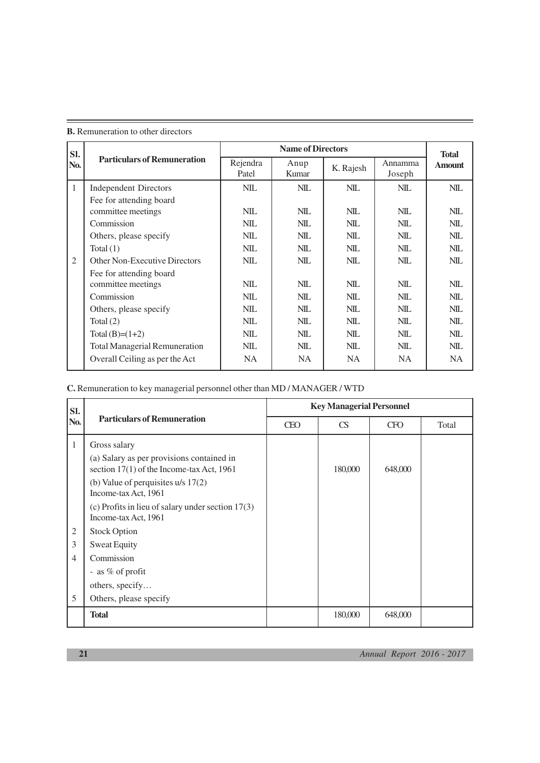|  | <b>B.</b> Remuneration to other directors |  |  |  |
|--|-------------------------------------------|--|--|--|
|--|-------------------------------------------|--|--|--|

| SI.            |                                      |                                                 | <b>Name of Directors</b> |            |                   | <b>Total</b>  |  |
|----------------|--------------------------------------|-------------------------------------------------|--------------------------|------------|-------------------|---------------|--|
| No.            | <b>Particulars of Remuneration</b>   | Rejendra<br>Anup<br>K. Rajesh<br>Kumar<br>Patel |                          |            | Annamma<br>Joseph | <b>Amount</b> |  |
| 1              | <b>Independent Directors</b>         | <b>NIL</b>                                      | NIL                      | <b>NIL</b> | <b>NIL</b>        | <b>NIL</b>    |  |
|                | Fee for attending board              |                                                 |                          |            |                   |               |  |
|                | committee meetings                   | NIL.                                            | <b>NIL</b>               | NIL.       | <b>NIL</b>        | <b>NIL</b>    |  |
|                | Commission                           | <b>NIL</b>                                      | NIL                      | NIL.       | <b>NIL</b>        | <b>NIL</b>    |  |
|                | Others, please specify               | <b>NIL</b>                                      | NIL                      | <b>NIL</b> | NIL               | NIL           |  |
|                | Total $(1)$                          | <b>NIL</b>                                      | NIL                      | <b>NIL</b> | NIL               | <b>NIL</b>    |  |
| $\overline{2}$ | <b>Other Non-Executive Directors</b> | <b>NIL</b>                                      | NIL                      | <b>NIL</b> | NIL               | NIL           |  |
|                | Fee for attending board              |                                                 |                          |            |                   |               |  |
|                | committee meetings                   | <b>NIL</b>                                      | NIL                      | NIL.       | NIL               | <b>NIL</b>    |  |
|                | Commission                           | <b>NIL</b>                                      | NIL.                     | NIL.       | NIL.              | NIL.          |  |
|                | Others, please specify               | <b>NIL</b>                                      | NIL.                     | NIL.       | NIL.              | <b>NIL</b>    |  |
|                | Total $(2)$                          | <b>NIL</b>                                      | NIL.                     | NIL.       | <b>NIL</b>        | <b>NIL</b>    |  |
|                | Total (B)= $(1+2)$                   | <b>NIL</b>                                      | NIL.                     | NIL.       | <b>NIL</b>        | NIL.          |  |
|                | <b>Total Managerial Remuneration</b> | <b>NIL</b>                                      | <b>NIL</b>               | <b>NIL</b> | <b>NIL</b>        | <b>NIL</b>    |  |
|                | Overall Ceiling as per the Act       | <b>NA</b>                                       | NA.                      | NA.        | NA.               | <b>NA</b>     |  |
|                |                                      |                                                 |                          |            |                   |               |  |

**C.** Remuneration to key managerial personnel other than MD / MANAGER / WTD

| SI. |                                                                                        |            | <b>Key Managerial Personnel</b> |            |       |  |
|-----|----------------------------------------------------------------------------------------|------------|---------------------------------|------------|-------|--|
| No. | <b>Particulars of Remuneration</b>                                                     | <b>CEO</b> | <b>CS</b>                       | <b>CFO</b> | Total |  |
| 1   | Gross salary                                                                           |            |                                 |            |       |  |
|     | (a) Salary as per provisions contained in<br>section 17(1) of the Income-tax Act, 1961 |            | 180,000                         | 648,000    |       |  |
|     | (b) Value of perquisites $u/s$ 17(2)<br>Income-tax Act, 1961                           |            |                                 |            |       |  |
|     | (c) Profits in lieu of salary under section $17(3)$<br>Income-tax Act, 1961            |            |                                 |            |       |  |
| 2   | <b>Stock Option</b>                                                                    |            |                                 |            |       |  |
| 3   | <b>Sweat Equity</b>                                                                    |            |                                 |            |       |  |
| 4   | Commission                                                                             |            |                                 |            |       |  |
|     | - as $%$ of profit                                                                     |            |                                 |            |       |  |
|     | others, specify                                                                        |            |                                 |            |       |  |
| 5   | Others, please specify                                                                 |            |                                 |            |       |  |
|     | <b>Total</b>                                                                           |            | 180,000                         | 648,000    |       |  |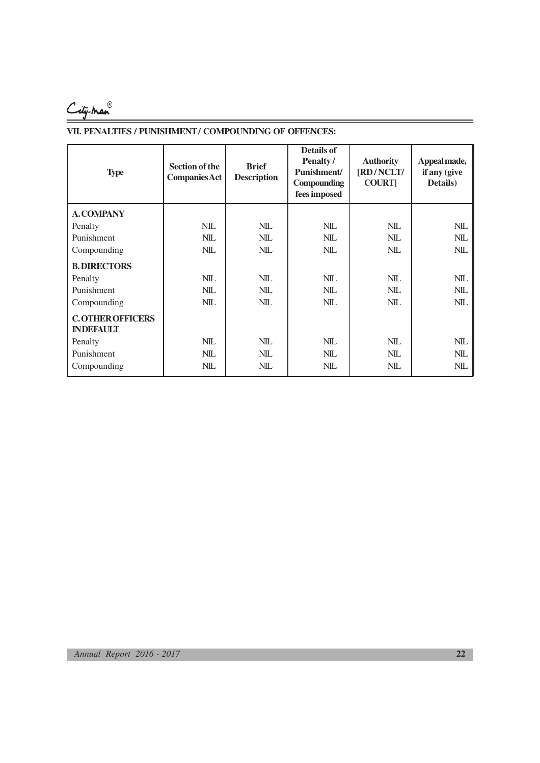

# VII. PENALTIES / PUNISHMENT / COMPOUNDING OF OFFENCES:

| <b>Type</b>                                 | <b>Section of the</b><br><b>Companies</b> Act | <b>Brief</b><br><b>Description</b> | <b>Details of</b><br><b>Penalty/</b><br>Punishment/<br>Compounding<br>fees imposed | <b>Authority</b><br>[RD/NCLT/<br><b>COURT</b> | Appeal made,<br>if any (give<br>Details) |
|---------------------------------------------|-----------------------------------------------|------------------------------------|------------------------------------------------------------------------------------|-----------------------------------------------|------------------------------------------|
| <b>A.COMPANY</b>                            |                                               |                                    |                                                                                    |                                               |                                          |
| Penalty                                     | <b>NIL</b>                                    | NIL.                               | <b>NIL</b>                                                                         | <b>NIL</b>                                    | NIL                                      |
| Punishment                                  | NIL.                                          | NIL.                               | NIL.                                                                               | NIL.                                          | <b>NIL</b>                               |
| Compounding                                 | NIL.                                          | <b>NIL</b>                         | <b>NIL</b>                                                                         | <b>NIL</b>                                    | NIL                                      |
| <b>B. DIRECTORS</b>                         |                                               |                                    |                                                                                    |                                               |                                          |
| Penalty                                     | NIL                                           | NIL                                | <b>NIL</b>                                                                         | <b>NIL</b>                                    | NIL                                      |
| Punishment                                  | NIL                                           | <b>NIL</b>                         | <b>NIL</b>                                                                         | <b>NIL</b>                                    | NIL                                      |
| Compounding                                 | NIL                                           | <b>NIL</b>                         | <b>NIL</b>                                                                         | <b>NIL</b>                                    | NIL                                      |
| <b>C.OTHER OFFICERS</b><br><b>INDEFAULT</b> |                                               |                                    |                                                                                    |                                               |                                          |
| Penalty                                     | <b>NIL</b>                                    | <b>NIL</b>                         | <b>NIL</b>                                                                         | NIL                                           | <b>NIL</b>                               |
| Punishment                                  | NIL                                           | NIL                                | <b>NIL</b>                                                                         | <b>NIL</b>                                    | <b>NIL</b>                               |
| Compounding                                 | NIL                                           | NIL                                | <b>NIL</b>                                                                         | <b>NIL</b>                                    | NIL                                      |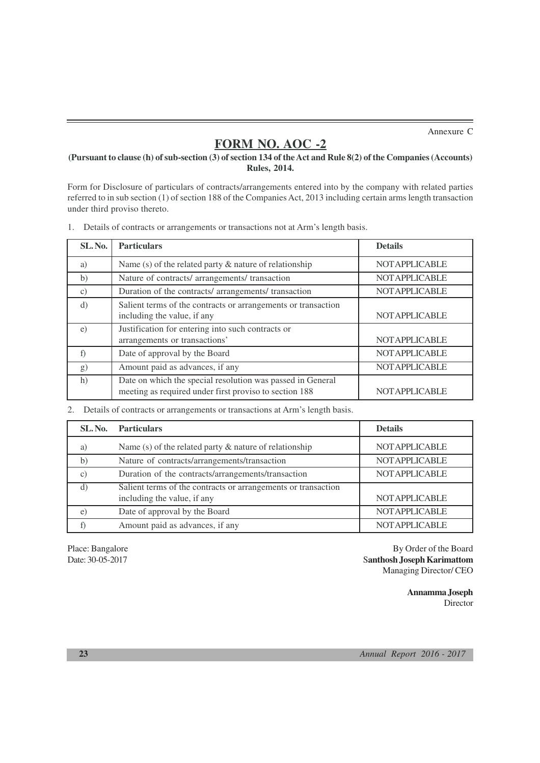Annexure C

# **FORM NO. AOC -2**

# **(Pursuant to clause (h) of sub-section (3) of section 134 of the Act and Rule 8(2) of the Companies (Accounts) Rules, 2014.**

Form for Disclosure of particulars of contracts/arrangements entered into by the company with related parties referred to in sub section (1) of section 188 of the Companies Act, 2013 including certain arms length transaction under third proviso thereto.

| <b>SL. No.</b> | <b>Particulars</b>                                                                                                   | <b>Details</b>       |
|----------------|----------------------------------------------------------------------------------------------------------------------|----------------------|
| a)             | Name (s) of the related party $\&$ nature of relationship                                                            | <b>NOTAPPLICABLE</b> |
| b)             | Nature of contracts/ arrangements/ transaction                                                                       | <b>NOTAPPLICABLE</b> |
| $\mathbf{c})$  | Duration of the contracts/ arrangements/ transaction                                                                 | NOTAPPLICABLE        |
| $\rm d$        | Salient terms of the contracts or arrangements or transaction<br>including the value, if any                         | <b>NOTAPPLICABLE</b> |
| $\epsilon$ )   | Justification for entering into such contracts or<br>arrangements or transactions'                                   | <b>NOTAPPLICABLE</b> |
| f              | Date of approval by the Board                                                                                        | NOTAPPLICABLE        |
| g)             | Amount paid as advances, if any                                                                                      | <b>NOTAPPLICABLE</b> |
| h)             | Date on which the special resolution was passed in General<br>meeting as required under first proviso to section 188 | <b>NOTAPPLICABLE</b> |

1. Details of contracts or arrangements or transactions not at Arm's length basis.

2. Details of contracts or arrangements or transactions at Arm's length basis.

| SL. No.         | <b>Particulars</b>                                                                           | <b>Details</b>       |
|-----------------|----------------------------------------------------------------------------------------------|----------------------|
| a)              | Name (s) of the related party $\&$ nature of relationship                                    | <b>NOTAPPLICABLE</b> |
| b)              | Nature of contracts/arrangements/transaction                                                 | NOTAPPLICABLE        |
| $\mathcal{C}$ ) | Duration of the contracts/arrangements/transaction                                           | NOTAPPLICABLE        |
| d)              | Salient terms of the contracts or arrangements or transaction<br>including the value, if any | <b>NOTAPPLICABLE</b> |
| $\epsilon$      | Date of approval by the Board                                                                | <b>NOTAPPLICABLE</b> |
|                 | Amount paid as advances, if any                                                              | NOTAPPLICABLE        |

Place: Bangalore By Order of the Board Date: 30-05-2017 S**anthosh Joseph Karimattom** Managing Director/ CEO

> **Annamma Joseph** Director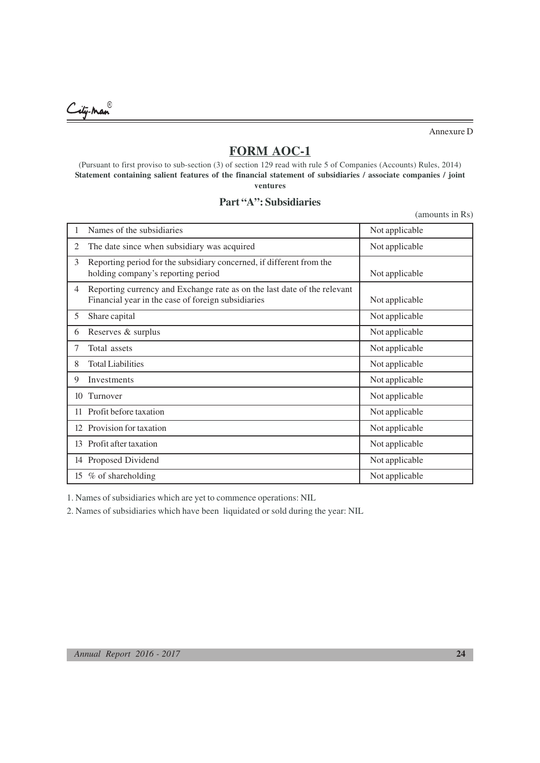City-man

Annexure D

# **FORM AOC-1**

(Pursuant to first proviso to sub-section (3) of section 129 read with rule 5 of Companies (Accounts) Rules, 2014) **Statement containing salient features of the financial statement of subsidiaries / associate companies / joint ventures**

# **Part "A": Subsidiaries**

(amounts in Rs)

|    | Names of the subsidiaries                                                                                                      | Not applicable |
|----|--------------------------------------------------------------------------------------------------------------------------------|----------------|
| 2  | The date since when subsidiary was acquired                                                                                    | Not applicable |
| 3  | Reporting period for the subsidiary concerned, if different from the<br>holding company's reporting period                     | Not applicable |
| 4  | Reporting currency and Exchange rate as on the last date of the relevant<br>Financial year in the case of foreign subsidiaries | Not applicable |
| 5  | Share capital                                                                                                                  | Not applicable |
| 6  | Reserves & surplus                                                                                                             | Not applicable |
| 7  | Total assets                                                                                                                   | Not applicable |
| 8  | <b>Total Liabilities</b>                                                                                                       | Not applicable |
| 9  | Investments                                                                                                                    | Not applicable |
| 10 | Turnover                                                                                                                       | Not applicable |
| 11 | Profit before taxation                                                                                                         | Not applicable |
| 12 | Provision for taxation                                                                                                         | Not applicable |
| 13 | Profit after taxation                                                                                                          | Not applicable |
|    | 14 Proposed Dividend                                                                                                           | Not applicable |
|    | 15 % of shareholding                                                                                                           | Not applicable |

1. Names of subsidiaries which are yet to commence operations: NIL

2. Names of subsidiaries which have been liquidated or sold during the year: NIL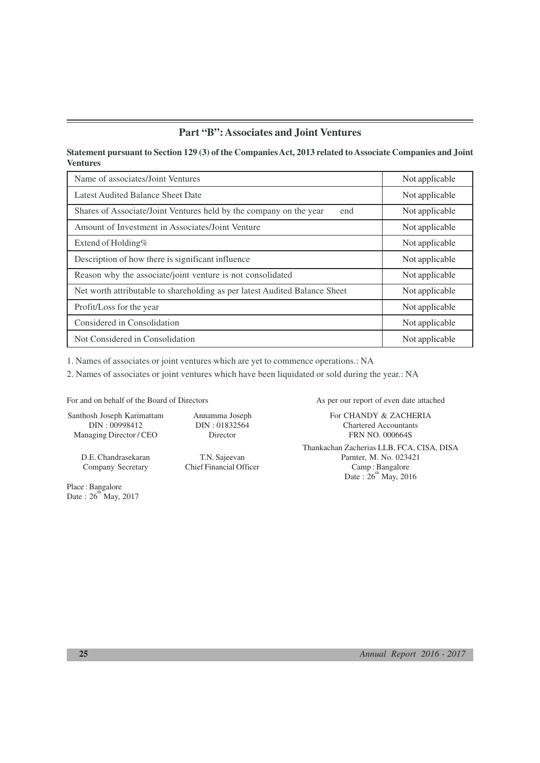# **Part "B": Associates and Joint Ventures**

# **Statement pursuant to Section 129 (3) of the Companies Act, 2013 related to Associate Companies and Joint Ventures**

| Name of associates/Joint Ventures                                          | Not applicable |
|----------------------------------------------------------------------------|----------------|
| Latest Audited Balance Sheet Date                                          | Not applicable |
| Shares of Associate/Joint Ventures held by the company on the year<br>end  | Not applicable |
| Amount of Investment in Associates/Joint Venture                           | Not applicable |
| Extend of Holding%                                                         | Not applicable |
| Description of how there is significant influence                          | Not applicable |
| Reason why the associate/joint venture is not consolidated                 | Not applicable |
| Net worth attributable to shareholding as per latest Audited Balance Sheet | Not applicable |
| Profit/Loss for the year                                                   | Not applicable |
| Considered in Consolidation                                                | Not applicable |
| Not Considered in Consolidation                                            | Not applicable |

1. Names of associates or joint ventures which are yet to commence operations.: NA

2. Names of associates or joint ventures which have been liquidated or sold during the year.: NA

For and on behalf of the Board of Directors As per our report of even date attached

Santhosh Joseph Karimattam Annamma Joseph For CHANDY & ZACHERIA<br>DIN : 00998412 DIN : 01832564 Chartered Accountants Managing Director / CEO Director **Director** FRN NO. 000664S

Company Secretary Chief Financial Officer

Place : Bangalore Date:  $26^{th}$ May, 2017

Chartered Accountants

Thankachan Zacherias LLB, FCA, CISA, DISA D.E. Chandrasekaran T.N. Sajeevan Parnter, M. No. 023421 Date:  $26^{th}$  May, 2016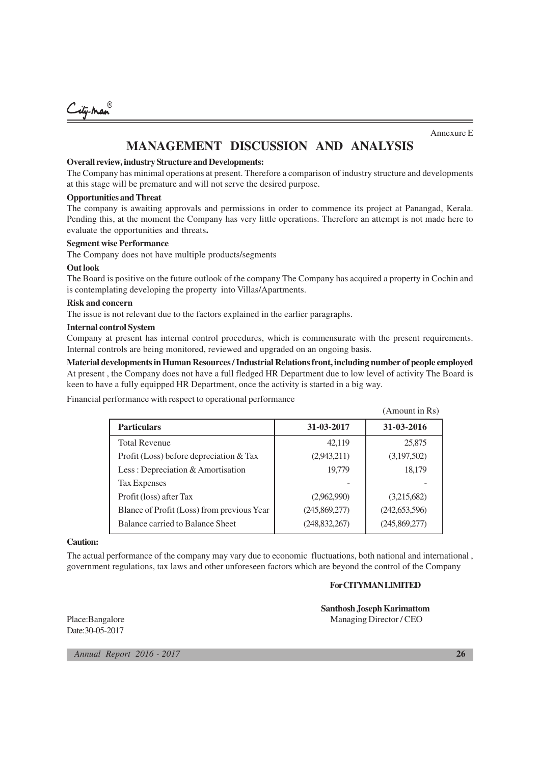.<br>-ity-Man

Annexure E

# **MANAGEMENT DISCUSSION AND ANALYSIS**

# **Overall review, industry Structure and Developments:**

The Company has minimal operations at present. Therefore a comparison of industry structure and developments at this stage will be premature and will not serve the desired purpose.

#### **Opportunities and Threat**

The company is awaiting approvals and permissions in order to commence its project at Panangad, Kerala. Pending this, at the moment the Company has very little operations. Therefore an attempt is not made here to evaluate the opportunities and threats**.**

#### **Segment wise Performance**

The Company does not have multiple products/segments

#### **Out look**

The Board is positive on the future outlook of the company The Company has acquired a property in Cochin and is contemplating developing the property into Villas/Apartments.

#### **Risk and concern**

The issue is not relevant due to the factors explained in the earlier paragraphs.

#### **Internal control System**

Company at present has internal control procedures, which is commensurate with the present requirements. Internal controls are being monitored, reviewed and upgraded on an ongoing basis.

**Material developments in Human Resources / Industrial Relations front, including number of people employed** At present , the Company does not have a full fledged HR Department due to low level of activity The Board is keen to have a fully equipped HR Department, once the activity is started in a big way.

Financial performance with respect to operational performance

|                                            |                 | (Amount in Rs)  |
|--------------------------------------------|-----------------|-----------------|
| <b>Particulars</b>                         | 31-03-2017      | 31-03-2016      |
| <b>Total Revenue</b>                       | 42,119          | 25,875          |
| Profit (Loss) before depreciation & Tax    | (2,943,211)     | (3,197,502)     |
| Less: Depreciation & Amortisation          | 19.779          | 18,179          |
| <b>Tax Expenses</b>                        |                 |                 |
| Profit (loss) after Tax                    | (2,962,990)     | (3,215,682)     |
| Blance of Profit (Loss) from previous Year | (245,869,277)   | (242, 653, 596) |
| Balance carried to Balance Sheet           | (248, 832, 267) | (245,869,277)   |
|                                            |                 |                 |

#### **Caution:**

The actual performance of the company may vary due to economic fluctuations, both national and international , government regulations, tax laws and other unforeseen factors which are beyond the control of the Company

## **For CITYMAN LIMITED**

 $(A_m, \ldots, A_m)$ 

**Santhosh Joseph Karimattom** Place:Bangalore Managing Director / CEO

Date:30-05-2017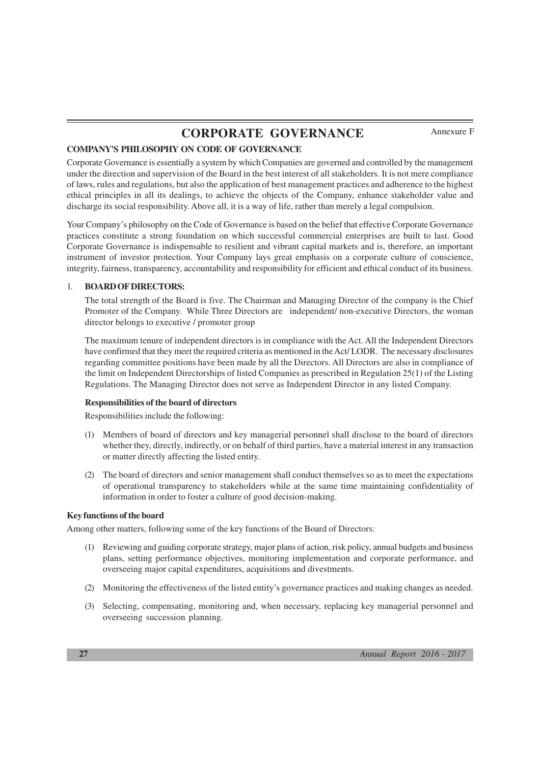# **CORPORATE GOVERNANCE**

## **COMPANY'S PHILOSOPHY ON CODE OF GOVERNANCE**

Corporate Governance is essentially a system by which Companies are governed and controlled by the management under the direction and supervision of the Board in the best interest of all stakeholders. It is not mere compliance of laws, rules and regulations, but also the application of best management practices and adherence to the highest ethical principles in all its dealings, to achieve the objects of the Company, enhance stakeholder value and discharge its social responsibility. Above all, it is a way of life, rather than merely a legal compulsion.

Your Company's philosophy on the Code of Governance is based on the belief that effective Corporate Governance practices constitute a strong foundation on which successful commercial enterprises are built to last. Good Corporate Governance is indispensable to resilient and vibrant capital markets and is, therefore, an important instrument of investor protection. Your Company lays great emphasis on a corporate culture of conscience, integrity, fairness, transparency, accountability and responsibility for efficient and ethical conduct of its business.

# 1. **BOARD OF DIRECTORS:**

The total strength of the Board is five. The Chairman and Managing Director of the company is the Chief Promoter of the Company. While Three Directors are independent/ non-executive Directors, the woman director belongs to executive / promoter group

The maximum tenure of independent directors is in compliance with the Act. All the Independent Directors have confirmed that they meet the required criteria as mentioned in the Act/ LODR. The necessary disclosures regarding committee positions have been made by all the Directors. All Directors are also in compliance of the limit on Independent Directorships of listed Companies as prescribed in Regulation 25(1) of the Listing Regulations. The Managing Director does not serve as Independent Director in any listed Company.

## **Responsibilities of the board of directors**

Responsibilities include the following:

- (1) Members of board of directors and key managerial personnel shall disclose to the board of directors whether they, directly, indirectly, or on behalf of third parties, have a material interest in any transaction or matter directly affecting the listed entity.
- (2) The board of directors and senior management shall conduct themselves so as to meet the expectations of operational transparency to stakeholders while at the same time maintaining confidentiality of information in order to foster a culture of good decision-making.

# **Key functions of the board**

Among other matters, following some of the key functions of the Board of Directors:

- (1) Reviewing and guiding corporate strategy, major plans of action, risk policy, annual budgets and business plans, setting performance objectives, monitoring implementation and corporate performance, and overseeing major capital expenditures, acquisitions and divestments.
- (2) Monitoring the effectiveness of the listed entity's governance practices and making changes as needed.
- (3) Selecting, compensating, monitoring and, when necessary, replacing key managerial personnel and overseeing succession planning.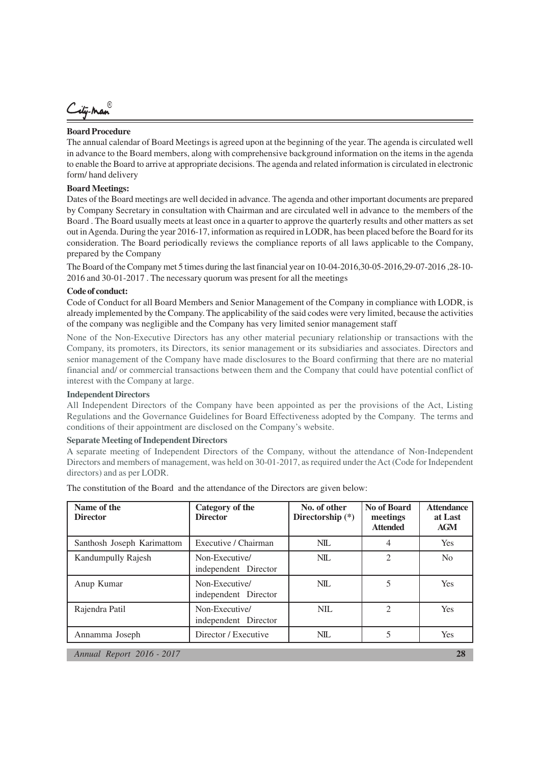City-Man

#### **Board Procedure**

The annual calendar of Board Meetings is agreed upon at the beginning of the year. The agenda is circulated well in advance to the Board members, along with comprehensive background information on the items in the agenda to enable the Board to arrive at appropriate decisions. The agenda and related information is circulated in electronic form/ hand delivery

#### **Board Meetings:**

Dates of the Board meetings are well decided in advance. The agenda and other important documents are prepared by Company Secretary in consultation with Chairman and are circulated well in advance to the members of the Board . The Board usually meets at least once in a quarter to approve the quarterly results and other matters as set out in Agenda. During the year 2016-17, information as required in LODR, has been placed before the Board for its consideration. The Board periodically reviews the compliance reports of all laws applicable to the Company, prepared by the Company

The Board of the Company met 5 times during the last financial year on 10-04-2016,30-05-2016,29-07-2016 ,28-10- 2016 and 30-01-2017 . The necessary quorum was present for all the meetings

#### **Code of conduct:**

Code of Conduct for all Board Members and Senior Management of the Company in compliance with LODR, is already implemented by the Company. The applicability of the said codes were very limited, because the activities of the company was negligible and the Company has very limited senior management staff

None of the Non-Executive Directors has any other material pecuniary relationship or transactions with the Company, its promoters, its Directors, its senior management or its subsidiaries and associates. Directors and senior management of the Company have made disclosures to the Board confirming that there are no material financial and/ or commercial transactions between them and the Company that could have potential conflict of interest with the Company at large.

#### **Independent Directors**

All Independent Directors of the Company have been appointed as per the provisions of the Act, Listing Regulations and the Governance Guidelines for Board Effectiveness adopted by the Company. The terms and conditions of their appointment are disclosed on the Company's website.

## **Separate Meeting of Independent Directors**

A separate meeting of Independent Directors of the Company, without the attendance of Non-Independent Directors and members of management, was held on 30-01-2017, as required under the Act (Code for Independent directors) and as per LODR.

| Name of the<br><b>Director</b> | <b>Category of the</b><br><b>Director</b> | No. of other<br>Directorship $(*)$ | No of Board<br>meetings<br><b>Attended</b> | <b>Attendance</b><br>at Last<br><b>AGM</b> |
|--------------------------------|-------------------------------------------|------------------------------------|--------------------------------------------|--------------------------------------------|
| Santhosh Joseph Karimattom     | Executive / Chairman                      | NIL.                               | $\overline{4}$                             | <b>Yes</b>                                 |
| Kandumpully Rajesh             | Non-Executive/<br>independent Director    | NIL.                               | 2                                          | N <sub>0</sub>                             |
| Anup Kumar                     | Non-Executive/<br>independent Director    | $NII$ .                            | 5                                          | <b>Yes</b>                                 |
| Rajendra Patil                 | Non-Executive/<br>independent Director    | <b>NIL</b>                         | $\mathfrak{D}$                             | Yes                                        |
| Annamma Joseph                 | Director / Executive                      | NIL.                               |                                            | <b>Yes</b>                                 |

The constitution of the Board and the attendance of the Directors are given below: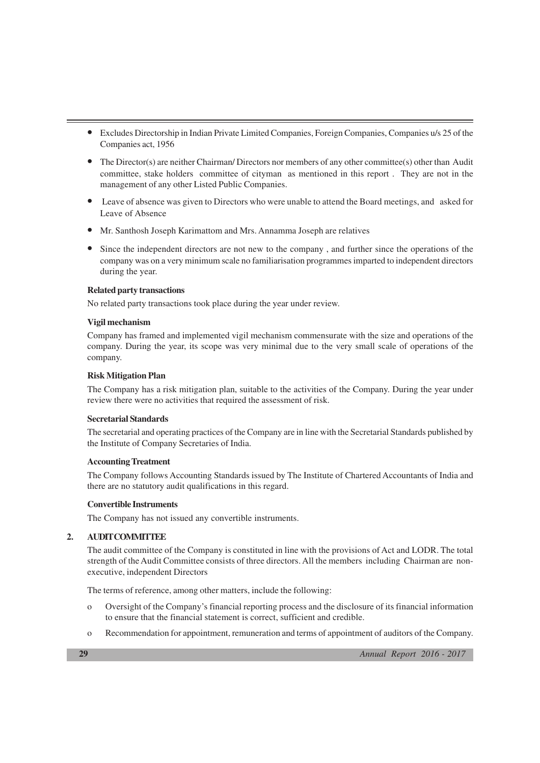- Excludes Directorship in Indian Private Limited Companies, Foreign Companies, Companies u/s 25 of the Companies act, 1956
- The Director(s) are neither Chairman/ Directors nor members of any other committee(s) other than Audit committee, stake holders committee of cityman as mentioned in this report . They are not in the management of any other Listed Public Companies.
- Leave of absence was given to Directors who were unable to attend the Board meetings, and asked for Leave of Absence
- Mr. Santhosh Joseph Karimattom and Mrs. Annamma Joseph are relatives
- Since the independent directors are not new to the company , and further since the operations of the company was on a very minimum scale no familiarisation programmes imparted to independent directors during the year.

## **Related party transactions**

No related party transactions took place during the year under review.

# **Vigil mechanism**

Company has framed and implemented vigil mechanism commensurate with the size and operations of the company. During the year, its scope was very minimal due to the very small scale of operations of the company.

# **Risk Mitigation Plan**

The Company has a risk mitigation plan, suitable to the activities of the Company. During the year under review there were no activities that required the assessment of risk.

## **Secretarial Standards**

The secretarial and operating practices of the Company are in line with the Secretarial Standards published by the Institute of Company Secretaries of India.

## **Accounting Treatment**

The Company follows Accounting Standards issued by The Institute of Chartered Accountants of India and there are no statutory audit qualifications in this regard.

# **Convertible Instruments**

The Company has not issued any convertible instruments.

# **2. AUDIT COMMITTEE**

The audit committee of the Company is constituted in line with the provisions of Act and LODR. The total strength of the Audit Committee consists of three directors. All the members including Chairman are nonexecutive, independent Directors

The terms of reference, among other matters, include the following:

- o Oversight of the Company's financial reporting process and the disclosure of its financial information to ensure that the financial statement is correct, sufficient and credible.
- o Recommendation for appointment, remuneration and terms of appointment of auditors of the Company.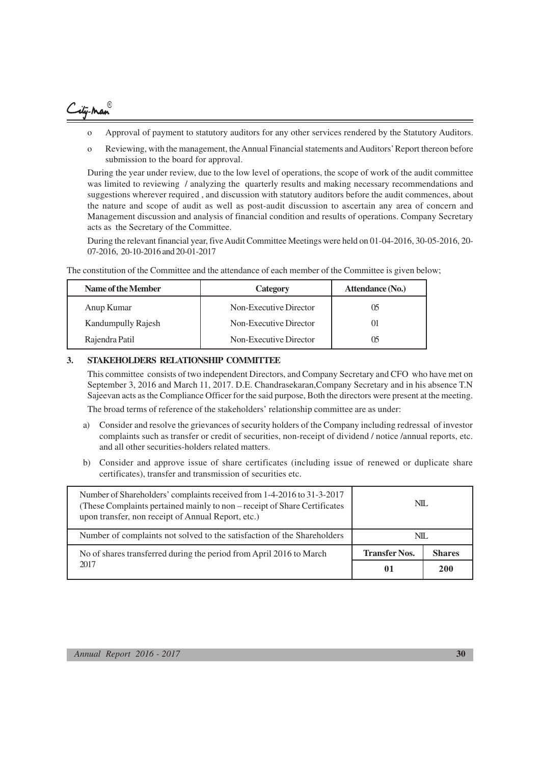.<br>ity-Man

- o Approval of payment to statutory auditors for any other services rendered by the Statutory Auditors.
- o Reviewing, with the management, the Annual Financial statements and Auditors' Report thereon before submission to the board for approval.

During the year under review, due to the low level of operations, the scope of work of the audit committee was limited to reviewing / analyzing the quarterly results and making necessary recommendations and suggestions wherever required , and discussion with statutory auditors before the audit commences, about the nature and scope of audit as well as post-audit discussion to ascertain any area of concern and Management discussion and analysis of financial condition and results of operations. Company Secretary acts as the Secretary of the Committee.

During the relevant financial year, five Audit Committee Meetings were held on 01-04-2016, 30-05-2016, 20- 07-2016, 20-10-2016 and 20-01-2017

| Name of the Member | <b>Category</b>        | <b>Attendance (No.)</b> |  |
|--------------------|------------------------|-------------------------|--|
| Anup Kumar         | Non-Executive Director | 05                      |  |
| Kandumpully Rajesh | Non-Executive Director | 01                      |  |
| Rajendra Patil     | Non-Executive Director | 05                      |  |

The constitution of the Committee and the attendance of each member of the Committee is given below;

#### **3. STAKEHOLDERS RELATIONSHIP COMMITTEE**

This committee consists of two independent Directors, and Company Secretary and CFO who have met on September 3, 2016 and March 11, 2017. D.E. Chandrasekaran,Company Secretary and in his absence T.N Sajeevan acts as the Compliance Officer for the said purpose, Both the directors were present at the meeting.

The broad terms of reference of the stakeholders' relationship committee are as under:

- a) Consider and resolve the grievances of security holders of the Company including redressal of investor complaints such as transfer or credit of securities, non-receipt of dividend / notice /annual reports, etc. and all other securities-holders related matters.
- b) Consider and approve issue of share certificates (including issue of renewed or duplicate share certificates), transfer and transmission of securities etc.

| Number of Shareholders' complaints received from 1-4-2016 to 31-3-2017<br>(These Complaints pertained mainly to non – receipt of Share Certificates<br>upon transfer, non receipt of Annual Report, etc.) | NIL.                 |               |
|-----------------------------------------------------------------------------------------------------------------------------------------------------------------------------------------------------------|----------------------|---------------|
| Number of complaints not solved to the satisfaction of the Shareholders                                                                                                                                   | NIL                  |               |
| No of shares transferred during the period from April 2016 to March                                                                                                                                       | <b>Transfer Nos.</b> | <b>Shares</b> |
| 2017                                                                                                                                                                                                      | 01                   | <b>200</b>    |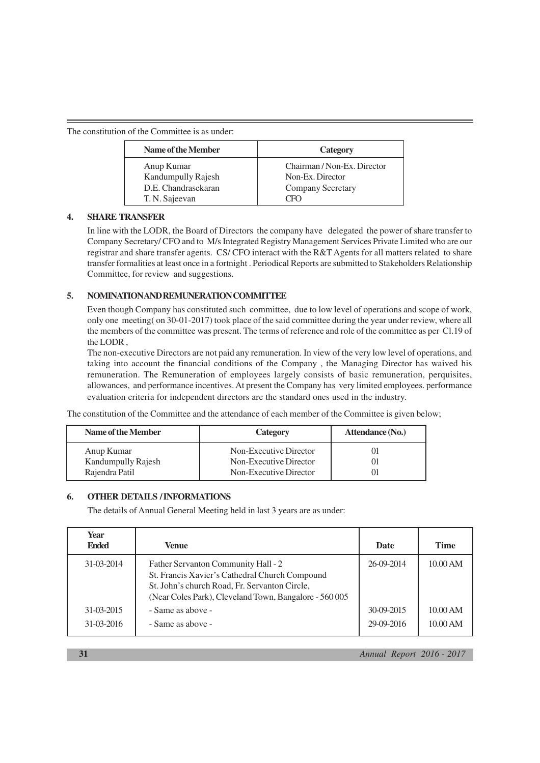The constitution of the Committee is as under:

| Name of the Member  | Category                    |
|---------------------|-----------------------------|
| Anup Kumar          | Chairman / Non-Ex. Director |
| Kandumpully Rajesh  | Non-Ex. Director            |
| D.E. Chandrasekaran | <b>Company Secretary</b>    |
| T. N. Sajeevan      |                             |

# **4. SHARE TRANSFER**

In line with the LODR, the Board of Directors the company have delegated the power of share transfer to Company Secretary/ CFO and to M/s Integrated Registry Management Services Private Limited who are our registrar and share transfer agents. CS/ CFO interact with the R&T Agents for all matters related to share transfer formalities at least once in a fortnight . Periodical Reports are submitted to Stakeholders Relationship Committee, for review and suggestions.

# **5. NOMINATION AND REMUNERATION COMMITTEE**

Even though Company has constituted such committee, due to low level of operations and scope of work, only one meeting( on 30-01-2017) took place of the said committee during the year under review, where all the members of the committee was present. The terms of reference and role of the committee as per Cl.19 of the LODR ,

The non-executive Directors are not paid any remuneration. In view of the very low level of operations, and taking into account the financial conditions of the Company , the Managing Director has waived his remuneration. The Remuneration of employees largely consists of basic remuneration, perquisites, allowances, and performance incentives. At present the Company has very limited employees. performance evaluation criteria for independent directors are the standard ones used in the industry.

The constitution of the Committee and the attendance of each member of the Committee is given below;

| Name of the Member                                 | Category                                                                   | <b>Attendance (No.)</b> |
|----------------------------------------------------|----------------------------------------------------------------------------|-------------------------|
| Anup Kumar<br>Kandumpully Rajesh<br>Rajendra Patil | Non-Executive Director<br>Non-Executive Director<br>Non-Executive Director | 01<br>01                |

## **6. OTHER DETAILS / INFORMATIONS**

The details of Annual General Meeting held in last 3 years are as under:

| Year<br><b>Ended</b> | Venue                                                                                                                                                                                            | <b>Date</b> | <b>Time</b> |
|----------------------|--------------------------------------------------------------------------------------------------------------------------------------------------------------------------------------------------|-------------|-------------|
| 31-03-2014           | Father Servanton Community Hall - 2<br>St. Francis Xavier's Cathedral Church Compound<br>St. John's church Road, Fr. Servanton Circle,<br>(Near Coles Park), Cleveland Town, Bangalore - 560 005 | 26-09-2014  | 10.00 AM    |
| 31-03-2015           | - Same as above -                                                                                                                                                                                | 30-09-2015  | 10.00 AM    |
| 31-03-2016           | - Same as above -                                                                                                                                                                                | 29-09-2016  | 10.00 AM    |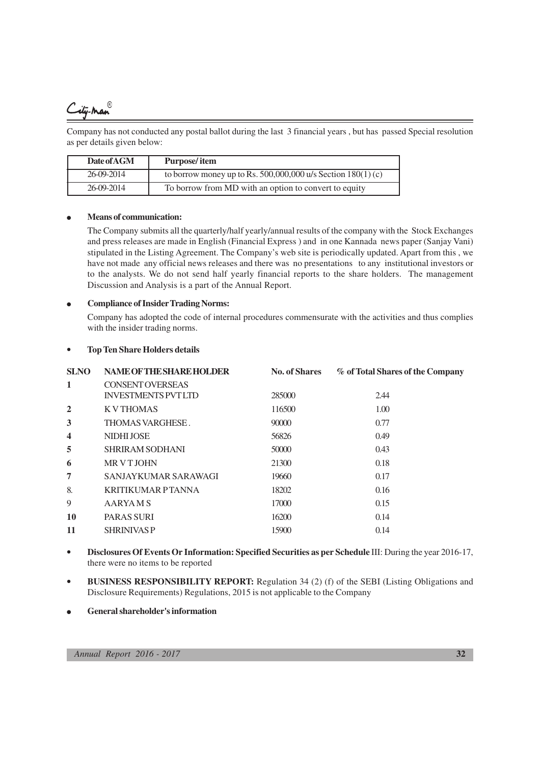# City-Man

Company has not conducted any postal ballot during the last 3 financial years , but has passed Special resolution as per details given below:

| Date of AGM | Purpose/item                                                  |
|-------------|---------------------------------------------------------------|
| 26-09-2014  | to borrow money up to Rs. 500,000,000 u/s Section $180(1)(c)$ |
| 26-09-2014  | To borrow from MD with an option to convert to equity         |

## **•** Means of communication:

The Company submits all the quarterly/half yearly/annual results of the company with the Stock Exchanges and press releases are made in English (Financial Express ) and in one Kannada news paper (Sanjay Vani) stipulated in the Listing Agreement. The Company's web site is periodically updated. Apart from this , we have not made any official news releases and there was no presentations to any institutional investors or to the analysts. We do not send half yearly financial reports to the share holders. The management Discussion and Analysis is a part of the Annual Report.

## <sup>l</sup> **Compliance of Insider Trading Norms:**

Company has adopted the code of internal procedures commensurate with the activities and thus complies with the insider trading norms.

## • **Top Ten Share Holders details**

| <b>SLNO</b>             | NAME OF THE SHARE HOLDER                             | <b>No. of Shares</b> | % of Total Shares of the Company |
|-------------------------|------------------------------------------------------|----------------------|----------------------------------|
| 1                       | <b>CONSENT OVERSEAS</b><br><b>INVESTMENTS PVTLTD</b> | 285000               | 2.44                             |
| $\overline{2}$          | <b>KVTHOMAS</b>                                      | 116500               | 1.00                             |
| 3                       | THOMAS VARGHESE.                                     | 90000                | 0.77                             |
| $\overline{\mathbf{4}}$ | NIDHI JOSE                                           | 56826                | 0.49                             |
| 5                       | <b>SHRIRAM SODHANI</b>                               | 50000                | 0.43                             |
| 6                       | <b>MRVTJOHN</b>                                      | 21300                | 0.18                             |
| 7                       | SANJAYKUMAR SARAWAGI                                 | 19660                | 0.17                             |
| 8.                      | <b>KRITIKUMAR PTANNA</b>                             | 18202                | 0.16                             |
| 9                       | AARYAM <sub>S</sub>                                  | 17000                | 0.15                             |
| 10                      | <b>PARAS SURI</b>                                    | 16200                | 0.14                             |
| 11                      | <b>SHRINIVAS P</b>                                   | 15900                | 0.14                             |
|                         |                                                      |                      |                                  |

- **Disclosures Of Events Or Information: Specified Securities as per Schedule** III: During the year 2016-17, there were no items to be reported
- **BUSINESS RESPONSIBILITY REPORT:** Regulation 34 (2) (f) of the SEBI (Listing Obligations and Disclosure Requirements) Regulations, 2015 is not applicable to the Company
- <sup>l</sup> **General shareholder's information**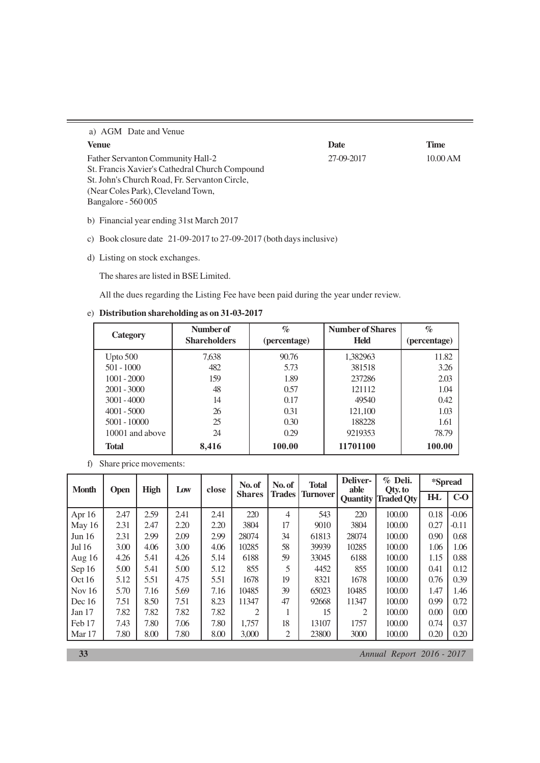| a) AGM Date and Venue                          |            |             |
|------------------------------------------------|------------|-------------|
| <b>Venue</b>                                   | Date       | <b>Time</b> |
| Father Servanton Community Hall-2              | 27-09-2017 | 10.00 AM    |
| St. Francis Xavier's Cathedral Church Compound |            |             |
| St. John's Church Road, Fr. Servanton Circle,  |            |             |
| (Near Coles Park), Cleveland Town,             |            |             |
| Bangalore - 560 005                            |            |             |
|                                                |            |             |

- b) Financial year ending 31st March 2017
- c) Book closure date 21-09-2017 to 27-09-2017 (both days inclusive)
- d) Listing on stock exchanges.

The shares are listed in BSE Limited.

All the dues regarding the Listing Fee have been paid during the year under review.

|  | e) Distribution shareholding as on 31-03-2017 |  |
|--|-----------------------------------------------|--|
|  |                                               |  |

| Category        | Number of<br><b>Shareholders</b> | $\%$<br>(percentage) | <b>Number of Shares</b><br><b>Held</b> | $\%$<br>(percentage) |
|-----------------|----------------------------------|----------------------|----------------------------------------|----------------------|
| Upto $500$      | 7,638                            | 90.76                | 1,382963                               | 11.82                |
| $501 - 1000$    | 482                              | 5.73                 | 381518                                 | 3.26                 |
| $1001 - 2000$   | 159                              | 1.89                 | 237286                                 | 2.03                 |
| $2001 - 3000$   | 48                               | 0.57                 | 121112                                 | 1.04                 |
| $3001 - 4000$   | 14                               | 0.17                 | 49540                                  | 0.42                 |
| $4001 - 5000$   | 26                               | 0.31                 | 121,100                                | 1.03                 |
| $5001 - 10000$  | 25                               | 0.30                 | 188228                                 | 1.61                 |
| 10001 and above | 24                               | 0.29                 | 9219353                                | 78.79                |
| <b>Total</b>    | 8,416                            | 100.00               | 11701100                               | 100.00               |

f) Share price movements:

| <b>Month</b> | <b>Open</b> | <b>High</b> | Low  | close | No. of<br><b>Shares</b> | No. of<br><b>Trades</b> | <b>Total</b><br><b>Turnover</b> | <b>Deliver-</b><br>able<br><b>Quantity</b> | % Deli.<br>Qty.to<br><b>Traded Qty</b> | *Spread    |         |
|--------------|-------------|-------------|------|-------|-------------------------|-------------------------|---------------------------------|--------------------------------------------|----------------------------------------|------------|---------|
|              |             |             |      |       |                         |                         |                                 |                                            |                                        | <b>H-L</b> | $C-O$   |
| Apr 16       | 2.47        | 2.59        | 2.41 | 2.41  | 220                     | 4                       | 543                             | 220                                        | 100.00                                 | 0.18       | $-0.06$ |
| May $16$     | 2.31        | 2.47        | 2.20 | 2.20  | 3804                    | 17                      | 9010                            | 3804                                       | 100.00                                 | 0.27       | $-0.11$ |
| Jun $16$     | 2.31        | 2.99        | 2.09 | 2.99  | 28074                   | 34                      | 61813                           | 28074                                      | 100.00                                 | 0.90       | 0.68    |
| Jul 16       | 3.00        | 4.06        | 3.00 | 4.06  | 10285                   | 58                      | 39939                           | 10285                                      | 100.00                                 | 1.06       | 1.06    |
| Aug 16       | 4.26        | 5.41        | 4.26 | 5.14  | 6188                    | 59                      | 33045                           | 6188                                       | 100.00                                 | 1.15       | 0.88    |
| Sep 16       | 5.00        | 5.41        | 5.00 | 5.12  | 855                     | 5                       | 4452                            | 855                                        | 100.00                                 | 0.41       | 0.12    |
| Oct 16       | 5.12        | 5.51        | 4.75 | 5.51  | 1678                    | 19                      | 8321                            | 1678                                       | 100.00                                 | 0.76       | 0.39    |
| Nov $16$     | 5.70        | 7.16        | 5.69 | 7.16  | 10485                   | 39                      | 65023                           | 10485                                      | 100.00                                 | 1.47       | 1.46    |
| Dec $16$     | 7.51        | 8.50        | 7.51 | 8.23  | 11347                   | 47                      | 92668                           | 11347                                      | 100.00                                 | 0.99       | 0.72    |
| Jan $17$     | 7.82        | 7.82        | 7.82 | 7.82  | 2                       |                         | 15                              | $\mathfrak{D}$                             | 100.00                                 | 0.00       | 0.00    |
| Feb 17       | 7.43        | 7.80        | 7.06 | 7.80  | 1,757                   | 18                      | 13107                           | 1757                                       | 100.00                                 | 0.74       | 0.37    |
| Mar $17$     | 7.80        | 8.00        | 7.80 | 8.00  | 3,000                   | 2                       | 23800                           | 3000                                       | 100.00                                 | 0.20       | 0.20    |
|              |             |             |      |       |                         |                         |                                 |                                            | . .                                    | -----      |         |

**33** *Annual Report 2016 - 2017*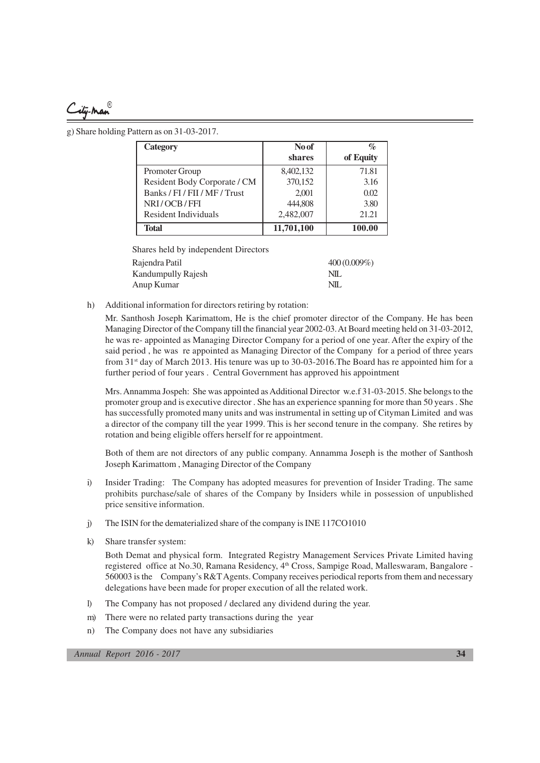City-Man

g) Share holding Pattern as on 31-03-2017.

| Category                      | No of      | $\%$      |
|-------------------------------|------------|-----------|
|                               | shares     | of Equity |
| Promoter Group                | 8,402,132  | 71.81     |
| Resident Body Corporate / CM  | 370,152    | 3.16      |
| Banks / FI / FII / MF / Trust | 2,001      | 0.02      |
| NRI/OCB/FFI                   | 444,808    | 3.80      |
| <b>Resident Individuals</b>   | 2,482,007  | 21.21     |
| <b>Total</b>                  | 11,701,100 | 100.00    |

Shares held by independent Directors

| Rajendra Patil     | $400(0.009\%)$ |
|--------------------|----------------|
| Kandumpully Rajesh | NIL            |
| Anup Kumar         | NIL            |

h) Additional information for directors retiring by rotation:

Mr. Santhosh Joseph Karimattom, He is the chief promoter director of the Company. He has been Managing Director of the Company till the financial year 2002-03. At Board meeting held on 31-03-2012, he was re- appointed as Managing Director Company for a period of one year. After the expiry of the said period , he was re appointed as Managing Director of the Company for a period of three years from 31<sup>st</sup> day of March 2013. His tenure was up to 30-03-2016. The Board has re appointed him for a further period of four years . Central Government has approved his appointment

Mrs. Annamma Jospeh: She was appointed as Additional Director w.e.f 31-03-2015. She belongs to the promoter group and is executive director . She has an experience spanning for more than 50 years . She has successfully promoted many units and was instrumental in setting up of Cityman Limited and was a director of the company till the year 1999. This is her second tenure in the company. She retires by rotation and being eligible offers herself for re appointment.

Both of them are not directors of any public company. Annamma Joseph is the mother of Santhosh Joseph Karimattom , Managing Director of the Company

- i) Insider Trading: The Company has adopted measures for prevention of Insider Trading. The same prohibits purchase/sale of shares of the Company by Insiders while in possession of unpublished price sensitive information.
- j) The ISIN for the dematerialized share of the company is INE 117CO1010
- k) Share transfer system:

Both Demat and physical form. Integrated Registry Management Services Private Limited having registered office at No.30, Ramana Residency, 4<sup>th</sup> Cross, Sampige Road, Malleswaram, Bangalore -560003 is the Company's R&TAgents. Company receives periodical reports from them and necessary delegations have been made for proper execution of all the related work.

- l) The Company has not proposed / declared any dividend during the year.
- m) There were no related party transactions during the year
- n) The Company does not have any subsidiaries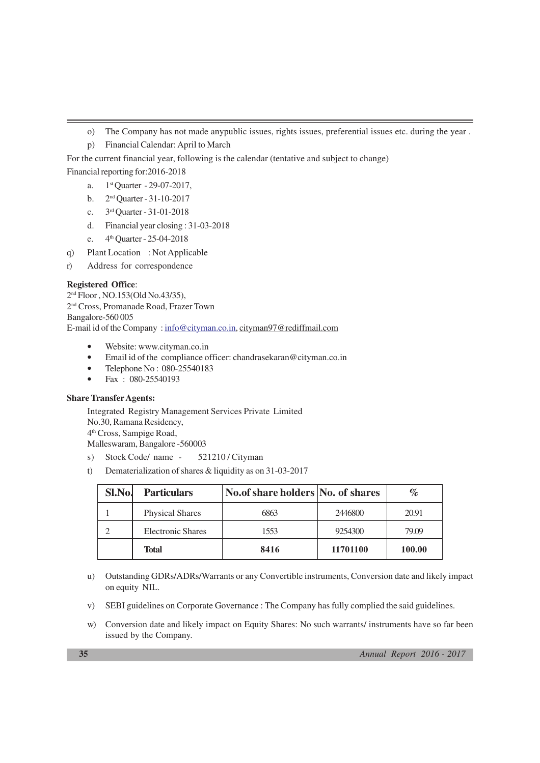- o) The Company has not made anypublic issues, rights issues, preferential issues etc. during the year .
- p) Financial Calendar: April to March

For the current financial year, following is the calendar (tentative and subject to change)

Financial reporting for:2016-2018

- a. 1st Quarter - 29-07-2017,
- $\mathbf{b}$ . 2<sup>nd</sup> Quarter - 31-10-2017
- $c.$ 3rd Quarter - 31-01-2018
- d. Financial year closing : 31-03-2018
- e. 4<sup>th</sup> Quarter - 25-04-2018
- q) Plant Location : Not Applicable
- r) Address for correspondence

### **Registered Office**:

2 nd Floor , NO.153(Old No.43/35), 2 nd Cross, Promanade Road, Frazer Town Bangalore-560 005 E-mail id of the Company : info@cityman.co.in, cityman97@rediffmail.com

- Website: www.cityman.co.in
- Email id of the compliance officer: chandrasekaran@cityman.co.in
- Telephone No : 080-25540183
- Fax : 080-25540193

### **Share TransferAgents:**

Integrated Registry Management Services Private Limited No.30, Ramana Residency, 4 th Cross, Sampige Road, Malleswaram, Bangalore -560003

- s) Stock Code/ name 521210/ Cityman
- t) Dematerialization of shares & liquidity as on 31-03-2017

| Sl.No. | <b>Particulars</b>       | No.of share holders No. of shares |          | %      |  |
|--------|--------------------------|-----------------------------------|----------|--------|--|
|        | <b>Physical Shares</b>   | 6863                              | 2446800  | 20.91  |  |
|        | <b>Electronic Shares</b> | 1553                              |          | 79.09  |  |
|        | Total                    | 8416                              | 11701100 | 100.00 |  |

- u) Outstanding GDRs/ADRs/Warrants or any Convertible instruments, Conversion date and likely impact on equity NIL.
- v) SEBI guidelines on Corporate Governance : The Company has fully complied the said guidelines.
- w) Conversion date and likely impact on Equity Shares: No such warrants/ instruments have so far been issued by the Company.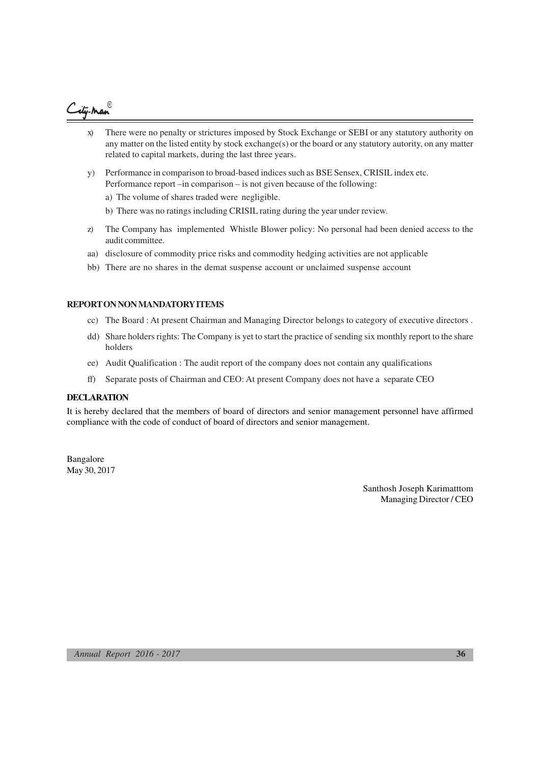# ity-Man<sup>®</sup>

- x) There were no penalty or strictures imposed by Stock Exchange or SEBI or any statutory authority on any matter on the listed entity by stock exchange(s) or the board or any statutory autority, on any matter related to capital markets, during the last three years.
- y) Performance in comparison to broad-based indices such as BSE Sensex, CRISIL index etc. Performance report –in comparison – is not given because of the following:
	- a) The volume of shares traded were negligible.
	- b) There was no ratings including CRISIL rating during the year under review.
- z) The Company has implemented Whistle Blower policy: No personal had been denied access to the audit committee.
- aa) disclosure of commodity price risks and commodity hedging activities are not applicable
- bb) There are no shares in the demat suspense account or unclaimed suspense account

#### **REPORT ON NON MANDATORY ITEMS**

- cc) The Board : At present Chairman and Managing Director belongs to category of executive directors .
- dd) Share holders rights: The Company is yet to start the practice of sending six monthly report to the share holders
- ee) Audit Qualification : The audit report of the company does not contain any qualifications
- ff) Separate posts of Chairman and CEO: At present Company does not have a separate CEO

#### **DECLARATION**

It is hereby declared that the members of board of directors and senior management personnel have affirmed compliance with the code of conduct of board of directors and senior management.

Bangalore May 30, 2017

> Santhosh Joseph Karimatttom Managing Director / CEO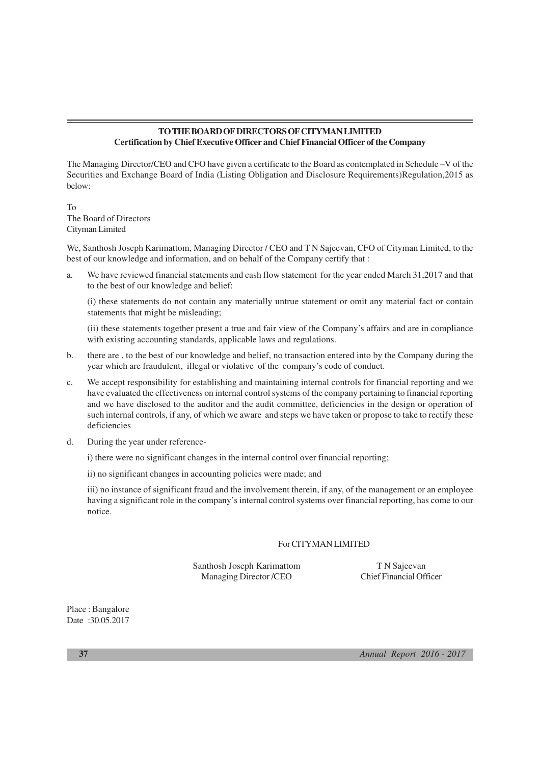### **TO THE BOARD OF DIRECTORS OF CITYMAN LIMITED Certification by Chief Executive Officer and Chief Financial Officer of the Company**

The Managing Director/CEO and CFO have given a certificate to the Board as contemplated in Schedule –V of the Securities and Exchange Board of India (Listing Obligation and Disclosure Requirements)Regulation,2015 as below:

To The Board of Directors Cityman Limited

We, Santhosh Joseph Karimattom, Managing Director / CEO and T N Sajeevan, CFO of Cityman Limited, to the best of our knowledge and information, and on behalf of the Company certify that :

a. We have reviewed financial statements and cash flow statement for the year ended March 31,2017 and that to the best of our knowledge and belief:

(i) these statements do not contain any materially untrue statement or omit any material fact or contain statements that might be misleading;

(ii) these statements together present a true and fair view of the Company's affairs and are in compliance with existing accounting standards, applicable laws and regulations.

- b. there are , to the best of our knowledge and belief, no transaction entered into by the Company during the year which are fraudulent, illegal or violative of the company's code of conduct.
- c. We accept responsibility for establishing and maintaining internal controls for financial reporting and we have evaluated the effectiveness on internal control systems of the company pertaining to financial reporting and we have disclosed to the auditor and the audit committee, deficiencies in the design or operation of such internal controls, if any, of which we aware and steps we have taken or propose to take to rectify these deficiencies
- d. During the year under reference-

i) there were no significant changes in the internal control over financial reporting;

ii) no significant changes in accounting policies were made; and

iii) no instance of significant fraud and the involvement therein, if any, of the management or an employee having a significant role in the company's internal control systems over financial reporting, has come to our notice.

#### For CITYMAN LIMITED

Santhosh Joseph Karimattom T N Sajeevan Managing Director /CEO Chief Financial Officer

Place : Bangalore Date :30.05.2017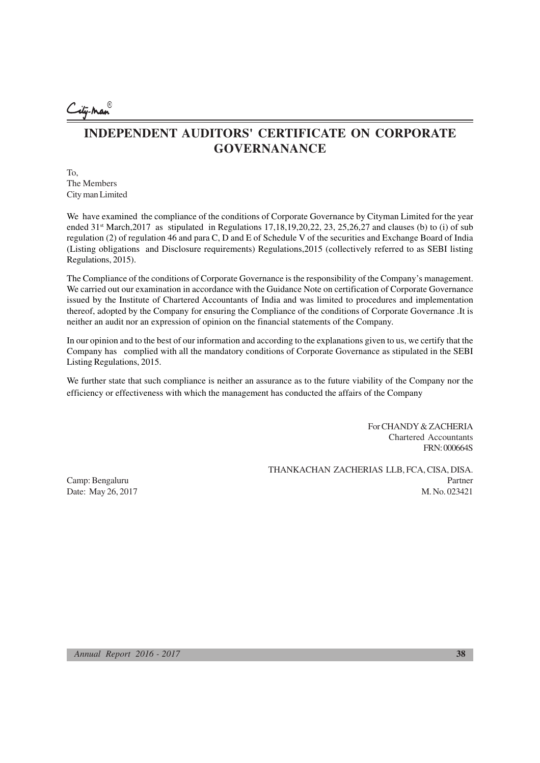.<br>Ay-Man

# **INDEPENDENT AUDITORS' CERTIFICATE ON CORPORATE GOVERNANANCE**

To, The Members City man Limited

We have examined the compliance of the conditions of Corporate Governance by Cityman Limited for the year ended 31<sup>st</sup> March,2017 as stipulated in Regulations 17,18,19,20,22, 23, 25,26,27 and clauses (b) to (i) of sub regulation (2) of regulation 46 and para C, D and E of Schedule V of the securities and Exchange Board of India (Listing obligations and Disclosure requirements) Regulations,2015 (collectively referred to as SEBI listing Regulations, 2015).

The Compliance of the conditions of Corporate Governance is the responsibility of the Company's management. We carried out our examination in accordance with the Guidance Note on certification of Corporate Governance issued by the Institute of Chartered Accountants of India and was limited to procedures and implementation thereof, adopted by the Company for ensuring the Compliance of the conditions of Corporate Governance .It is neither an audit nor an expression of opinion on the financial statements of the Company.

In our opinion and to the best of our information and according to the explanations given to us, we certify that the Company has complied with all the mandatory conditions of Corporate Governance as stipulated in the SEBI Listing Regulations, 2015.

We further state that such compliance is neither an assurance as to the future viability of the Company nor the efficiency or effectiveness with which the management has conducted the affairs of the Company

> For CHANDY & ZACHERIA Chartered Accountants FRN: 000664S

THANKACHAN ZACHERIAS LLB, FCA, CISA, DISA. Camp: Bengaluru Partner Date: May 26, 2017 M. No. 023421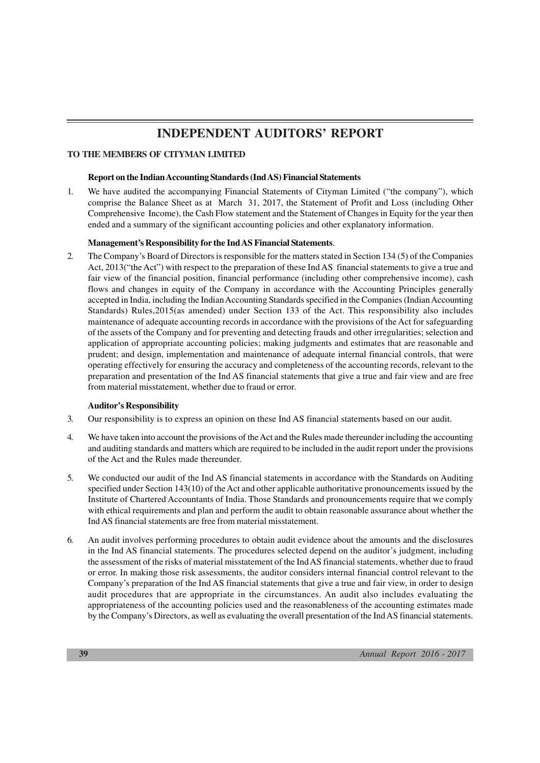# **INDEPENDENT AUDITORS' REPORT**

### **TO THE MEMBERS OF CITYMAN LIMITED**

#### **Report on the Indian Accounting Standards (Ind AS) Financial Statements**

1. We have audited the accompanying Financial Statements of Cityman Limited ("the company"), which comprise the Balance Sheet as at March 31, 2017, the Statement of Profit and Loss (including Other Comprehensive Income), the Cash Flow statement and the Statement of Changes in Equity for the year then ended and a summary of the significant accounting policies and other explanatory information.

#### **Management's Responsibility for the Ind AS Financial Statements**.

2. The Company's Board of Directors is responsible for the matters stated in Section 134 (5) of the Companies Act, 2013("the Act") with respect to the preparation of these Ind AS financial statements to give a true and fair view of the financial position, financial performance (including other comprehensive income), cash flows and changes in equity of the Company in accordance with the Accounting Principles generally accepted in India, including the Indian Accounting Standards specified in the Companies (Indian Accounting Standards) Rules,2015(as amended) under Section 133 of the Act. This responsibility also includes maintenance of adequate accounting records in accordance with the provisions of the Act for safeguarding of the assets of the Company and for preventing and detecting frauds and other irregularities; selection and application of appropriate accounting policies; making judgments and estimates that are reasonable and prudent; and design, implementation and maintenance of adequate internal financial controls, that were operating effectively for ensuring the accuracy and completeness of the accounting records, relevant to the preparation and presentation of the Ind AS financial statements that give a true and fair view and are free from material misstatement, whether due to fraud or error.

#### **Auditor's Responsibility**

- 3. Our responsibility is to express an opinion on these Ind AS financial statements based on our audit.
- 4. We have taken into account the provisions of the Act and the Rules made thereunder including the accounting and auditing standards and matters which are required to be included in the audit report under the provisions of the Act and the Rules made thereunder.
- 5. We conducted our audit of the Ind AS financial statements in accordance with the Standards on Auditing specified under Section 143(10) of the Act and other applicable authoritative pronouncements issued by the Institute of Chartered Accountants of India. Those Standards and pronouncements require that we comply with ethical requirements and plan and perform the audit to obtain reasonable assurance about whether the Ind AS financial statements are free from material misstatement.
- 6. An audit involves performing procedures to obtain audit evidence about the amounts and the disclosures in the Ind AS financial statements. The procedures selected depend on the auditor's judgment, including the assessment of the risks of material misstatement of the Ind AS financial statements, whether due to fraud or error. In making those risk assessments, the auditor considers internal financial control relevant to the Company's preparation of the Ind AS financial statements that give a true and fair view, in order to design audit procedures that are appropriate in the circumstances. An audit also includes evaluating the appropriateness of the accounting policies used and the reasonableness of the accounting estimates made by the Company's Directors, as well as evaluating the overall presentation of the Ind AS financial statements.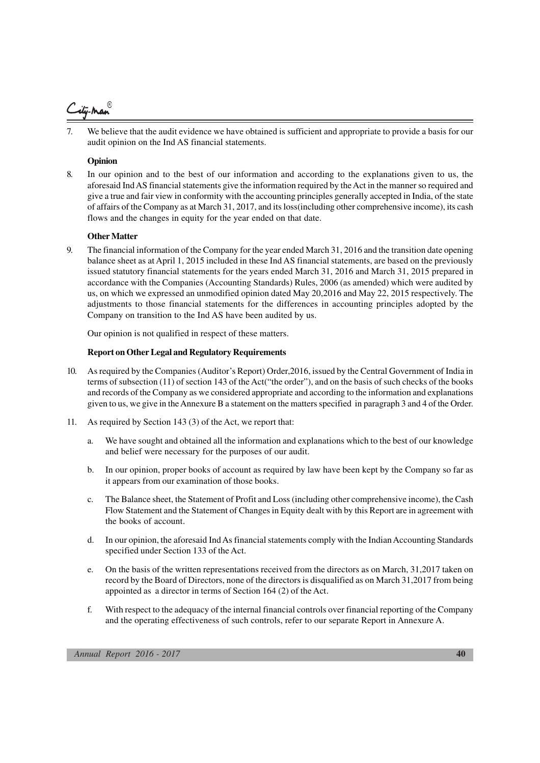City-Man®

7. We believe that the audit evidence we have obtained is sufficient and appropriate to provide a basis for our audit opinion on the Ind AS financial statements.

#### **Opinion**

8. In our opinion and to the best of our information and according to the explanations given to us, the aforesaid Ind AS financial statements give the information required by the Act in the manner so required and give a true and fair view in conformity with the accounting principles generally accepted in India, of the state of affairs of the Company as at March 31, 2017, and its loss(including other comprehensive income), its cash flows and the changes in equity for the year ended on that date.

#### **Other Matter**

9. The financial information of the Company for the year ended March 31, 2016 and the transition date opening balance sheet as at April 1, 2015 included in these Ind AS financial statements, are based on the previously issued statutory financial statements for the years ended March 31, 2016 and March 31, 2015 prepared in accordance with the Companies (Accounting Standards) Rules, 2006 (as amended) which were audited by us, on which we expressed an unmodified opinion dated May 20,2016 and May 22, 2015 respectively. The adjustments to those financial statements for the differences in accounting principles adopted by the Company on transition to the Ind AS have been audited by us.

Our opinion is not qualified in respect of these matters.

#### **Report on Other Legal and Regulatory Requirements**

- 10. As required by the Companies (Auditor's Report) Order,2016, issued by the Central Government of India in terms of subsection (11) of section 143 of the Act("the order"), and on the basis of such checks of the books and records of the Company as we considered appropriate and according to the information and explanations given to us, we give in the Annexure B a statement on the matters specified in paragraph 3 and 4 of the Order.
- 11. As required by Section 143 (3) of the Act, we report that:
	- a. We have sought and obtained all the information and explanations which to the best of our knowledge and belief were necessary for the purposes of our audit.
	- b. In our opinion, proper books of account as required by law have been kept by the Company so far as it appears from our examination of those books.
	- c. The Balance sheet, the Statement of Profit and Loss (including other comprehensive income), the Cash Flow Statement and the Statement of Changes in Equity dealt with by this Report are in agreement with the books of account.
	- d. In our opinion, the aforesaid Ind As financial statements comply with the Indian Accounting Standards specified under Section 133 of the Act.
	- e. On the basis of the written representations received from the directors as on March, 31,2017 taken on record by the Board of Directors, none of the directors is disqualified as on March 31,2017 from being appointed as a director in terms of Section 164 (2) of the Act.
	- f. With respect to the adequacy of the internal financial controls over financial reporting of the Company and the operating effectiveness of such controls, refer to our separate Report in Annexure A.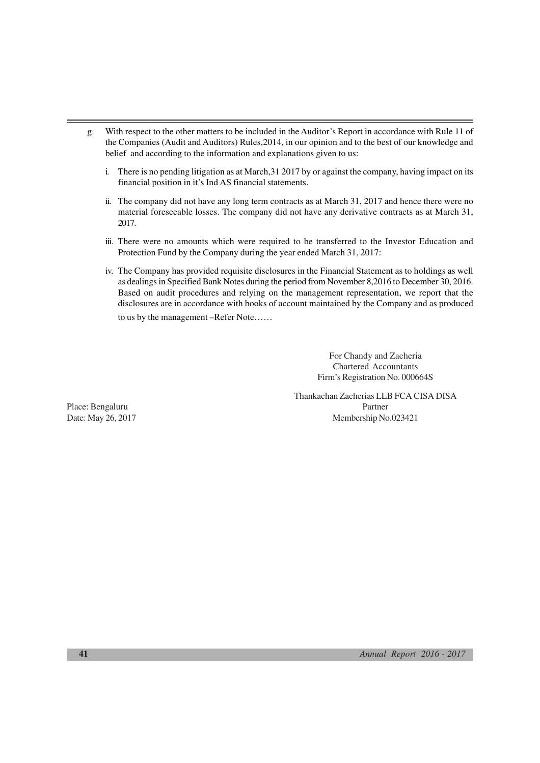- g. With respect to the other matters to be included in the Auditor's Report in accordance with Rule 11 of the Companies (Audit and Auditors) Rules,2014, in our opinion and to the best of our knowledge and belief and according to the information and explanations given to us:
	- i. There is no pending litigation as at March,31 2017 by or against the company, having impact on its financial position in it's Ind AS financial statements.
	- ii. The company did not have any long term contracts as at March 31, 2017 and hence there were no material foreseeable losses. The company did not have any derivative contracts as at March 31, 2017.
	- iii. There were no amounts which were required to be transferred to the Investor Education and Protection Fund by the Company during the year ended March 31, 2017:
	- iv. The Company has provided requisite disclosures in the Financial Statement as to holdings as well as dealings in Specified Bank Notes during the period from November 8,2016 to December 30, 2016. Based on audit procedures and relying on the management representation, we report that the disclosures are in accordance with books of account maintained by the Company and as produced to us by the management –Refer Note……

For Chandy and Zacheria Chartered Accountants Firm's Registration No. 000664S

Thankachan Zacherias LLB FCA CISA DISA Place: Bengaluru Partner Partner Partner Partner Date: May 26, 2017 Membership No.023421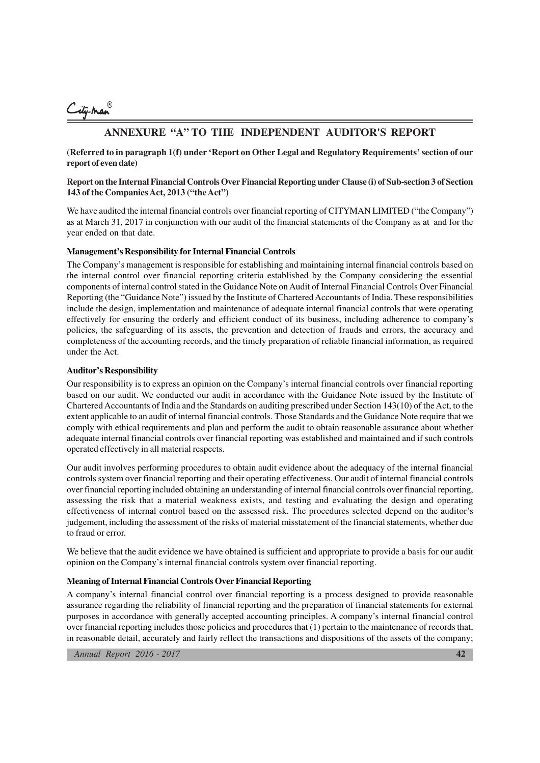## **ANNEXURE "A" TO THE INDEPENDENT AUDITOR'S REPORT**

**(Referred to in paragraph 1(f) under 'Report on Other Legal and Regulatory Requirements' section of our report of even date)**

#### **Report on the Internal Financial Controls Over Financial Reporting under Clause (i) of Sub-section 3 of Section 143 of the Companies Act, 2013 ("the Act")**

We have audited the internal financial controls over financial reporting of CITYMAN LIMITED ("the Company") as at March 31, 2017 in conjunction with our audit of the financial statements of the Company as at and for the year ended on that date.

#### **Management's Responsibility for Internal Financial Controls**

The Company's management is responsible for establishing and maintaining internal financial controls based on the internal control over financial reporting criteria established by the Company considering the essential components of internal control stated in the Guidance Note on Audit of Internal Financial Controls Over Financial Reporting (the "Guidance Note") issued by the Institute of Chartered Accountants of India. These responsibilities include the design, implementation and maintenance of adequate internal financial controls that were operating effectively for ensuring the orderly and efficient conduct of its business, including adherence to company's policies, the safeguarding of its assets, the prevention and detection of frauds and errors, the accuracy and completeness of the accounting records, and the timely preparation of reliable financial information, as required under the Act.

#### **Auditor's Responsibility**

Our responsibility is to express an opinion on the Company's internal financial controls over financial reporting based on our audit. We conducted our audit in accordance with the Guidance Note issued by the Institute of Chartered Accountants of India and the Standards on auditing prescribed under Section 143(10) of the Act, to the extent applicable to an audit of internal financial controls. Those Standards and the Guidance Note require that we comply with ethical requirements and plan and perform the audit to obtain reasonable assurance about whether adequate internal financial controls over financial reporting was established and maintained and if such controls operated effectively in all material respects.

Our audit involves performing procedures to obtain audit evidence about the adequacy of the internal financial controls system over financial reporting and their operating effectiveness. Our audit of internal financial controls over financial reporting included obtaining an understanding of internal financial controls over financial reporting, assessing the risk that a material weakness exists, and testing and evaluating the design and operating effectiveness of internal control based on the assessed risk. The procedures selected depend on the auditor's judgement, including the assessment of the risks of material misstatement of the financial statements, whether due to fraud or error.

We believe that the audit evidence we have obtained is sufficient and appropriate to provide a basis for our audit opinion on the Company's internal financial controls system over financial reporting.

#### **Meaning of Internal Financial Controls Over Financial Reporting**

A company's internal financial control over financial reporting is a process designed to provide reasonable assurance regarding the reliability of financial reporting and the preparation of financial statements for external purposes in accordance with generally accepted accounting principles. A company's internal financial control over financial reporting includes those policies and procedures that (1) pertain to the maintenance of records that, in reasonable detail, accurately and fairly reflect the transactions and dispositions of the assets of the company;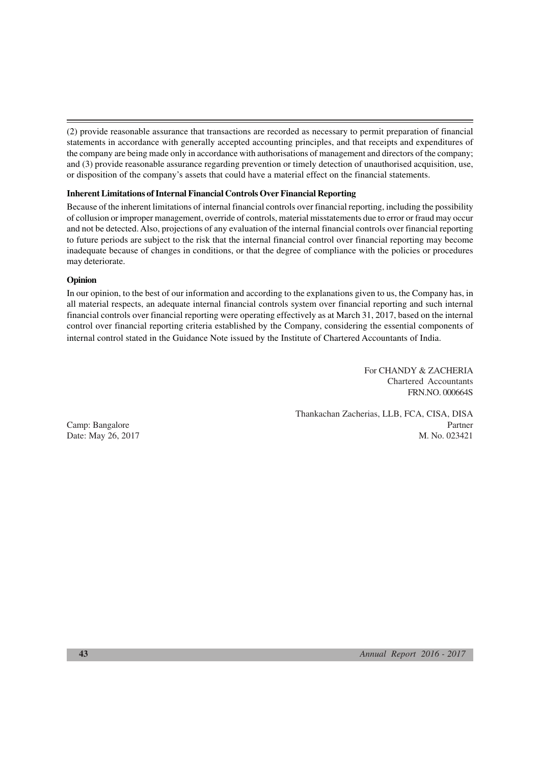(2) provide reasonable assurance that transactions are recorded as necessary to permit preparation of financial statements in accordance with generally accepted accounting principles, and that receipts and expenditures of the company are being made only in accordance with authorisations of management and directors of the company; and (3) provide reasonable assurance regarding prevention or timely detection of unauthorised acquisition, use, or disposition of the company's assets that could have a material effect on the financial statements.

#### **Inherent Limitations of Internal Financial Controls Over Financial Reporting**

Because of the inherent limitations of internal financial controls over financial reporting, including the possibility of collusion or improper management, override of controls, material misstatements due to error or fraud may occur and not be detected. Also, projections of any evaluation of the internal financial controls over financial reporting to future periods are subject to the risk that the internal financial control over financial reporting may become inadequate because of changes in conditions, or that the degree of compliance with the policies or procedures may deteriorate.

#### **Opinion**

In our opinion, to the best of our information and according to the explanations given to us, the Company has, in all material respects, an adequate internal financial controls system over financial reporting and such internal financial controls over financial reporting were operating effectively as at March 31, 2017, based on the internal control over financial reporting criteria established by the Company, considering the essential components of internal control stated in the Guidance Note issued by the Institute of Chartered Accountants of India.

> For CHANDY & ZACHERIA Chartered Accountants FRN.NO. 000664S

Thankachan Zacherias, LLB, FCA, CISA, DISA Camp: Bangalore Partner Date: May 26, 2017 M. No. 023421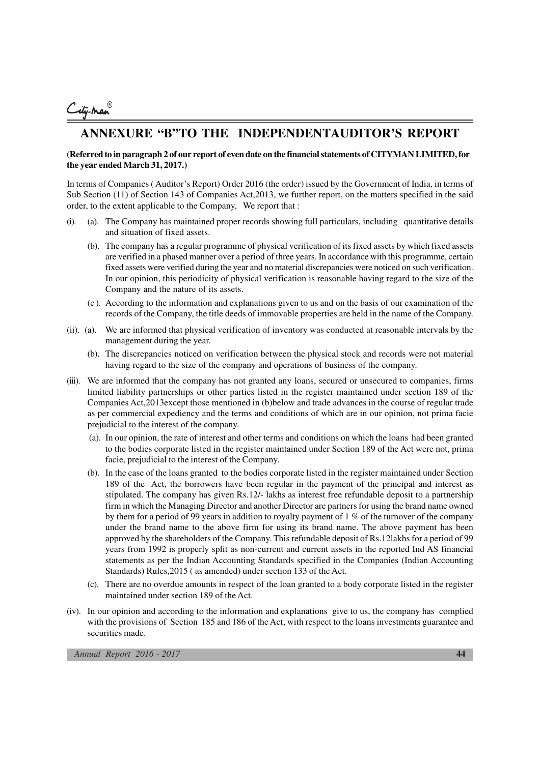# <u>City-Man $^\circ$ </u>

# **ANNEXURE "B"TO THE INDEPENDENTAUDITOR'S REPORT**

#### **(Referred to in paragraph 2 of our report of even date on the financial statements of CITYMAN LIMITED, for the year ended March 31, 2017.)**

In terms of Companies ( Auditor's Report) Order 2016 (the order) issued by the Government of India, in terms of Sub Section (11) of Section 143 of Companies Act,2013, we further report, on the matters specified in the said order, to the extent applicable to the Company, We report that :

- (i). (a). The Company has maintained proper records showing full particulars, including quantitative details and situation of fixed assets.
	- (b). The company has a regular programme of physical verification of its fixed assets by which fixed assets are verified in a phased manner over a period of three years. In accordance with this programme, certain fixed assets were verified during the year and no material discrepancies were noticed on such verification. In our opinion, this periodicity of physical verification is reasonable having regard to the size of the Company and the nature of its assets.
	- (c ). According to the information and explanations given to us and on the basis of our examination of the records of the Company, the title deeds of immovable properties are held in the name of the Company.
- (ii). (a). We are informed that physical verification of inventory was conducted at reasonable intervals by the management during the year.
	- (b). The discrepancies noticed on verification between the physical stock and records were not material having regard to the size of the company and operations of business of the company.
- (iii). We are informed that the company has not granted any loans, secured or unsecured to companies, firms limited liability partnerships or other parties listed in the register maintained under section 189 of the Companies Act,2013except those mentioned in (b)below and trade advances in the course of regular trade as per commercial expediency and the terms and conditions of which are in our opinion, not prima facie prejudicial to the interest of the company.
	- (a). In our opinion, the rate of interest and other terms and conditions on which the loans had been granted to the bodies corporate listed in the register maintained under Section 189 of the Act were not, prima facie, prejudicial to the interest of the Company.
	- (b). In the case of the loans granted to the bodies corporate listed in the register maintained under Section 189 of the Act, the borrowers have been regular in the payment of the principal and interest as stipulated. The company has given Rs.12/- lakhs as interest free refundable deposit to a partnership firm in which the Managing Director and another Director are partners for using the brand name owned by them for a period of 99 years in addition to royalty payment of 1 % of the turnover of the company under the brand name to the above firm for using its brand name. The above payment has been approved by the shareholders of the Company. This refundable deposit of Rs.12lakhs for a period of 99 years from 1992 is properly split as non-current and current assets in the reported Ind AS financial statements as per the Indian Accounting Standards specified in the Companies (Indian Accounting Standards) Rules,2015 ( as amended) under section 133 of the Act.
	- (c). There are no overdue amounts in respect of the loan granted to a body corporate listed in the register maintained under section 189 of the Act.
- (iv). In our opinion and according to the information and explanations give to us, the company has complied with the provisions of Section 185 and 186 of the Act, with respect to the loans investments guarantee and securities made.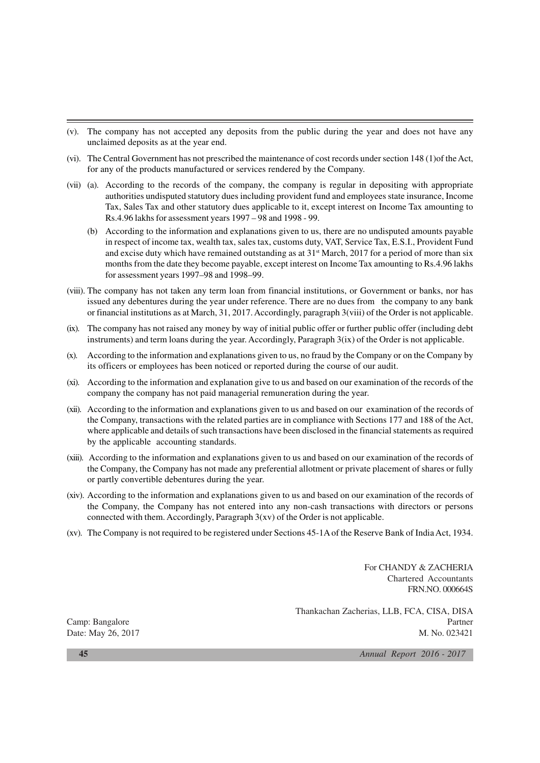- (v). The company has not accepted any deposits from the public during the year and does not have any unclaimed deposits as at the year end.
- (vi). The Central Government has not prescribed the maintenance of cost records under section 148 (1)of the Act, for any of the products manufactured or services rendered by the Company.
- (vii) (a). According to the records of the company, the company is regular in depositing with appropriate authorities undisputed statutory dues including provident fund and employees state insurance, Income Tax, Sales Tax and other statutory dues applicable to it, except interest on Income Tax amounting to Rs.4.96 lakhs for assessment years 1997 – 98 and 1998 - 99.
	- (b) According to the information and explanations given to us, there are no undisputed amounts payable in respect of income tax, wealth tax, sales tax, customs duty, VAT, Service Tax, E.S.I., Provident Fund and excise duty which have remained outstanding as at  $31<sup>st</sup>$  March, 2017 for a period of more than six months from the date they become payable, except interest on Income Tax amounting to Rs.4.96 lakhs for assessment years 1997–98 and 1998–99.
- (viii). The company has not taken any term loan from financial institutions, or Government or banks, nor has issued any debentures during the year under reference. There are no dues from the company to any bank or financial institutions as at March, 31, 2017. Accordingly, paragraph 3(viii) of the Order is not applicable.
- (ix). The company has not raised any money by way of initial public offer or further public offer (including debt instruments) and term loans during the year. Accordingly, Paragraph 3(ix) of the Order is not applicable.
- (x). According to the information and explanations given to us, no fraud by the Company or on the Company by its officers or employees has been noticed or reported during the course of our audit.
- (xi). According to the information and explanation give to us and based on our examination of the records of the company the company has not paid managerial remuneration during the year.
- (xii). According to the information and explanations given to us and based on our examination of the records of the Company, transactions with the related parties are in compliance with Sections 177 and 188 of the Act, where applicable and details of such transactions have been disclosed in the financial statements as required by the applicable accounting standards.
- (xiii). According to the information and explanations given to us and based on our examination of the records of the Company, the Company has not made any preferential allotment or private placement of shares or fully or partly convertible debentures during the year.
- (xiv). According to the information and explanations given to us and based on our examination of the records of the Company, the Company has not entered into any non-cash transactions with directors or persons connected with them. Accordingly, Paragraph  $3(xv)$  of the Order is not applicable.
- (xv). The Company is not required to be registered under Sections 45-1A of the Reserve Bank of India Act, 1934.

For CHANDY & ZACHERIA Chartered Accountants FRN.NO. 000664S

Thankachan Zacherias, LLB, FCA, CISA, DISA Camp: Bangalore Partner Partner Date: May 26, 2017 M. No. 023421

**45** *Annual Report 2016 - 2017*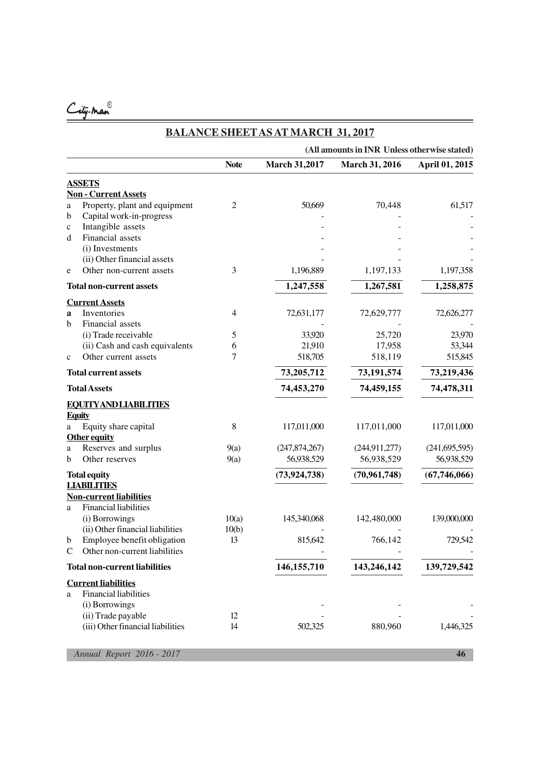City-man

# **BALANCE SHEETAS AT MARCH 31, 2017**

|             |                                             | (All amounts in INR Unless otherwise stated) |                      |                       |                 |  |  |
|-------------|---------------------------------------------|----------------------------------------------|----------------------|-----------------------|-----------------|--|--|
|             |                                             | <b>Note</b>                                  | <b>March 31,2017</b> | <b>March 31, 2016</b> | April 01, 2015  |  |  |
|             | <b>ASSETS</b>                               |                                              |                      |                       |                 |  |  |
|             | <b>Non - Current Assets</b>                 |                                              |                      |                       |                 |  |  |
| a           | Property, plant and equipment               | $\overline{c}$                               | 50,669               | 70,448                | 61,517          |  |  |
| b           | Capital work-in-progress                    |                                              |                      |                       |                 |  |  |
| $\mathbf c$ | Intangible assets                           |                                              |                      |                       |                 |  |  |
| d           | Financial assets                            |                                              |                      |                       |                 |  |  |
|             | (i) Investments                             |                                              |                      |                       |                 |  |  |
|             | (ii) Other financial assets                 |                                              |                      |                       |                 |  |  |
| e           | Other non-current assets                    | 3                                            | 1,196,889            | 1,197,133             | 1,197,358       |  |  |
|             | <b>Total non-current assets</b>             |                                              | 1,247,558            | 1,267,581             | 1,258,875       |  |  |
|             | <b>Current Assets</b>                       |                                              |                      |                       |                 |  |  |
| a           | Inventories                                 | 4                                            | 72,631,177           | 72,629,777            | 72,626,277      |  |  |
| b           | Financial assets                            |                                              |                      |                       |                 |  |  |
|             | (i) Trade receivable                        | 5                                            | 33,920               | 25,720                | 23,970          |  |  |
|             | (ii) Cash and cash equivalents              | 6                                            | 21,910               | 17,958                | 53,344          |  |  |
| $\mathbf c$ | Other current assets                        | 7                                            | 518,705              | 518,119               | 515,845         |  |  |
|             | <b>Total current assets</b>                 |                                              | 73,205,712           | 73,191,574            | 73,219,436      |  |  |
|             | <b>Total Assets</b>                         |                                              | 74,453,270           | 74,459,155            | 74,478,311      |  |  |
|             | <b>EQUITYAND LIABILITIES</b>                |                                              |                      |                       |                 |  |  |
|             | <b>Equity</b>                               | 8                                            |                      |                       |                 |  |  |
| a           | Equity share capital<br><b>Other equity</b> |                                              | 117,011,000          | 117,011,000           | 117,011,000     |  |  |
| a           | Reserves and surplus                        | 9(a)                                         | (247,874,267)        | (244, 911, 277)       | (241, 695, 595) |  |  |
| b           | Other reserves                              | 9(a)                                         | 56,938,529           | 56,938,529            | 56,938,529      |  |  |
|             |                                             |                                              | (73, 924, 738)       | (70, 961, 748)        | (67,746,066)    |  |  |
|             | <b>Total equity</b><br><b>LIABILITIES</b>   |                                              |                      |                       |                 |  |  |
|             | <b>Non-current liabilities</b>              |                                              |                      |                       |                 |  |  |
| a           | <b>Financial liabilities</b>                |                                              |                      |                       |                 |  |  |
|             | (i) Borrowings                              | 10(a)                                        | 145,340,068          | 142,480,000           | 139,000,000     |  |  |
|             | (ii) Other financial liabilities            | 10(b)                                        |                      |                       |                 |  |  |
| b           | Employee benefit obligation                 | 13                                           | 815,642              | 766,142               | 729,542         |  |  |
|             | Other non-current liabilities               |                                              |                      |                       |                 |  |  |
|             | <b>Total non-current liabilities</b>        |                                              | 146, 155, 710        | 143,246,142           | 139,729,542     |  |  |
|             | <b>Current liabilities</b>                  |                                              |                      |                       |                 |  |  |
| a           | <b>Financial liabilities</b>                |                                              |                      |                       |                 |  |  |
|             | (i) Borrowings                              |                                              |                      |                       |                 |  |  |
|             | (ii) Trade payable                          | 12                                           |                      |                       |                 |  |  |
|             | (iii) Other financial liabilities           | 14                                           | 502,325              | 880,960               | 1,446,325       |  |  |
|             |                                             |                                              |                      |                       |                 |  |  |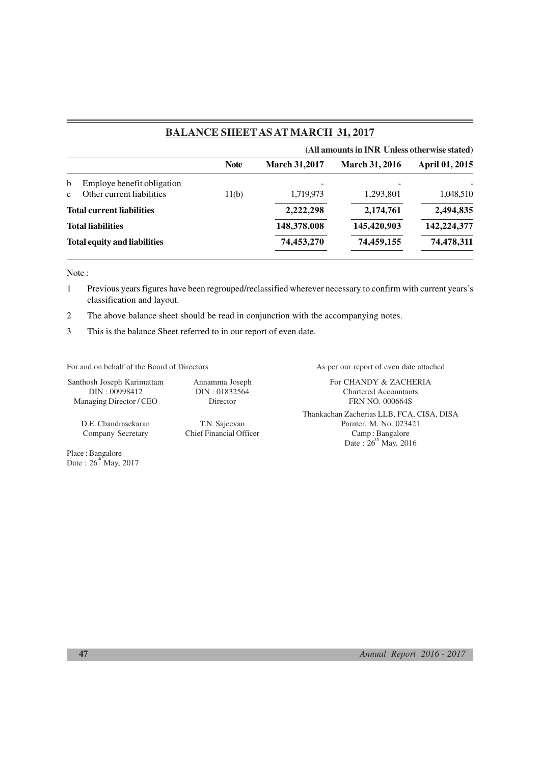# **BALANCE SHEETAS AT MARCH 31, 2017**

|                                  |                                     |             |                      | (All amounts in INR Unless otherwise stated) |                |  |  |
|----------------------------------|-------------------------------------|-------------|----------------------|----------------------------------------------|----------------|--|--|
|                                  |                                     | <b>Note</b> | <b>March 31,2017</b> | <b>March 31, 2016</b>                        | April 01, 2015 |  |  |
| b                                | Employe benefit obligation          |             |                      |                                              |                |  |  |
| $\mathbf{c}$                     | Other current liabilities           | 11(b)       | 1,719,973            | 1,293,801                                    | 1,048,510      |  |  |
| <b>Total current liabilities</b> |                                     |             | 2,222,298            | 2,174,761                                    | 2,494,835      |  |  |
|                                  | <b>Total liabilities</b>            |             | 148,378,008          | 145,420,903                                  | 142,224,377    |  |  |
|                                  | <b>Total equity and liabilities</b> |             | 74,453,270           | 74,459,155                                   | 74,478,311     |  |  |
|                                  |                                     |             |                      |                                              |                |  |  |

Note :

1 Previous years figures have been regrouped/reclassified wherever necessary to confirm with current years's classification and layout.

2 The above balance sheet should be read in conjunction with the accompanying notes.

3 This is the balance Sheet referred to in our report of even date.

For and on behalf of the Board of Directors As per our report of even date attached

Managing Director / CEO Director Director FRN NO. 000664S

Place : Bangalore Date:  $26^{th}$ May, 2017

Santhosh Joseph Karimattam Annamma Joseph For CHANDY & ZACHERIA<br>DIN : 00998412 DIN : 01832564 Chartered Accountants Chartered Accountants

Thankachan Zacherias LLB, FCA, CISA, DISA D.E. Chandrasekaran T.N. Sajeevan Parnter, M. No. 023421 Company Secretary Chief Financial Officer Camp : Bangalore<br>
Date : 26<sup>th</sup> May, 2016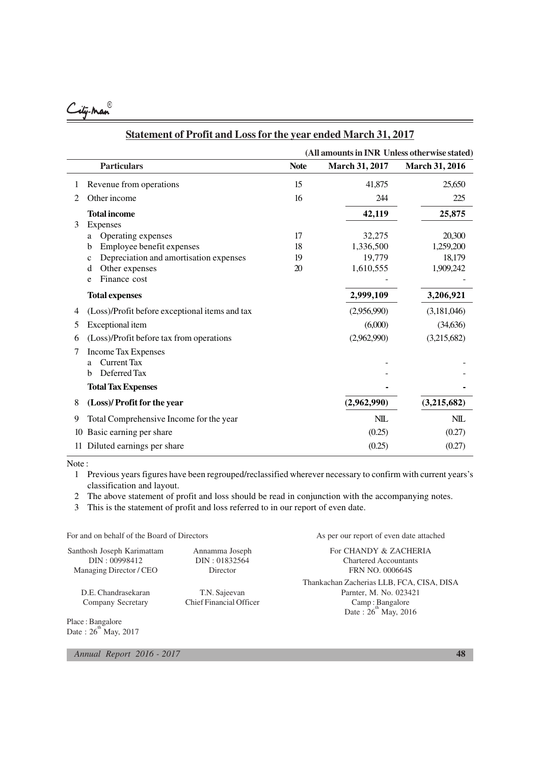

|    |                                                       | (All amounts in INR Unless otherwise stated) |                |                       |  |  |
|----|-------------------------------------------------------|----------------------------------------------|----------------|-----------------------|--|--|
|    | <b>Particulars</b>                                    | <b>Note</b>                                  | March 31, 2017 | <b>March 31, 2016</b> |  |  |
| 1  | Revenue from operations                               | 15                                           | 41,875         | 25,650                |  |  |
| 2  | Other income                                          | 16                                           | 244            | 225                   |  |  |
|    | <b>Total income</b>                                   |                                              | 42,119         | 25,875                |  |  |
| 3  | Expenses                                              |                                              |                |                       |  |  |
|    | Operating expenses<br>a                               | 17                                           | 32,275         | 20,300                |  |  |
|    | Employee benefit expenses<br>b                        | 18                                           | 1,336,500      | 1,259,200             |  |  |
|    | Depreciation and amortisation expenses<br>$\mathbf c$ | 19                                           | 19,779         | 18,179                |  |  |
|    | Other expenses<br>d                                   | 20                                           | 1,610,555      | 1,909,242             |  |  |
|    | Finance cost<br>e                                     |                                              |                |                       |  |  |
|    | <b>Total expenses</b>                                 |                                              | 2,999,109      | 3,206,921             |  |  |
| 4  | (Loss)/Profit before exceptional items and tax        |                                              | (2,956,990)    | (3,181,046)           |  |  |
| 5  | Exceptional item                                      |                                              | (6,000)        | (34, 636)             |  |  |
| 6  | (Loss)/Profit before tax from operations              |                                              | (2,962,990)    | (3,215,682)           |  |  |
| 7  | <b>Income Tax Expenses</b>                            |                                              |                |                       |  |  |
|    | <b>Current Tax</b><br>a                               |                                              |                |                       |  |  |
|    | Deferred Tax<br>b                                     |                                              |                |                       |  |  |
|    | <b>Total Tax Expenses</b>                             |                                              |                |                       |  |  |
| 8  | (Loss)/ Profit for the year                           |                                              | (2,962,990)    | (3,215,682)           |  |  |
| 9  | Total Comprehensive Income for the year               |                                              | <b>NIL</b>     | <b>NIL</b>            |  |  |
| 10 | Basic earning per share                               |                                              | (0.25)         | (0.27)                |  |  |
| 11 | Diluted earnings per share                            |                                              | (0.25)         | (0.27)                |  |  |

# **Statement of Profit and Loss for the year ended March 31, 2017**

Note :

1 Previous years figures have been regrouped/reclassified wherever necessary to confirm with current years's classification and layout.

2 The above statement of profit and loss should be read in conjunction with the accompanying notes.

3 This is the statement of profit and loss referred to in our report of even date.

For and on behalf of the Board of Directors As per our report of even date attached

| Santhosh Joseph Karimattam | Annamma Joseph                 | For CHANDY & ZACHERIA                        |
|----------------------------|--------------------------------|----------------------------------------------|
| DIN: 00998412              | DIN: 01832564                  | <b>Chartered Accountants</b>                 |
| Managing Director / CEO    | Director                       | <b>FRN NO. 000664S</b>                       |
|                            |                                | Thankachan Zacherias LLB, FCA, CISA, DISA    |
| D.E. Chandrasekaran        | T.N. Sajeevan                  | Parnter, M. No. 023421                       |
| Company Secretary          | <b>Chief Financial Officer</b> |                                              |
|                            |                                | Camp: Bangalore<br>Date: $26^{th}$ May, 2016 |

Place : Bangalore Date:  $26^{th}$ May, 2017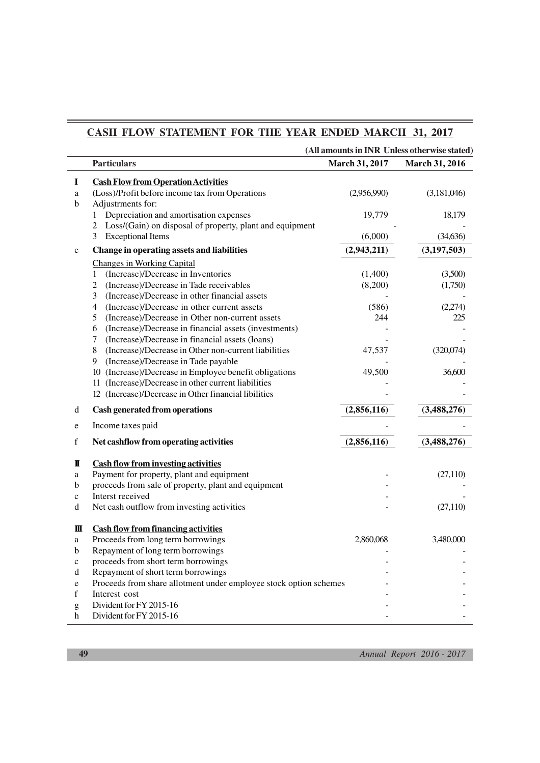# **CASH FLOW STATEMENT FOR THE YEAR ENDED MARCH 31, 2017**

|             |                                                                   | (All amounts in INR Unless otherwise stated) |                |
|-------------|-------------------------------------------------------------------|----------------------------------------------|----------------|
|             | <b>Particulars</b>                                                | March 31, 2017                               | March 31, 2016 |
| I           | <b>Cash Flow from Operation Activities</b>                        |                                              |                |
| a           | (Loss)/Profit before income tax from Operations                   | (2,956,990)                                  | (3,181,046)    |
| b           | Adjustrments for:                                                 |                                              |                |
|             | Depreciation and amortisation expenses                            | 19,779                                       | 18,179         |
|             | Loss/(Gain) on disposal of property, plant and equipment<br>2     |                                              |                |
|             | <b>Exceptional Items</b><br>3                                     | (6,000)                                      | (34,636)       |
| $\mathbf c$ | Change in operating assets and liabilities                        | (2,943,211)                                  | (3, 197, 503)  |
|             | <b>Changes in Working Capital</b>                                 |                                              |                |
|             | (Increase)/Decrease in Inventories<br>1                           | (1,400)                                      | (3,500)        |
|             | 2<br>(Increase)/Decrease in Tade receivables                      | (8,200)                                      | (1,750)        |
|             | 3<br>(Increase)/Decrease in other financial assets                |                                              |                |
|             | (Increase)/Decrease in other current assets<br>$\overline{4}$     | (586)                                        | (2,274)        |
|             | (Increase)/Decrease in Other non-current assets<br>5              | 244                                          | 225            |
|             | (Increase)/Decrease in financial assets (investments)<br>6        |                                              |                |
|             | (Increase)/Decrease in financial assets (loans)<br>7              |                                              |                |
|             | 8<br>(Increase)/Decrease in Other non-current liabilities         | 47,537                                       | (320,074)      |
|             | 9<br>(Increase)/Decrease in Tade payable                          |                                              |                |
|             | 10 (Increase)/Decrease in Employee benefit obligations            | 49,500                                       | 36,600         |
|             | 11 (Increase)/Decrease in other current liabilities               |                                              |                |
|             | 12 (Increase)/Decrease in Other financial libilities              |                                              |                |
| d           | <b>Cash generated from operations</b>                             | (2,856,116)                                  | (3,488,276)    |
| e           | Income taxes paid                                                 |                                              |                |
| $\mathbf f$ | Net cashflow from operating activities                            | (2,856,116)                                  | (3,488,276)    |
| П           | <b>Cash flow from investing activities</b>                        |                                              |                |
| a           | Payment for property, plant and equipment                         |                                              | (27, 110)      |
| b           | proceeds from sale of property, plant and equipment               |                                              |                |
| $\mathbf c$ | Interst received                                                  |                                              |                |
| $\rm d$     | Net cash outflow from investing activities                        |                                              | (27, 110)      |
| Ш           | <b>Cash flow from financing activities</b>                        |                                              |                |
| a           | Proceeds from long term borrowings                                | 2,860,068                                    | 3,480,000      |
| b           | Repayment of long term borrowings                                 |                                              |                |
| c           | proceeds from short term borrowings                               |                                              |                |
| $\rm d$     | Repayment of short term borrowings                                |                                              |                |
| e           | Proceeds from share allotment under employee stock option schemes |                                              |                |
| $\mathbf f$ | Interest cost                                                     |                                              |                |
| g           | Divident for FY 2015-16                                           |                                              |                |
| h           | Divident for FY 2015-16                                           |                                              |                |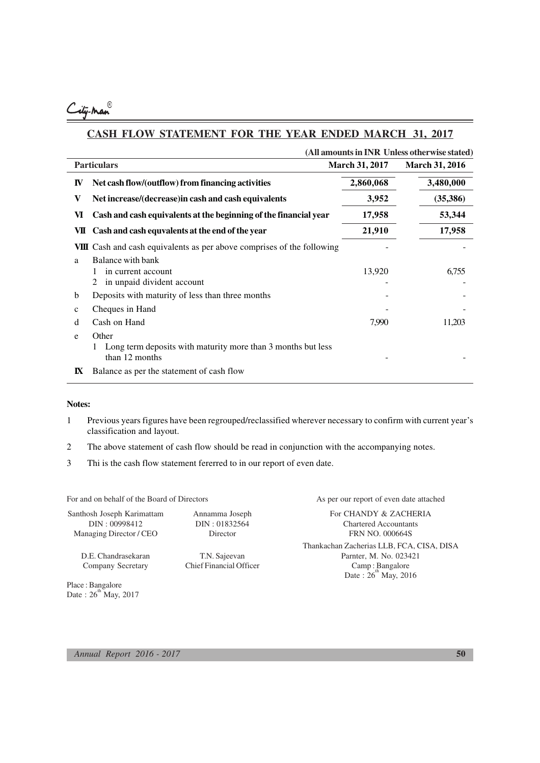# <u>-</u><br>ity-Man

# **CASH FLOW STATEMENT FOR THE YEAR ENDED MARCH 31, 2017**

|              |                                                                                |           | (All amounts in INR Unless otherwise stated) |
|--------------|--------------------------------------------------------------------------------|-----------|----------------------------------------------|
|              | <b>Particulars</b><br><b>March 31, 2017</b>                                    |           | <b>March 31, 2016</b>                        |
| IV           | Net cash flow/(outflow) from financing activities                              | 2,860,068 | 3,480,000                                    |
| V            | Net increase/(decrease) in cash and cash equivalents                           | 3,952     | (35,386)                                     |
| VI           | Cash and cash equivalents at the beginning of the financial year               | 17,958    | 53,344                                       |
| VШ           | Cash and cash equvalents at the end of the year                                | 21,910    | 17,958                                       |
|              | <b>VIII</b> Cash and cash equivalents as per above comprises of the following  |           |                                              |
| a            | Balance with bank                                                              |           |                                              |
|              | in current account                                                             | 13,920    | 6,755                                        |
|              | in unpaid divident account                                                     |           |                                              |
| b            | Deposits with maturity of less than three months                               |           |                                              |
| $\mathbf{C}$ | Cheques in Hand                                                                |           |                                              |
| d            | Cash on Hand                                                                   | 7,990     | 11,203                                       |
| e            | Other                                                                          |           |                                              |
|              | Long term deposits with maturity more than 3 months but less<br>than 12 months |           |                                              |
| ${\bf K}$    | Balance as per the statement of cash flow                                      |           |                                              |

#### **Notes:**

- 1 Previous years figures have been regrouped/reclassified wherever necessary to confirm with current year's classification and layout.
- 2 The above statement of cash flow should be read in conjunction with the accompanying notes.
- 3 Thi is the cash flow statement fererred to in our report of even date.

For and on behalf of the Board of Directors As per our report of even date attached

| Santhosh Joseph Karimattam |
|----------------------------|
| DIN: 00998412              |
| Managing Director / CEO    |

Annamma Joseph For CHANDY & ZACHERIA DIN : 01832564 Chartered Accountants Director **FRN NO. 000664S** 

Thankachan Zacherias LLB, FCA, CISA, DISA D.E. Chandrasekaran T.N. Sajeevan Parnter, M. No. 023421 Company Secretary Chief Financial Officer Camp : Bangalore<br>
Date : 26<sup>th</sup> May, 2016

Place : Bangalore Date :  $26^{th}$ May, 2017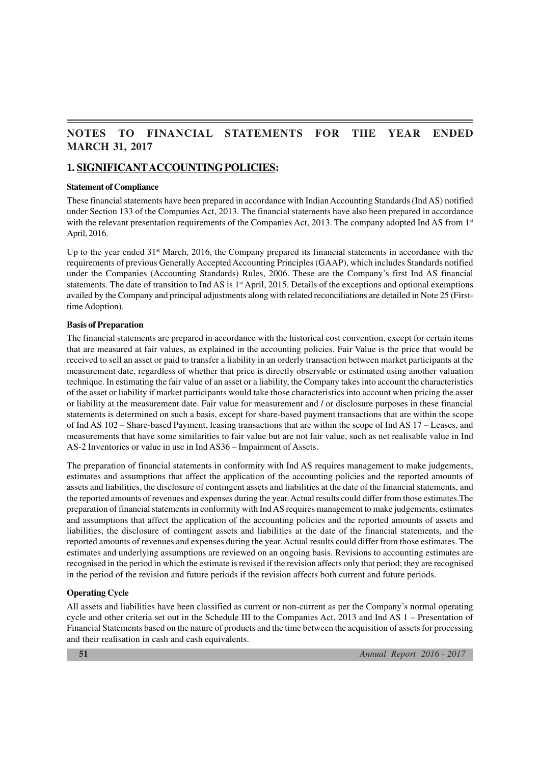# **NOTES TO FINANCIAL STATEMENTS FOR THE YEAR ENDED MARCH 31, 2017**

## **1. SIGNIFICANTACCOUNTING POLICIES:**

#### **Statement of Compliance**

These financial statements have been prepared in accordance with Indian Accounting Standards (Ind AS) notified under Section 133 of the Companies Act, 2013. The financial statements have also been prepared in accordance with the relevant presentation requirements of the Companies Act, 2013. The company adopted Ind AS from 1st April, 2016.

Up to the year ended  $31<sup>st</sup>$  March, 2016, the Company prepared its financial statements in accordance with the requirements of previous Generally Accepted Accounting Principles (GAAP), which includes Standards notified under the Companies (Accounting Standards) Rules, 2006. These are the Company's first Ind AS financial statements. The date of transition to Ind AS is 1<sup>st</sup> April, 2015. Details of the exceptions and optional exemptions availed by the Company and principal adjustments along with related reconciliations are detailed in Note 25 (Firsttime Adoption).

#### **Basis of Preparation**

The financial statements are prepared in accordance with the historical cost convention, except for certain items that are measured at fair values, as explained in the accounting policies. Fair Value is the price that would be received to sell an asset or paid to transfer a liability in an orderly transaction between market participants at the measurement date, regardless of whether that price is directly observable or estimated using another valuation technique. In estimating the fair value of an asset or a liability, the Company takes into account the characteristics of the asset or liability if market participants would take those characteristics into account when pricing the asset or liability at the measurement date. Fair value for measurement and / or disclosure purposes in these financial statements is determined on such a basis, except for share-based payment transactions that are within the scope of Ind AS 102 – Share-based Payment, leasing transactions that are within the scope of Ind AS 17 – Leases, and measurements that have some similarities to fair value but are not fair value, such as net realisable value in Ind AS-2 Inventories or value in use in Ind AS36 – Impairment of Assets.

The preparation of financial statements in conformity with Ind AS requires management to make judgements, estimates and assumptions that affect the application of the accounting policies and the reported amounts of assets and liabilities, the disclosure of contingent assets and liabilities at the date of the financial statements, and the reported amounts of revenues and expenses during the year. Actual results could differ from those estimates.The preparation of financial statements in conformity with Ind AS requires management to make judgements, estimates and assumptions that affect the application of the accounting policies and the reported amounts of assets and liabilities, the disclosure of contingent assets and liabilities at the date of the financial statements, and the reported amounts of revenues and expenses during the year. Actual results could differ from those estimates. The estimates and underlying assumptions are reviewed on an ongoing basis. Revisions to accounting estimates are recognised in the period in which the estimate is revised if the revision affects only that period; they are recognised in the period of the revision and future periods if the revision affects both current and future periods.

### **Operating Cycle**

All assets and liabilities have been classified as current or non-current as per the Company's normal operating cycle and other criteria set out in the Schedule III to the Companies Act, 2013 and Ind AS 1 – Presentation of Financial Statements based on the nature of products and the time between the acquisition of assets for processing and their realisation in cash and cash equivalents.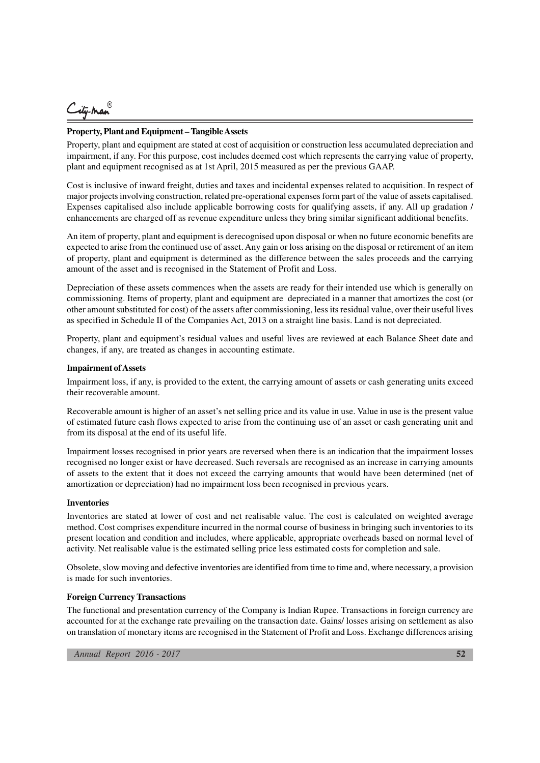City-man

#### **Property, Plant and Equipment – Tangible Assets**

Property, plant and equipment are stated at cost of acquisition or construction less accumulated depreciation and impairment, if any. For this purpose, cost includes deemed cost which represents the carrying value of property, plant and equipment recognised as at 1st April, 2015 measured as per the previous GAAP.

Cost is inclusive of inward freight, duties and taxes and incidental expenses related to acquisition. In respect of major projects involving construction, related pre-operational expenses form part of the value of assets capitalised. Expenses capitalised also include applicable borrowing costs for qualifying assets, if any. All up gradation / enhancements are charged off as revenue expenditure unless they bring similar significant additional benefits.

An item of property, plant and equipment is derecognised upon disposal or when no future economic benefits are expected to arise from the continued use of asset. Any gain or loss arising on the disposal or retirement of an item of property, plant and equipment is determined as the difference between the sales proceeds and the carrying amount of the asset and is recognised in the Statement of Profit and Loss.

Depreciation of these assets commences when the assets are ready for their intended use which is generally on commissioning. Items of property, plant and equipment are depreciated in a manner that amortizes the cost (or other amount substituted for cost) of the assets after commissioning, less its residual value, over their useful lives as specified in Schedule II of the Companies Act, 2013 on a straight line basis. Land is not depreciated.

Property, plant and equipment's residual values and useful lives are reviewed at each Balance Sheet date and changes, if any, are treated as changes in accounting estimate.

#### **Impairment of Assets**

Impairment loss, if any, is provided to the extent, the carrying amount of assets or cash generating units exceed their recoverable amount.

Recoverable amount is higher of an asset's net selling price and its value in use. Value in use is the present value of estimated future cash flows expected to arise from the continuing use of an asset or cash generating unit and from its disposal at the end of its useful life.

Impairment losses recognised in prior years are reversed when there is an indication that the impairment losses recognised no longer exist or have decreased. Such reversals are recognised as an increase in carrying amounts of assets to the extent that it does not exceed the carrying amounts that would have been determined (net of amortization or depreciation) had no impairment loss been recognised in previous years.

#### **Inventories**

Inventories are stated at lower of cost and net realisable value. The cost is calculated on weighted average method. Cost comprises expenditure incurred in the normal course of business in bringing such inventories to its present location and condition and includes, where applicable, appropriate overheads based on normal level of activity. Net realisable value is the estimated selling price less estimated costs for completion and sale.

Obsolete, slow moving and defective inventories are identified from time to time and, where necessary, a provision is made for such inventories.

#### **Foreign Currency Transactions**

The functional and presentation currency of the Company is Indian Rupee. Transactions in foreign currency are accounted for at the exchange rate prevailing on the transaction date. Gains/ losses arising on settlement as also on translation of monetary items are recognised in the Statement of Profit and Loss. Exchange differences arising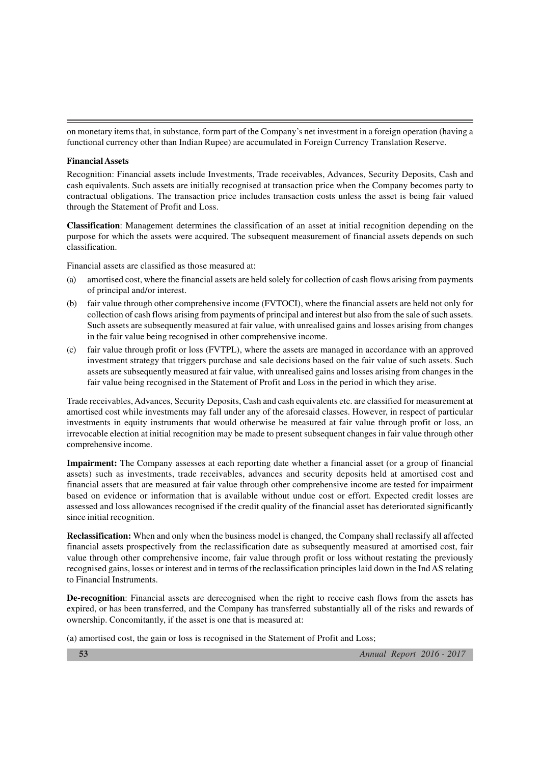on monetary items that, in substance, form part of the Company's net investment in a foreign operation (having a functional currency other than Indian Rupee) are accumulated in Foreign Currency Translation Reserve.

#### **Financial Assets**

Recognition: Financial assets include Investments, Trade receivables, Advances, Security Deposits, Cash and cash equivalents. Such assets are initially recognised at transaction price when the Company becomes party to contractual obligations. The transaction price includes transaction costs unless the asset is being fair valued through the Statement of Profit and Loss.

**Classification**: Management determines the classification of an asset at initial recognition depending on the purpose for which the assets were acquired. The subsequent measurement of financial assets depends on such classification.

Financial assets are classified as those measured at:

- (a) amortised cost, where the financial assets are held solely for collection of cash flows arising from payments of principal and/or interest.
- (b) fair value through other comprehensive income (FVTOCI), where the financial assets are held not only for collection of cash flows arising from payments of principal and interest but also from the sale of such assets. Such assets are subsequently measured at fair value, with unrealised gains and losses arising from changes in the fair value being recognised in other comprehensive income.
- (c) fair value through profit or loss (FVTPL), where the assets are managed in accordance with an approved investment strategy that triggers purchase and sale decisions based on the fair value of such assets. Such assets are subsequently measured at fair value, with unrealised gains and losses arising from changes in the fair value being recognised in the Statement of Profit and Loss in the period in which they arise.

Trade receivables, Advances, Security Deposits, Cash and cash equivalents etc. are classified for measurement at amortised cost while investments may fall under any of the aforesaid classes. However, in respect of particular investments in equity instruments that would otherwise be measured at fair value through profit or loss, an irrevocable election at initial recognition may be made to present subsequent changes in fair value through other comprehensive income.

**Impairment:** The Company assesses at each reporting date whether a financial asset (or a group of financial assets) such as investments, trade receivables, advances and security deposits held at amortised cost and financial assets that are measured at fair value through other comprehensive income are tested for impairment based on evidence or information that is available without undue cost or effort. Expected credit losses are assessed and loss allowances recognised if the credit quality of the financial asset has deteriorated significantly since initial recognition.

**Reclassification:** When and only when the business model is changed, the Company shall reclassify all affected financial assets prospectively from the reclassification date as subsequently measured at amortised cost, fair value through other comprehensive income, fair value through profit or loss without restating the previously recognised gains, losses or interest and in terms of the reclassification principles laid down in the Ind AS relating to Financial Instruments.

**De-recognition**: Financial assets are derecognised when the right to receive cash flows from the assets has expired, or has been transferred, and the Company has transferred substantially all of the risks and rewards of ownership. Concomitantly, if the asset is one that is measured at:

(a) amortised cost, the gain or loss is recognised in the Statement of Profit and Loss;

**53** *Annual Report 2016 - 2017*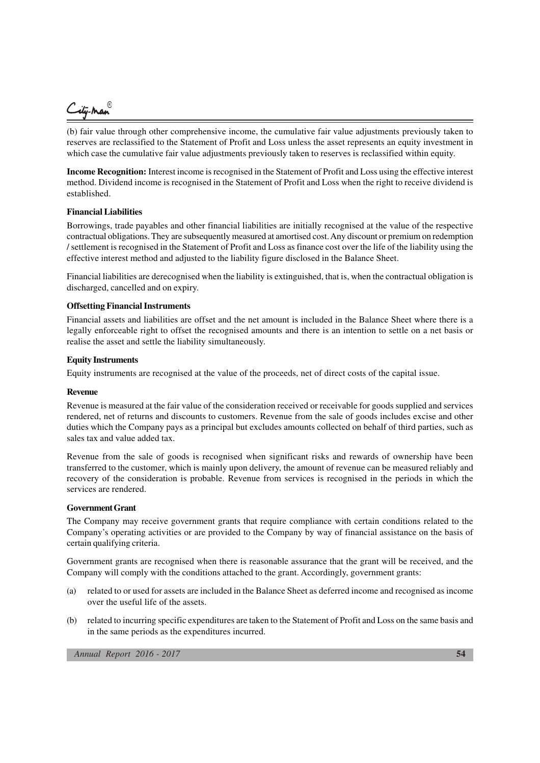City-Man

(b) fair value through other comprehensive income, the cumulative fair value adjustments previously taken to reserves are reclassified to the Statement of Profit and Loss unless the asset represents an equity investment in which case the cumulative fair value adjustments previously taken to reserves is reclassified within equity.

**Income Recognition:** Interest income is recognised in the Statement of Profit and Loss using the effective interest method. Dividend income is recognised in the Statement of Profit and Loss when the right to receive dividend is established.

#### **Financial Liabilities**

Borrowings, trade payables and other financial liabilities are initially recognised at the value of the respective contractual obligations. They are subsequently measured at amortised cost. Any discount or premium on redemption / settlement is recognised in the Statement of Profit and Loss as finance cost over the life of the liability using the effective interest method and adjusted to the liability figure disclosed in the Balance Sheet.

Financial liabilities are derecognised when the liability is extinguished, that is, when the contractual obligation is discharged, cancelled and on expiry.

#### **Offsetting Financial Instruments**

Financial assets and liabilities are offset and the net amount is included in the Balance Sheet where there is a legally enforceable right to offset the recognised amounts and there is an intention to settle on a net basis or realise the asset and settle the liability simultaneously.

#### **Equity Instruments**

Equity instruments are recognised at the value of the proceeds, net of direct costs of the capital issue.

#### **Revenue**

Revenue is measured at the fair value of the consideration received or receivable for goods supplied and services rendered, net of returns and discounts to customers. Revenue from the sale of goods includes excise and other duties which the Company pays as a principal but excludes amounts collected on behalf of third parties, such as sales tax and value added tax.

Revenue from the sale of goods is recognised when significant risks and rewards of ownership have been transferred to the customer, which is mainly upon delivery, the amount of revenue can be measured reliably and recovery of the consideration is probable. Revenue from services is recognised in the periods in which the services are rendered.

#### **Government Grant**

The Company may receive government grants that require compliance with certain conditions related to the Company's operating activities or are provided to the Company by way of financial assistance on the basis of certain qualifying criteria.

Government grants are recognised when there is reasonable assurance that the grant will be received, and the Company will comply with the conditions attached to the grant. Accordingly, government grants:

- (a) related to or used for assets are included in the Balance Sheet as deferred income and recognised as income over the useful life of the assets.
- (b) related to incurring specific expenditures are taken to the Statement of Profit and Loss on the same basis and in the same periods as the expenditures incurred.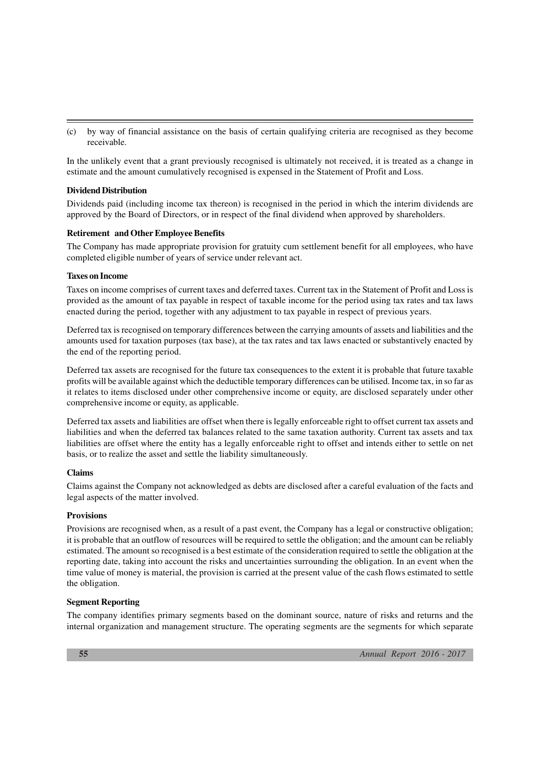(c) by way of financial assistance on the basis of certain qualifying criteria are recognised as they become receivable.

In the unlikely event that a grant previously recognised is ultimately not received, it is treated as a change in estimate and the amount cumulatively recognised is expensed in the Statement of Profit and Loss.

#### **Dividend Distribution**

Dividends paid (including income tax thereon) is recognised in the period in which the interim dividends are approved by the Board of Directors, or in respect of the final dividend when approved by shareholders.

#### **Retirement and Other Employee Benefits**

The Company has made appropriate provision for gratuity cum settlement benefit for all employees, who have completed eligible number of years of service under relevant act.

#### **Taxes on Income**

Taxes on income comprises of current taxes and deferred taxes. Current tax in the Statement of Profit and Loss is provided as the amount of tax payable in respect of taxable income for the period using tax rates and tax laws enacted during the period, together with any adjustment to tax payable in respect of previous years.

Deferred tax is recognised on temporary differences between the carrying amounts of assets and liabilities and the amounts used for taxation purposes (tax base), at the tax rates and tax laws enacted or substantively enacted by the end of the reporting period.

Deferred tax assets are recognised for the future tax consequences to the extent it is probable that future taxable profits will be available against which the deductible temporary differences can be utilised. Income tax, in so far as it relates to items disclosed under other comprehensive income or equity, are disclosed separately under other comprehensive income or equity, as applicable.

Deferred tax assets and liabilities are offset when there is legally enforceable right to offset current tax assets and liabilities and when the deferred tax balances related to the same taxation authority. Current tax assets and tax liabilities are offset where the entity has a legally enforceable right to offset and intends either to settle on net basis, or to realize the asset and settle the liability simultaneously.

#### **Claims**

Claims against the Company not acknowledged as debts are disclosed after a careful evaluation of the facts and legal aspects of the matter involved.

### **Provisions**

Provisions are recognised when, as a result of a past event, the Company has a legal or constructive obligation; it is probable that an outflow of resources will be required to settle the obligation; and the amount can be reliably estimated. The amount so recognised is a best estimate of the consideration required to settle the obligation at the reporting date, taking into account the risks and uncertainties surrounding the obligation. In an event when the time value of money is material, the provision is carried at the present value of the cash flows estimated to settle the obligation.

### **Segment Reporting**

The company identifies primary segments based on the dominant source, nature of risks and returns and the internal organization and management structure. The operating segments are the segments for which separate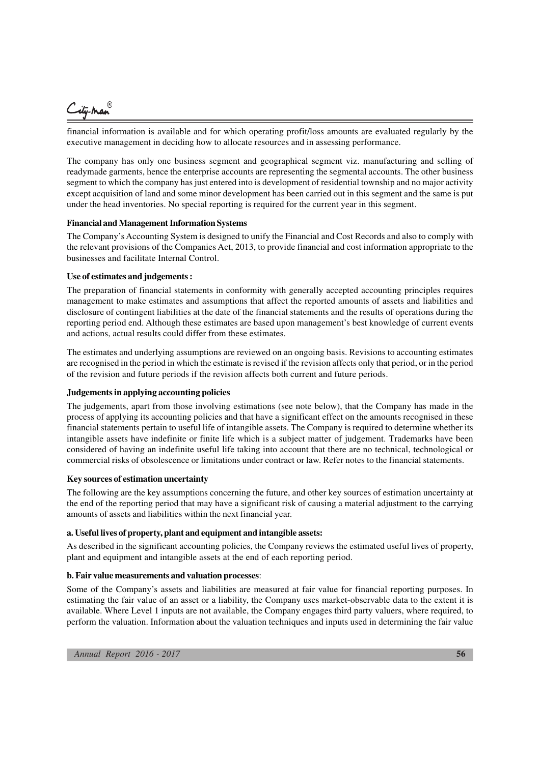City-Man

financial information is available and for which operating profit/loss amounts are evaluated regularly by the executive management in deciding how to allocate resources and in assessing performance.

The company has only one business segment and geographical segment viz. manufacturing and selling of readymade garments, hence the enterprise accounts are representing the segmental accounts. The other business segment to which the company has just entered into is development of residential township and no major activity except acquisition of land and some minor development has been carried out in this segment and the same is put under the head inventories. No special reporting is required for the current year in this segment.

#### **Financial and Management Information Systems**

The Company's Accounting System is designed to unify the Financial and Cost Records and also to comply with the relevant provisions of the Companies Act, 2013, to provide financial and cost information appropriate to the businesses and facilitate Internal Control.

#### **Use of estimates and judgements :**

The preparation of financial statements in conformity with generally accepted accounting principles requires management to make estimates and assumptions that affect the reported amounts of assets and liabilities and disclosure of contingent liabilities at the date of the financial statements and the results of operations during the reporting period end. Although these estimates are based upon management's best knowledge of current events and actions, actual results could differ from these estimates.

The estimates and underlying assumptions are reviewed on an ongoing basis. Revisions to accounting estimates are recognised in the period in which the estimate is revised if the revision affects only that period, or in the period of the revision and future periods if the revision affects both current and future periods.

#### **Judgements in applying accounting policies**

The judgements, apart from those involving estimations (see note below), that the Company has made in the process of applying its accounting policies and that have a significant effect on the amounts recognised in these financial statements pertain to useful life of intangible assets. The Company is required to determine whether its intangible assets have indefinite or finite life which is a subject matter of judgement. Trademarks have been considered of having an indefinite useful life taking into account that there are no technical, technological or commercial risks of obsolescence or limitations under contract or law. Refer notes to the financial statements.

#### **Key sources of estimation uncertainty**

The following are the key assumptions concerning the future, and other key sources of estimation uncertainty at the end of the reporting period that may have a significant risk of causing a material adjustment to the carrying amounts of assets and liabilities within the next financial year.

#### **a. Useful lives of property, plant and equipment and intangible assets:**

As described in the significant accounting policies, the Company reviews the estimated useful lives of property, plant and equipment and intangible assets at the end of each reporting period.

#### **b. Fair value measurements and valuation processes**:

Some of the Company's assets and liabilities are measured at fair value for financial reporting purposes. In estimating the fair value of an asset or a liability, the Company uses market-observable data to the extent it is available. Where Level 1 inputs are not available, the Company engages third party valuers, where required, to perform the valuation. Information about the valuation techniques and inputs used in determining the fair value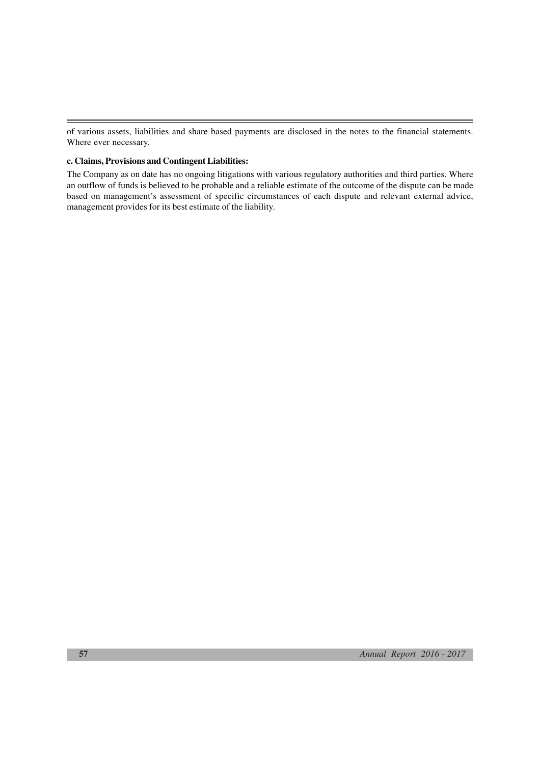of various assets, liabilities and share based payments are disclosed in the notes to the financial statements. Where ever necessary.

#### **c. Claims, Provisions and Contingent Liabilities:**

The Company as on date has no ongoing litigations with various regulatory authorities and third parties. Where an outflow of funds is believed to be probable and a reliable estimate of the outcome of the dispute can be made based on management's assessment of specific circumstances of each dispute and relevant external advice, management provides for its best estimate of the liability.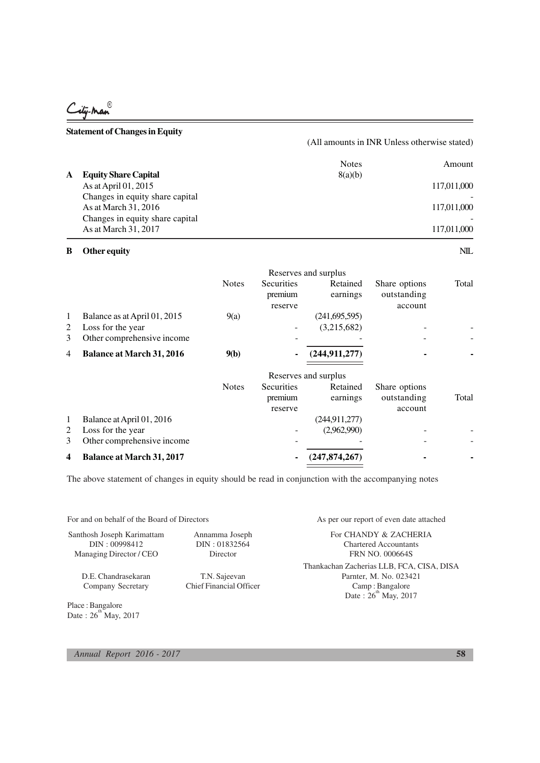.<br>dty-Man

# **Statement of Changes in Equity** (All amounts in INR Unless otherwise stated) Notes Amount **A Equity Share Capital** 8(a)(b) As at April 01, 2015 117,011,000

Changes in equity share capital 117,011,000<br>As at March 31, 2016 117,011,000 As at March 31, 2016 Changes in equity share capital As at March 31, 2017 117,011,000

|        |                                                 |                      |                                         | Reserves and surplus |                                         |       |
|--------|-------------------------------------------------|----------------------|-----------------------------------------|----------------------|-----------------------------------------|-------|
|        |                                                 | <b>Notes</b>         | <b>Securities</b><br>premium<br>reserve | Retained<br>earnings | Share options<br>outstanding<br>account | Total |
| 1      | Balance as at April 01, 2015                    | 9(a)                 |                                         | (241, 695, 595)      |                                         |       |
| 2<br>3 | Loss for the year<br>Other comprehensive income |                      |                                         | (3,215,682)          |                                         |       |
| 4      | <b>Balance at March 31, 2016</b>                | 9(b)                 |                                         | (244, 911, 277)      |                                         |       |
|        |                                                 | Reserves and surplus |                                         |                      |                                         |       |
|        |                                                 | <b>Notes</b>         | <b>Securities</b><br>premium<br>reserve | Retained<br>earnings | Share options<br>outstanding<br>account | Total |
| 1      | Balance at April 01, 2016                       |                      |                                         | (244,911,277)        |                                         |       |
| 2      | Loss for the year                               |                      |                                         | (2,962,990)          |                                         |       |
| 3      | Other comprehensive income                      |                      |                                         |                      |                                         |       |
| 4      | <b>Balance at March 31, 2017</b>                |                      |                                         | (247, 874, 267)      |                                         |       |

**B Other equity** NIL

The above statement of changes in equity should be read in conjunction with the accompanying notes

For and on behalf of the Board of Directors As per our report of even date attached

| Santhosh Joseph Karimattam | Annamma Joseph                 | For CHANDY & ZACHERIA                               |
|----------------------------|--------------------------------|-----------------------------------------------------|
| DIN: 00998412              | DIN: 01832564                  | <b>Chartered Accountants</b>                        |
| Managing Director / CEO    | Director                       | <b>FRN NO. 000664S</b>                              |
|                            |                                | Thankachan Zacherias LLB, FCA, CISA, DISA           |
| D.E. Chandrasekaran        | T.N. Sajeevan                  | Parnter, M. No. 023421                              |
| Company Secretary          | <b>Chief Financial Officer</b> |                                                     |
|                            |                                | Camp: Bangalore<br>Date: $26^{\text{th}}$ May, 2017 |
|                            |                                |                                                     |

Place : Bangalore Date:  $26^{th}$ May, 2017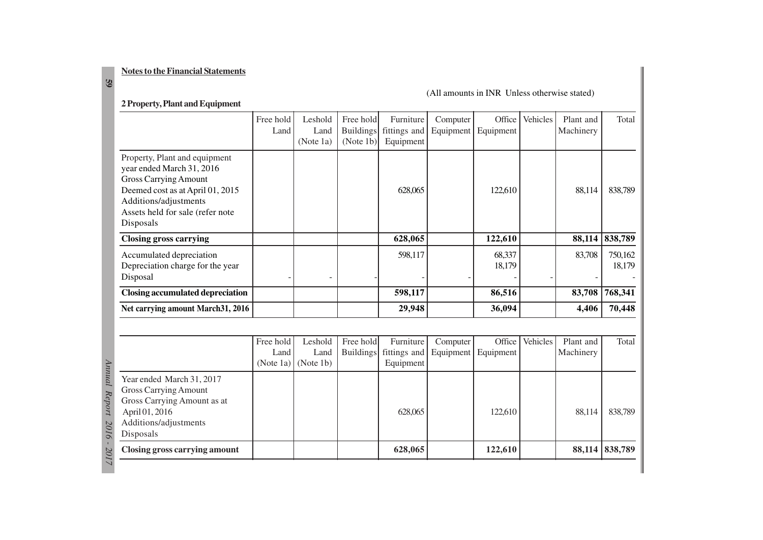# **Notes to the Financial Statements**

# **59**

### (All amounts in INR Unless otherwise stated)

## **2 Property, Plant and Equipment**

|               |                                                                                                                                                                                                          | Free hold<br>Land              | Leshold<br>Land<br>(Note 1a) | Free hold<br><b>Buildings</b><br>(Note 1b) | Furniture<br>fittings and<br>Equipment | Computer<br>Equipment | Office<br>Equipment | Vehicles | Plant and<br>Machinery | Total             |
|---------------|----------------------------------------------------------------------------------------------------------------------------------------------------------------------------------------------------------|--------------------------------|------------------------------|--------------------------------------------|----------------------------------------|-----------------------|---------------------|----------|------------------------|-------------------|
|               | Property, Plant and equipment<br>year ended March 31, 2016<br><b>Gross Carrying Amount</b><br>Deemed cost as at April 01, 2015<br>Additions/adjustments<br>Assets held for sale (refer note<br>Disposals |                                |                              |                                            | 628,065                                |                       | 122,610             |          | 88,114                 | 838,789           |
|               | <b>Closing gross carrying</b>                                                                                                                                                                            |                                |                              |                                            | 628,065                                |                       | 122,610             |          | 88,114                 | 838,789           |
|               | Accumulated depreciation<br>Depreciation charge for the year<br>Disposal                                                                                                                                 |                                |                              |                                            | 598,117                                |                       | 68,337<br>18,179    |          | 83,708                 | 750,162<br>18,179 |
|               | <b>Closing accumulated depreciation</b>                                                                                                                                                                  |                                |                              |                                            | 598,117                                |                       | 86,516              |          | 83,708                 | 768,341           |
|               | Net carrying amount March 31, 2016                                                                                                                                                                       |                                |                              |                                            | 29,948                                 |                       | 36,094              |          | 4,406                  | 70,448            |
|               |                                                                                                                                                                                                          |                                |                              |                                            |                                        |                       |                     |          |                        |                   |
|               |                                                                                                                                                                                                          | Free hold<br>Land<br>(Note 1a) | Leshold<br>Land<br>(Note 1b) | Free hold<br><b>Buildings</b>              | Furniture<br>fittings and<br>Equipment | Computer<br>Equipment | Office<br>Equipment | Vehicles | Plant and<br>Machinery | Total             |
|               | Year ended March 31, 2017<br><b>Gross Carrying Amount</b>                                                                                                                                                |                                |                              |                                            |                                        |                       |                     |          |                        |                   |
| Annual Report | Gross Carrying Amount as at<br>April 01, 2016<br>Additions/adjustments<br>Disposals                                                                                                                      |                                |                              |                                            | 628,065                                |                       | 122,610             |          | 88,114                 | 838,789           |
| 2016 - 2017   | <b>Closing gross carrying amount</b>                                                                                                                                                                     |                                |                              |                                            | 628,065                                |                       | 122,610             |          | 88,114 838,789         |                   |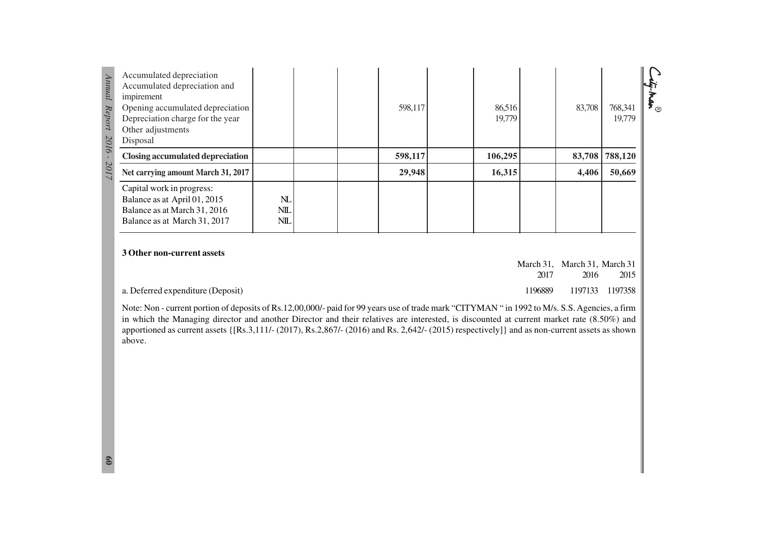| Annual Report 2016 - 2017 | Accumulated depreciation<br>Accumulated depreciation and<br>impirement<br>Opening accumulated depreciation<br>Depreciation charge for the year<br>Other adjustments<br>Disposal                                                                                                                                                                                                                                                                                           |                                     |  | 598,117 |  | 86,516<br>19,779 |      | 83,708                               | 768,341<br>19,779 | $\bm{\mathfrak{s}}_{\circledcirc}$ |
|---------------------------|---------------------------------------------------------------------------------------------------------------------------------------------------------------------------------------------------------------------------------------------------------------------------------------------------------------------------------------------------------------------------------------------------------------------------------------------------------------------------|-------------------------------------|--|---------|--|------------------|------|--------------------------------------|-------------------|------------------------------------|
|                           | <b>Closing accumulated depreciation</b>                                                                                                                                                                                                                                                                                                                                                                                                                                   |                                     |  | 598,117 |  | 106,295          |      | 83,708                               | 788,120           |                                    |
|                           | Net carrying amount March 31, 2017                                                                                                                                                                                                                                                                                                                                                                                                                                        |                                     |  | 29,948  |  | 16,315           |      | 4,406                                | 50,669            |                                    |
|                           | Capital work in progress:<br>Balance as at April 01, 2015<br>Balance as at March 31, 2016<br>Balance as at March 31, 2017                                                                                                                                                                                                                                                                                                                                                 | N <sub>L</sub><br>NIL<br><b>NIL</b> |  |         |  |                  |      |                                      |                   |                                    |
|                           | 3 Other non-current assets                                                                                                                                                                                                                                                                                                                                                                                                                                                |                                     |  |         |  |                  | 2017 | March 31, March 31, March 31<br>2016 | 2015              |                                    |
|                           | a. Deferred expenditure (Deposit)<br>1196889<br>1197133 1197358                                                                                                                                                                                                                                                                                                                                                                                                           |                                     |  |         |  |                  |      |                                      |                   |                                    |
|                           | Note: Non - current portion of deposits of Rs.12,00,000/- paid for 99 years use of trade mark "CITYMAN" in 1992 to M/s. S.S. Agencies, a firm<br>in which the Managing director and another Director and their relatives are interested, is discounted at current market rate (8.50%) and<br>apportioned as current assets $\{[Rs.3,111/- (2017), Rs.2,867/- (2016) \text{ and Rs. } 2,642/- (2015) \text{ respectively}]\}$ and as non-current assets as shown<br>above. |                                     |  |         |  |                  |      |                                      |                   |                                    |
|                           |                                                                                                                                                                                                                                                                                                                                                                                                                                                                           |                                     |  |         |  |                  |      |                                      |                   |                                    |
| $\boldsymbol{8}$          |                                                                                                                                                                                                                                                                                                                                                                                                                                                                           |                                     |  |         |  |                  |      |                                      |                   |                                    |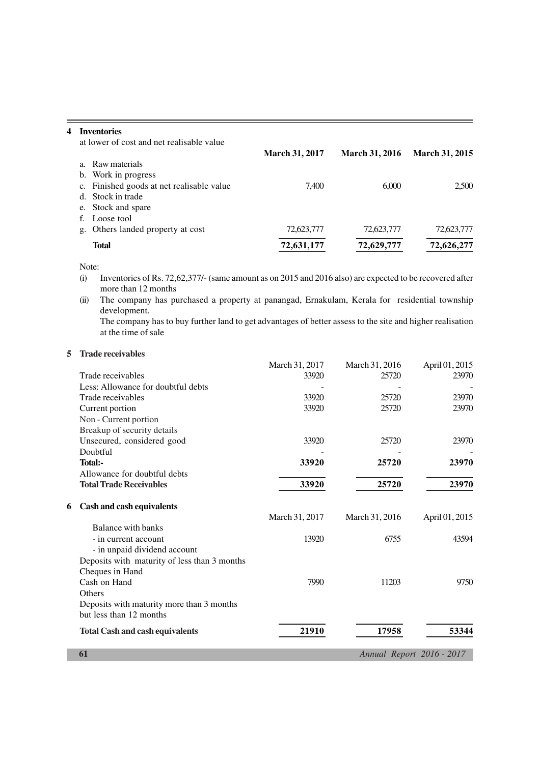#### **4 Inventories**

| at lower of cost and net realisable value |                       |                       |                       |
|-------------------------------------------|-----------------------|-----------------------|-----------------------|
|                                           | <b>March 31, 2017</b> | <b>March 31, 2016</b> | <b>March 31, 2015</b> |
| Raw materials<br>$a_{-}$                  |                       |                       |                       |
| b. Work in progress                       |                       |                       |                       |
| c. Finished goods at net realisable value | 7.400                 | 6.000                 | 2.500                 |
| d. Stock in trade                         |                       |                       |                       |
| e. Stock and spare                        |                       |                       |                       |
| Loose tool<br>f.                          |                       |                       |                       |
| Others landed property at cost<br>g.      | 72,623,777            | 72,623,777            | 72,623,777            |
| <b>Total</b>                              | 72,631,177            | 72,629,777            | 72,626,277            |

Note:

- (i) Inventories of Rs. 72,62,377/- (same amount as on 2015 and 2016 also) are expected to be recovered after more than 12 months
- (ii) The company has purchased a property at panangad, Ernakulam, Kerala for residential township development.
	- The company has to buy further land to get advantages of better assess to the site and higher realisation at the time of sale

#### **5 Trade receivables**

|                                              | March 31, 2017 | March 31, 2016 | April 01, 2015            |
|----------------------------------------------|----------------|----------------|---------------------------|
| Trade receivables                            | 33920          | 25720          | 23970                     |
| Less: Allowance for doubtful debts           |                |                |                           |
| Trade receivables                            | 33920          | 25720          | 23970                     |
| Current portion                              | 33920          | 25720          | 23970                     |
| Non - Current portion                        |                |                |                           |
| Breakup of security details                  |                |                |                           |
| Unsecured, considered good                   | 33920          | 25720          | 23970                     |
| Doubtful                                     |                |                |                           |
| Total:-                                      | 33920          | 25720          | 23970                     |
| Allowance for doubtful debts                 |                |                |                           |
| <b>Total Trade Receivables</b>               | 33920          | 25720          | 23970                     |
| Cash and cash equivalents<br>6               |                |                |                           |
|                                              | March 31, 2017 | March 31, 2016 | April 01, 2015            |
| Balance with banks                           |                |                |                           |
| - in current account                         | 13920          | 6755           | 43594                     |
| - in unpaid dividend account                 |                |                |                           |
| Deposits with maturity of less than 3 months |                |                |                           |
| Cheques in Hand                              |                |                |                           |
| Cash on Hand                                 | 7990           | 11203          | 9750                      |
| <b>Others</b>                                |                |                |                           |
| Deposits with maturity more than 3 months    |                |                |                           |
| but less than 12 months                      |                |                |                           |
| <b>Total Cash and cash equivalents</b>       | 21910          | 17958          | 53344                     |
| 61                                           |                |                | Annual Report 2016 - 2017 |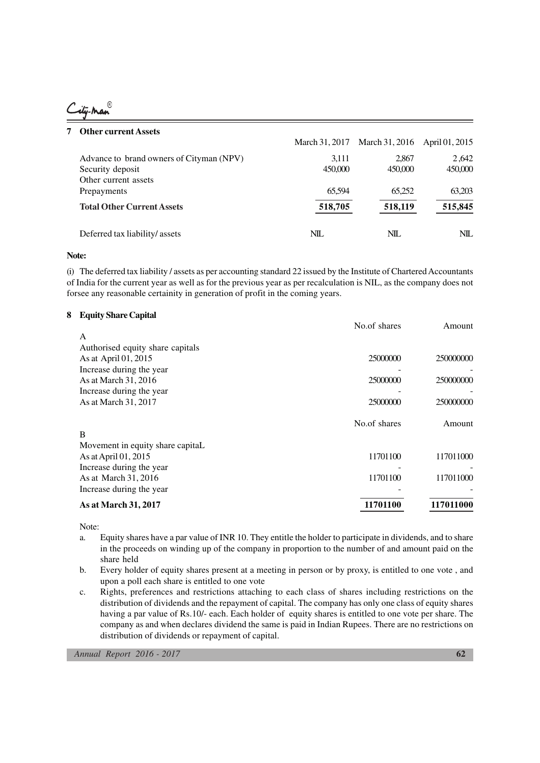<u>.</u><br>Lily-Man

| <b>Other current Assets</b>              |                |                |                |
|------------------------------------------|----------------|----------------|----------------|
|                                          | March 31, 2017 | March 31, 2016 | April 01, 2015 |
| Advance to brand owners of Cityman (NPV) | 3.111          | 2,867          | 2.642          |
| Security deposit                         | 450,000        | 450,000        | 450,000        |
| Other current assets                     |                |                |                |
| Prepayments                              | 65.594         | 65.252         | 63.203         |
| <b>Total Other Current Assets</b>        | 518,705        | 518,119        | 515,845        |
| Deferred tax liability/assets            | NIL.           | NIL.           | NIL.           |

#### **Note:**

(i) The deferred tax liability / assets as per accounting standard 22 issued by the Institute of Chartered Accountants of India for the current year as well as for the previous year as per recalculation is NIL, as the company does not forsee any reasonable certainity in generation of profit in the coming years.

#### **8 Equity Share Capital**

|                                  | No.of shares | Amount    |
|----------------------------------|--------------|-----------|
| A                                |              |           |
| Authorised equity share capitals |              |           |
| As at April 01, 2015             | 25000000     | 250000000 |
| Increase during the year         |              |           |
| As at March 31, 2016             | 25000000     | 250000000 |
| Increase during the year         |              |           |
| As at March 31, 2017             | 25000000     | 250000000 |
|                                  |              |           |
|                                  | No.of shares | Amount    |
| B                                |              |           |
| Movement in equity share capitaL |              |           |
| As at April 01, 2015             | 11701100     | 117011000 |
| Increase during the year         |              |           |
| As at March 31, 2016             | 11701100     | 117011000 |
| Increase during the year         |              |           |
| <b>As at March 31, 2017</b>      | 11701100     | 117011000 |

Note:

- a. Equity shares have a par value of INR 10. They entitle the holder to participate in dividends, and to share in the proceeds on winding up of the company in proportion to the number of and amount paid on the share held
- b. Every holder of equity shares present at a meeting in person or by proxy, is entitled to one vote , and upon a poll each share is entitled to one vote
- c. Rights, preferences and restrictions attaching to each class of shares including restrictions on the distribution of dividends and the repayment of capital. The company has only one class of equity shares having a par value of Rs.10/- each. Each holder of equity shares is entitled to one vote per share. The company as and when declares dividend the same is paid in Indian Rupees. There are no restrictions on distribution of dividends or repayment of capital.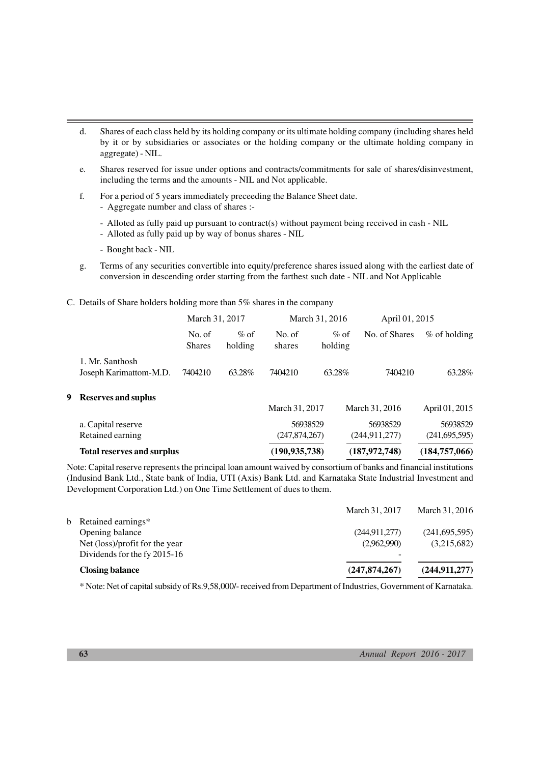- d. Shares of each class held by its holding company or its ultimate holding company (including shares held by it or by subsidiaries or associates or the holding company or the ultimate holding company in aggregate) - NIL.
- e. Shares reserved for issue under options and contracts/commitments for sale of shares/disinvestment, including the terms and the amounts - NIL and Not applicable.
- f. For a period of 5 years immediately preceeding the Balance Sheet date.
	- Aggregate number and class of shares :-
	- Alloted as fully paid up pursuant to contract(s) without payment being received in cash NIL
	- Alloted as fully paid up by way of bonus shares NIL
	- Bought back NIL
- g. Terms of any securities convertible into equity/preference shares issued along with the earliest date of conversion in descending order starting from the farthest such date - NIL and Not Applicable
- C. Details of Share holders holding more than 5% shares in the company

|                                           | March 31, 2017          |                    |                           | March 31, 2016<br>April 01, 2015 |                           |                           |  |
|-------------------------------------------|-------------------------|--------------------|---------------------------|----------------------------------|---------------------------|---------------------------|--|
|                                           | No. of<br><b>Shares</b> | $\%$ of<br>holding | No. of<br>shares          | $\%$ of<br>holding               | No. of Shares             | $%$ of holding            |  |
| 1. Mr. Santhosh<br>Joseph Karimattom-M.D. | 7404210                 | 63.28%             | 7404210                   | 63.28%                           | 7404210                   | 63.28%                    |  |
| <b>9</b> Reserves and suplus              |                         |                    | March 31, 2017            |                                  | March 31, 2016            | April 01, 2015            |  |
| a. Capital reserve<br>Retained earning    |                         |                    | 56938529<br>(247,874,267) |                                  | 56938529<br>(244.911.277) | 56938529<br>(241,695,595) |  |

Note: Capital reserve represents the principal loan amount waived by consortium of banks and financial institutions (Indusind Bank Ltd., State bank of India, UTI (Axis) Bank Ltd. and Karnataka State Industrial Investment and Development Corporation Ltd.) on One Time Settlement of dues to them.

**Total reserves and surplus (190,935,738) (187,972,748) (184,757,066)**

| <b>Closing balance</b>         | (247, 874, 267) | (244, 911, 277) |
|--------------------------------|-----------------|-----------------|
| Dividends for the fy 2015-16   |                 |                 |
| Net (loss)/profit for the year | (2,962,990)     | (3,215,682)     |
| Opening balance                | (244.911.277)   | (241, 695, 595) |
| b Retained earnings*           |                 |                 |
|                                | March 31, 2017  | March 31, 2016  |

\* Note: Net of capital subsidy of Rs.9,58,000/- received from Department of Industries, Government of Karnataka.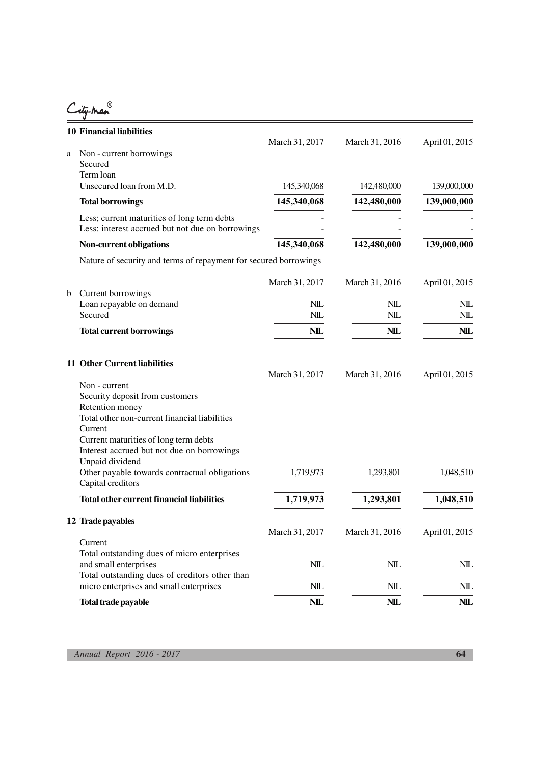City-man

|             | <b>10 Financial liabilities</b>                                                                                                                                                                                                                                                                                 |                               |                               |                               |
|-------------|-----------------------------------------------------------------------------------------------------------------------------------------------------------------------------------------------------------------------------------------------------------------------------------------------------------------|-------------------------------|-------------------------------|-------------------------------|
| a           | Non - current borrowings<br>Secured<br>Term loan<br>Unsecured loan from M.D.                                                                                                                                                                                                                                    | March 31, 2017<br>145,340,068 | March 31, 2016<br>142,480,000 | April 01, 2015<br>139,000,000 |
|             | <b>Total borrowings</b>                                                                                                                                                                                                                                                                                         | 145,340,068                   | 142,480,000                   | 139,000,000                   |
|             | Less; current maturities of long term debts<br>Less: interest accrued but not due on borrowings                                                                                                                                                                                                                 |                               |                               |                               |
|             | <b>Non-current obligations</b>                                                                                                                                                                                                                                                                                  | 145,340,068                   | 142,480,000                   | 139,000,000                   |
|             | Nature of security and terms of repayment for secured borrowings                                                                                                                                                                                                                                                |                               |                               |                               |
|             |                                                                                                                                                                                                                                                                                                                 | March 31, 2017                | March 31, 2016                | April 01, 2015                |
| $\mathbf b$ | Current borrowings<br>Loan repayable on demand<br>Secured                                                                                                                                                                                                                                                       | NIL<br>NIL                    | NIL<br>NIL                    | NIL<br>NIL                    |
|             | <b>Total current borrowings</b>                                                                                                                                                                                                                                                                                 | <b>NIL</b>                    | <b>NIL</b>                    | <b>NIL</b>                    |
|             | <b>11 Other Current liabilities</b>                                                                                                                                                                                                                                                                             | March 31, 2017                | March 31, 2016                | April 01, 2015                |
|             | Non - current<br>Security deposit from customers<br>Retention money<br>Total other non-current financial liabilities<br>Current<br>Current maturities of long term debts<br>Interest accrued but not due on borrowings<br>Unpaid dividend<br>Other payable towards contractual obligations<br>Capital creditors | 1,719,973                     | 1,293,801                     | 1,048,510                     |
|             | <b>Total other current financial liabilities</b>                                                                                                                                                                                                                                                                | 1,719,973                     | 1,293,801                     | 1,048,510                     |
|             | 12 Trade payables<br>Current                                                                                                                                                                                                                                                                                    | March 31, 2017                | March 31, 2016                | April 01, 2015                |
|             | Total outstanding dues of micro enterprises<br>and small enterprises<br>Total outstanding dues of creditors other than                                                                                                                                                                                          | $N\!I\!L$                     | $N\!I\!L$                     | NIL                           |
|             | micro enterprises and small enterprises                                                                                                                                                                                                                                                                         | $N\!I\!L$                     | $N\!I\!L$                     | NIL                           |
|             | Total trade payable                                                                                                                                                                                                                                                                                             | $N\mathbb{L}$                 | NIL                           | $N\mathbb{L}$                 |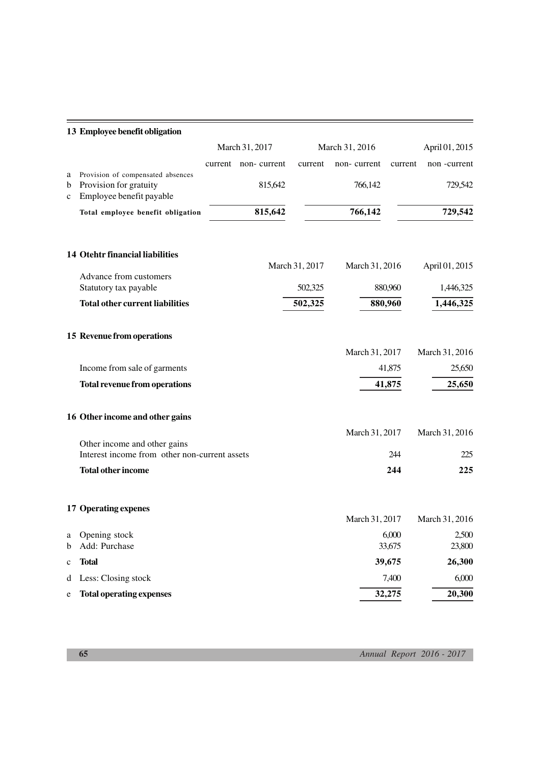|                       | 13 Employee benefit obligation                                                          |                     |                |                |                 |                 |
|-----------------------|-----------------------------------------------------------------------------------------|---------------------|----------------|----------------|-----------------|-----------------|
|                       |                                                                                         | March 31, 2017      |                | March 31, 2016 |                 | April 01, 2015  |
|                       |                                                                                         | current non-current | current        | non-current    | current         | non -current    |
| a<br>b<br>$\mathbf c$ | Provision of compensated absences<br>Provision for gratuity<br>Employee benefit payable | 815,642             |                | 766,142        |                 | 729,542         |
|                       | Total employee benefit obligation                                                       | 815,642             |                | 766,142        |                 | 729,542         |
|                       | 14 Otehtr financial liabilities                                                         |                     |                |                |                 |                 |
|                       | Advance from customers                                                                  |                     | March 31, 2017 | March 31, 2016 |                 | April 01, 2015  |
|                       | Statutory tax payable                                                                   |                     | 502,325        |                | 880,960         | 1,446,325       |
|                       | <b>Total other current liabilities</b>                                                  |                     | 502,325        | 880,960        |                 | 1,446,325       |
|                       | 15 Revenue from operations                                                              |                     |                |                |                 |                 |
|                       |                                                                                         |                     |                | March 31, 2017 |                 | March 31, 2016  |
|                       | Income from sale of garments                                                            |                     |                |                | 41,875          | 25,650          |
|                       | <b>Total revenue from operations</b>                                                    |                     |                |                | 41,875          | 25,650          |
|                       | 16 Other income and other gains                                                         |                     |                |                |                 |                 |
|                       |                                                                                         |                     |                | March 31, 2017 |                 | March 31, 2016  |
|                       | Other income and other gains<br>Interest income from other non-current assets           |                     |                |                | 244             | 225             |
|                       | <b>Total other income</b>                                                               |                     |                |                | 244             | 225             |
|                       | 17 Operating expenes                                                                    |                     |                |                |                 |                 |
|                       |                                                                                         |                     |                | March 31, 2017 |                 | March 31, 2016  |
| a<br>b                | Opening stock<br>Add: Purchase                                                          |                     |                |                | 6,000<br>33,675 | 2,500<br>23,800 |
| c                     | <b>Total</b>                                                                            |                     |                |                | 39,675          | 26,300          |
| d                     | Less: Closing stock                                                                     |                     |                |                | 7,400           | 6,000           |
| e                     | <b>Total operating expenses</b>                                                         |                     |                |                | 32,275          | 20,300          |

**65** *Annual Report 2016 - 2017*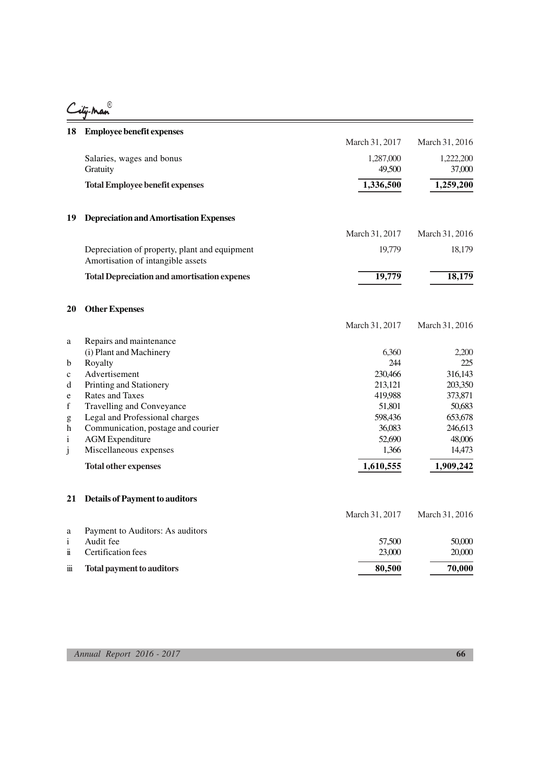City-man

| 18                                                                                                                                                                                                                                                                                                                                                                                                                             | <b>Employee benefit expenses</b>                                                   |                |                |
|--------------------------------------------------------------------------------------------------------------------------------------------------------------------------------------------------------------------------------------------------------------------------------------------------------------------------------------------------------------------------------------------------------------------------------|------------------------------------------------------------------------------------|----------------|----------------|
|                                                                                                                                                                                                                                                                                                                                                                                                                                |                                                                                    | March 31, 2017 | March 31, 2016 |
|                                                                                                                                                                                                                                                                                                                                                                                                                                | Salaries, wages and bonus                                                          | 1,287,000      | 1,222,200      |
|                                                                                                                                                                                                                                                                                                                                                                                                                                | Gratuity                                                                           | 49,500         | 37,000         |
|                                                                                                                                                                                                                                                                                                                                                                                                                                | <b>Total Employee benefit expenses</b>                                             | 1,336,500      | 1,259,200      |
| 19                                                                                                                                                                                                                                                                                                                                                                                                                             | <b>Depreciation and Amortisation Expenses</b>                                      |                |                |
|                                                                                                                                                                                                                                                                                                                                                                                                                                |                                                                                    | March 31, 2017 | March 31, 2016 |
|                                                                                                                                                                                                                                                                                                                                                                                                                                | Depreciation of property, plant and equipment<br>Amortisation of intangible assets | 19,779         | 18,179         |
|                                                                                                                                                                                                                                                                                                                                                                                                                                | <b>Total Depreciation and amortisation expenes</b>                                 | 19,779         | 18,179         |
| 20                                                                                                                                                                                                                                                                                                                                                                                                                             | <b>Other Expenses</b>                                                              |                |                |
|                                                                                                                                                                                                                                                                                                                                                                                                                                |                                                                                    | March 31, 2017 | March 31, 2016 |
| a                                                                                                                                                                                                                                                                                                                                                                                                                              | Repairs and maintenance                                                            |                |                |
|                                                                                                                                                                                                                                                                                                                                                                                                                                | (i) Plant and Machinery                                                            | 6,360          | 2,200          |
| b                                                                                                                                                                                                                                                                                                                                                                                                                              | Royalty                                                                            | 244            | 225            |
| $\mathbf c$                                                                                                                                                                                                                                                                                                                                                                                                                    | Advertisement                                                                      | 230,466        | 316,143        |
| d                                                                                                                                                                                                                                                                                                                                                                                                                              | Printing and Stationery                                                            | 213,121        | 203,350        |
| e                                                                                                                                                                                                                                                                                                                                                                                                                              | <b>Rates and Taxes</b>                                                             | 419,988        | 373,871        |
| f                                                                                                                                                                                                                                                                                                                                                                                                                              | Travelling and Conveyance                                                          | 51,801         | 50,683         |
| $\mathbf{g}% _{T}=\mathbf{g}_{T}=\mathbf{g}_{T}=\mathbf{g}_{T}=\mathbf{g}_{T}=\mathbf{g}_{T}=\mathbf{g}_{T}=\mathbf{g}_{T}=\mathbf{g}_{T}=\mathbf{g}_{T}=\mathbf{g}_{T}=\mathbf{g}_{T}=\mathbf{g}_{T}=\mathbf{g}_{T}=\mathbf{g}_{T}=\mathbf{g}_{T}=\mathbf{g}_{T}=\mathbf{g}_{T}=\mathbf{g}_{T}=\mathbf{g}_{T}=\mathbf{g}_{T}=\mathbf{g}_{T}=\mathbf{g}_{T}=\mathbf{g}_{T}=\mathbf{g}_{T}=\mathbf{g}_{T}=\mathbf{g}_{T}=\math$ | Legal and Professional charges                                                     | 598,436        | 653,678        |
| h                                                                                                                                                                                                                                                                                                                                                                                                                              | Communication, postage and courier                                                 | 36,083         | 246,613        |
| $\mathbf{i}$                                                                                                                                                                                                                                                                                                                                                                                                                   | <b>AGM</b> Expenditure                                                             | 52,690         | 48,006         |
| j                                                                                                                                                                                                                                                                                                                                                                                                                              | Miscellaneous expenses                                                             | 1,366          | 14,473         |
|                                                                                                                                                                                                                                                                                                                                                                                                                                | <b>Total other expenses</b>                                                        | 1,610,555      | 1,909,242      |
| 21                                                                                                                                                                                                                                                                                                                                                                                                                             | <b>Details of Payment to auditors</b>                                              |                |                |
|                                                                                                                                                                                                                                                                                                                                                                                                                                |                                                                                    | March 31, 2017 | March 31, 2016 |
| a                                                                                                                                                                                                                                                                                                                                                                                                                              | Payment to Auditors: As auditors                                                   |                |                |
| i                                                                                                                                                                                                                                                                                                                                                                                                                              | Audit fee                                                                          | 57,500         | 50,000         |
| ï                                                                                                                                                                                                                                                                                                                                                                                                                              | Certification fees                                                                 | 23,000         | 20,000         |
| iї                                                                                                                                                                                                                                                                                                                                                                                                                             | <b>Total payment to auditors</b>                                                   | 80,500         | 70,000         |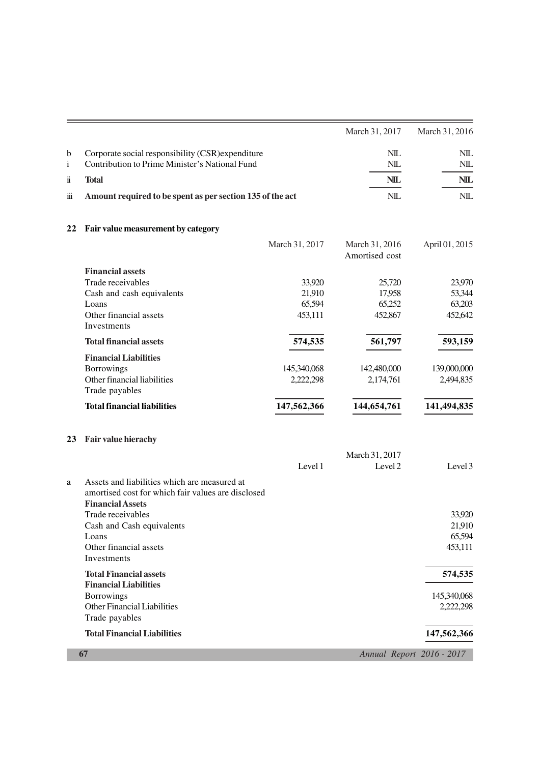|                    |                                                                                                                               |                | March 31, 2017                   | March 31, 2016            |
|--------------------|-------------------------------------------------------------------------------------------------------------------------------|----------------|----------------------------------|---------------------------|
| b<br>i             | Corporate social responsibility (CSR) expenditure<br>Contribution to Prime Minister's National Fund                           |                | <b>NIL</b><br>NIL                | <b>NIL</b><br><b>NIL</b>  |
| ï                  | <b>Total</b>                                                                                                                  |                | <b>NIL</b>                       | <b>NIL</b>                |
| $\dddot{\text{m}}$ | Amount required to be spent as per section 135 of the act                                                                     |                | NIL                              | <b>NIL</b>                |
| 22                 | Fair value measurement by category                                                                                            |                |                                  |                           |
|                    |                                                                                                                               | March 31, 2017 | March 31, 2016<br>Amortised cost | April 01, 2015            |
|                    | <b>Financial assets</b>                                                                                                       |                |                                  |                           |
|                    | Trade receivables                                                                                                             | 33,920         | 25,720                           | 23,970                    |
|                    | Cash and cash equivalents                                                                                                     | 21,910         | 17,958                           | 53,344                    |
|                    | Loans                                                                                                                         | 65,594         | 65,252                           | 63,203                    |
|                    | Other financial assets<br>Investments                                                                                         | 453,111        | 452,867                          | 452,642                   |
|                    | <b>Total financial assets</b>                                                                                                 | 574,535        | 561,797                          | 593,159                   |
|                    | <b>Financial Liabilities</b>                                                                                                  |                |                                  |                           |
|                    | Borrowings                                                                                                                    | 145,340,068    | 142,480,000                      | 139,000,000               |
|                    | Other financial liabilities<br>Trade payables                                                                                 | 2,222,298      | 2,174,761                        | 2,494,835                 |
|                    | <b>Total financial liabilities</b>                                                                                            | 147,562,366    | 144,654,761                      | 141,494,835               |
| 23                 | Fair value hierachy                                                                                                           |                |                                  |                           |
|                    |                                                                                                                               |                | March 31, 2017                   |                           |
|                    |                                                                                                                               | Level 1        | Level 2                          | Level 3                   |
| a                  | Assets and liabilities which are measured at<br>amortised cost for which fair values are disclosed<br><b>Financial Assets</b> |                |                                  |                           |
|                    | Trade receivables                                                                                                             |                |                                  | 33,920                    |
|                    | Cash and Cash equivalents                                                                                                     |                |                                  | 21,910                    |
|                    | Loans                                                                                                                         |                |                                  | 65,594                    |
|                    | Other financial assets<br>Investments                                                                                         |                |                                  | 453,111                   |
|                    | <b>Total Financial assets</b><br><b>Financial Liabilities</b>                                                                 |                |                                  | 574,535                   |
|                    | Borrowings                                                                                                                    |                |                                  | 145,340,068               |
|                    | <b>Other Financial Liabilities</b><br>Trade payables                                                                          |                |                                  | 2,222,298                 |
|                    | <b>Total Financial Liabilities</b>                                                                                            |                |                                  | 147,562,366               |
|                    | 67                                                                                                                            |                |                                  | Annual Report 2016 - 2017 |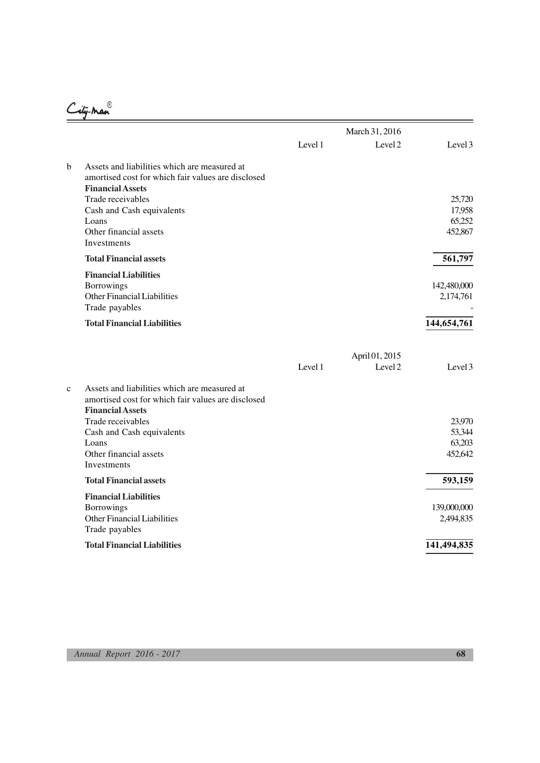City-man

|              |                                                                                                                               | March 31, 2016 |                           |                                       |
|--------------|-------------------------------------------------------------------------------------------------------------------------------|----------------|---------------------------|---------------------------------------|
|              |                                                                                                                               | Level 1        | Level 2                   | Level 3                               |
| b            | Assets and liabilities which are measured at<br>amortised cost for which fair values are disclosed<br><b>Financial Assets</b> |                |                           |                                       |
|              | Trade receivables<br>Cash and Cash equivalents<br>Loans<br>Other financial assets<br>Investments                              |                |                           | 25,720<br>17,958<br>65,252<br>452,867 |
|              | <b>Total Financial assets</b>                                                                                                 |                |                           | 561,797                               |
|              | <b>Financial Liabilities</b><br>Borrowings<br><b>Other Financial Liabilities</b><br>Trade payables                            |                |                           | 142,480,000<br>2,174,761              |
|              | <b>Total Financial Liabilities</b>                                                                                            |                |                           | 144,654,761                           |
|              |                                                                                                                               | Level 1        | April 01, 2015<br>Level 2 | Level 3                               |
| $\mathbf{C}$ | Assets and liabilities which are measured at<br>amortised cost for which fair values are disclosed<br><b>Financial Assets</b> |                |                           |                                       |
|              | Trade receivables<br>Cash and Cash equivalents<br>Loans<br>Other financial assets<br>Investments                              |                |                           | 23,970<br>53,344<br>63,203<br>452,642 |
|              | <b>Total Financial assets</b>                                                                                                 |                |                           | 593,159                               |
|              | <b>Financial Liabilities</b><br><b>Borrowings</b><br><b>Other Financial Liabilities</b><br>Trade payables                     |                |                           | 139,000,000<br>2,494,835              |
|              | <b>Total Financial Liabilities</b>                                                                                            |                |                           | 141,494,835                           |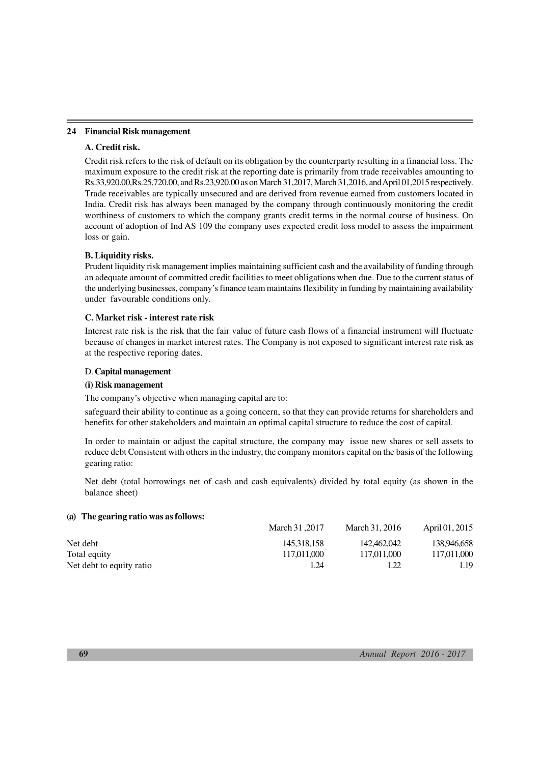#### **24 Financial Risk management**

#### **A. Credit risk.**

Credit risk refers to the risk of default on its obligation by the counterparty resulting in a financial loss. The maximum exposure to the credit risk at the reporting date is primarily from trade receivables amounting to Rs.33,920.00,Rs.25,720.00, and Rs.23,920.00 as on March 31,2017, March 31,2016, and April 01,2015 respectively. Trade receivables are typically unsecured and are derived from revenue earned from customers located in India. Credit risk has always been managed by the company through continuously monitoring the credit worthiness of customers to which the company grants credit terms in the normal course of business. On account of adoption of Ind AS 109 the company uses expected credit loss model to assess the impairment loss or gain.

#### **B. Liquidity risks.**

Prudent liquidity risk management implies maintaining sufficient cash and the availability of funding through an adequate amount of committed credit facilities to meet obligations when due. Due to the current status of the underlying businesses, company's finance team maintains flexibility in funding by maintaining availability under favourable conditions only.

#### **C. Market risk - interest rate risk**

Interest rate risk is the risk that the fair value of future cash flows of a financial instrument will fluctuate because of changes in market interest rates. The Company is not exposed to significant interest rate risk as at the respective reporing dates.

#### D. **Capital management**

#### **(i) Risk management**

The company's objective when managing capital are to:

safeguard their ability to continue as a going concern, so that they can provide returns for shareholders and benefits for other stakeholders and maintain an optimal capital structure to reduce the cost of capital.

In order to maintain or adjust the capital structure, the company may issue new shares or sell assets to reduce debt Consistent with others in the industry, the company monitors capital on the basis of the following gearing ratio:

Net debt (total borrowings net of cash and cash equivalents) divided by total equity (as shown in the balance sheet)

#### **(a) The gearing ratio was as follows:**

|                          | March 31,2017 | March 31, 2016 | April 01, 2015 |
|--------------------------|---------------|----------------|----------------|
| Net debt                 | 145.318.158   | 142,462,042    | 138,946,658    |
| Total equity             | 117.011.000   | 117,011,000    | 117,011,000    |
| Net debt to equity ratio | 1.24          | 1.22           | 19             |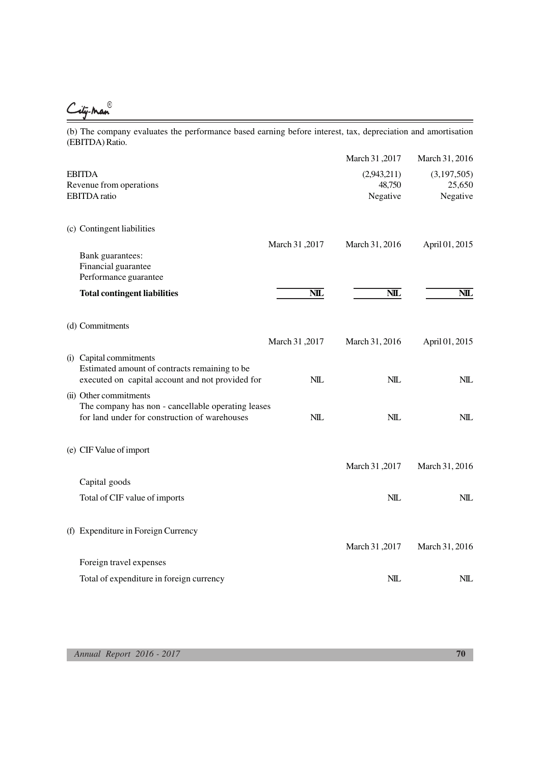City-man

(b) The company evaluates the performance based earning before interest, tax, depreciation and amortisation (EBITDA) Ratio.

|                                                                                                   |               | March 31,2017                     | March 31, 2016                    |
|---------------------------------------------------------------------------------------------------|---------------|-----------------------------------|-----------------------------------|
| <b>EBITDA</b><br>Revenue from operations<br><b>EBITDA</b> ratio                                   |               | (2,943,211)<br>48,750<br>Negative | (3,197,505)<br>25,650<br>Negative |
|                                                                                                   |               |                                   |                                   |
| (c) Contingent liabilities                                                                        |               |                                   |                                   |
|                                                                                                   | March 31,2017 | March 31, 2016                    | April 01, 2015                    |
| Bank guarantees:<br>Financial guarantee                                                           |               |                                   |                                   |
| Performance guarantee                                                                             |               |                                   |                                   |
| <b>Total contingent liabilities</b>                                                               | <b>NIL</b>    | <b>NIL</b>                        | <b>NIL</b>                        |
| (d) Commitments                                                                                   |               |                                   |                                   |
|                                                                                                   | March 31,2017 | March 31, 2016                    | April 01, 2015                    |
| (i) Capital commitments                                                                           |               |                                   |                                   |
| Estimated amount of contracts remaining to be<br>executed on capital account and not provided for | NIL           | NIL                               | NIL                               |
| (ii) Other commitments                                                                            |               |                                   |                                   |
| The company has non - cancellable operating leases                                                |               |                                   |                                   |
| for land under for construction of warehouses                                                     | <b>NIL</b>    | <b>NIL</b>                        | <b>NIL</b>                        |
| (e) CIF Value of import                                                                           |               |                                   |                                   |
|                                                                                                   |               | March 31,2017                     | March 31, 2016                    |
| Capital goods                                                                                     |               |                                   |                                   |
| Total of CIF value of imports                                                                     |               | <b>NIL</b>                        | NIL                               |
|                                                                                                   |               |                                   |                                   |
| (f) Expenditure in Foreign Currency                                                               |               |                                   |                                   |
|                                                                                                   |               | March 31,2017                     | March 31, 2016                    |
| Foreign travel expenses                                                                           |               |                                   |                                   |
| Total of expenditure in foreign currency                                                          |               | <b>NIL</b>                        | <b>NIL</b>                        |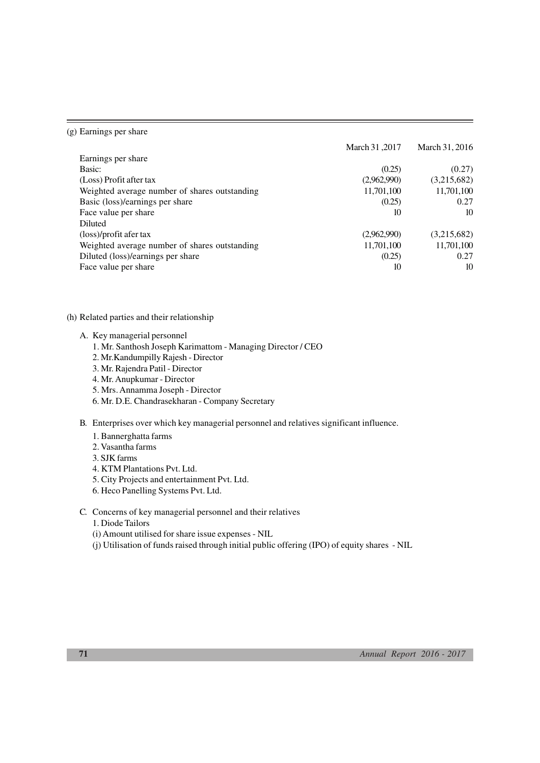#### (g) Earnings per share

|                                               | March 31,2017 | March 31, 2016 |
|-----------------------------------------------|---------------|----------------|
| Earnings per share                            |               |                |
| Basic:                                        | (0.25)        | (0.27)         |
| (Loss) Profit after tax                       | (2,962,990)   | (3,215,682)    |
| Weighted average number of shares outstanding | 11,701,100    | 11,701,100     |
| Basic (loss)/earnings per share               | (0.25)        | 0.27           |
| Face value per share                          | 10            | 10             |
| Diluted                                       |               |                |
| (loss)/profit afer tax                        | (2,962,990)   | (3,215,682)    |
| Weighted average number of shares outstanding | 11,701,100    | 11,701,100     |
| Diluted (loss)/earnings per share             | (0.25)        | 0.27           |
| Face value per share                          | 10            | 10             |

#### (h) Related parties and their relationship

- A. Key managerial personnel
	- 1. Mr. Santhosh Joseph Karimattom Managing Director / CEO
	- 2. Mr.Kandumpilly Rajesh Director
	- 3. Mr. Rajendra Patil Director
	- 4. Mr. Anupkumar Director
	- 5. Mrs. Annamma Joseph Director
	- 6. Mr. D.E. Chandrasekharan Company Secretary

### B. Enterprises over which key managerial personnel and relatives significant influence.

- 1. Bannerghatta farms
- 2. Vasantha farms
- 3. SJK farms
- 4. KTM Plantations Pvt. Ltd.
- 5. City Projects and entertainment Pvt. Ltd.
- 6. Heco Panelling Systems Pvt. Ltd.

#### C. Concerns of key managerial personnel and their relatives

- 1. Diode Tailors
- (i) Amount utilised for share issue expenses NIL
- (j) Utilisation of funds raised through initial public offering (IPO) of equity shares NIL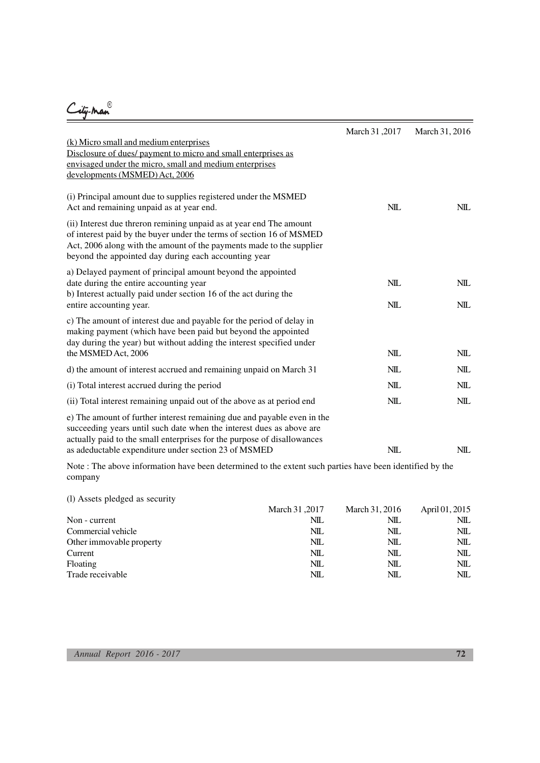City-Man

|                                                                                                                                                                                                                                                                             | March 31,2017 | March 31, 2016    |
|-----------------------------------------------------------------------------------------------------------------------------------------------------------------------------------------------------------------------------------------------------------------------------|---------------|-------------------|
| (k) Micro small and medium enterprises                                                                                                                                                                                                                                      |               |                   |
| Disclosure of dues/ payment to micro and small enterprises as                                                                                                                                                                                                               |               |                   |
| envisaged under the micro, small and medium enterprises                                                                                                                                                                                                                     |               |                   |
| developments (MSMED) Act, 2006                                                                                                                                                                                                                                              |               |                   |
| (i) Principal amount due to supplies registered under the MSMED<br>Act and remaining unpaid as at year end.                                                                                                                                                                 | <b>NIL</b>    | NIL               |
| (ii) Interest due threron remining unpaid as at year end The amount<br>of interest paid by the buyer under the terms of section 16 of MSMED<br>Act, 2006 along with the amount of the payments made to the supplier<br>beyond the appointed day during each accounting year |               |                   |
| a) Delayed payment of principal amount beyond the appointed<br>date during the entire accounting year<br>b) Interest actually paid under section 16 of the act during the<br>entire accounting year.                                                                        | NIL<br>NIL    | <b>NIL</b><br>NIL |
| c) The amount of interest due and payable for the period of delay in<br>making payment (which have been paid but beyond the appointed<br>day during the year) but without adding the interest specified under                                                               |               |                   |
| the MSMED Act, 2006                                                                                                                                                                                                                                                         | NIL           | <b>NIL</b>        |
| d) the amount of interest accrued and remaining unpaid on March 31                                                                                                                                                                                                          | NIL.          | NIL               |
| (i) Total interest accrued during the period                                                                                                                                                                                                                                | NIL           | NIL               |
| (ii) Total interest remaining unpaid out of the above as at period end                                                                                                                                                                                                      | NIL           | NIL               |
| e) The amount of further interest remaining due and payable even in the<br>succeeding years until such date when the interest dues as above are<br>actually paid to the small enterprises for the purpose of disallowances                                                  |               |                   |
| as adeductable expenditure under section 23 of MSMED                                                                                                                                                                                                                        | NIL           | <b>NIL</b>        |
|                                                                                                                                                                                                                                                                             |               |                   |

Note : The above information have been determined to the extent such parties have been identified by the company

(l) Assets pledged as security

| March 31, 2017 | March 31, 2016 | April 01, 2015 |
|----------------|----------------|----------------|
| NIL            | NIL.           | NIL            |
| NIL            | NIL            | NIL            |
| NIL            | NIL            | NIL            |
| NIL            | <b>NIL</b>     | NIL            |
| NIL.           | <b>NIL</b>     | NIL            |
| NIL            | <b>NIL</b>     | NIL            |
|                |                |                |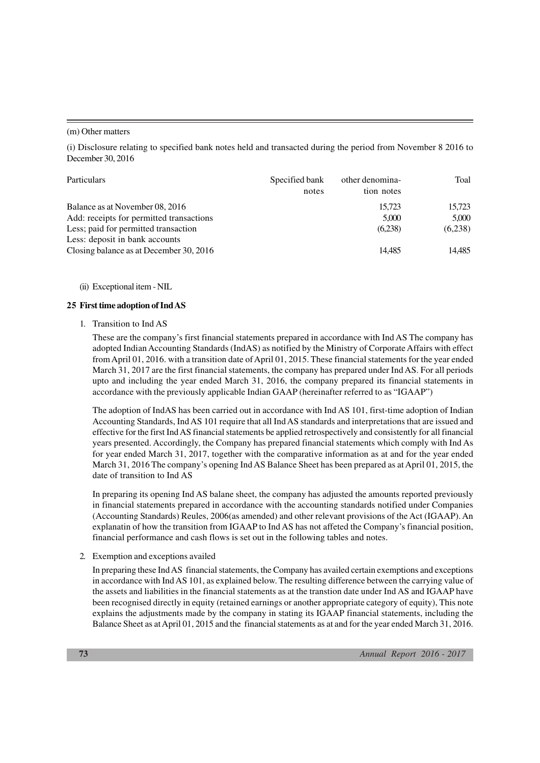(i) Disclosure relating to specified bank notes held and transacted during the period from November 8 2016 to December 30, 2016

| Particulars                                                            | Specified bank<br>notes | other denomina-<br>tion notes | Toal    |
|------------------------------------------------------------------------|-------------------------|-------------------------------|---------|
| Balance as at November 08, 2016                                        |                         | 15.723                        | 15.723  |
| Add: receipts for permitted transactions                               |                         | 5,000                         | 5,000   |
| Less; paid for permitted transaction<br>Less: deposit in bank accounts |                         | (6,238)                       | (6,238) |
| Closing balance as at December 30, 2016                                |                         | 14.485                        | 14.485  |

(ii) Exceptional item - NIL

#### **25 First time adoption of Ind AS**

1. Transition to Ind AS

These are the company's first financial statements prepared in accordance with Ind AS The company has adopted Indian Accounting Standards (IndAS) as notified by the Ministry of Corporate Affairs with effect from April 01, 2016. with a transition date of April 01, 2015. These financial statements for the year ended March 31, 2017 are the first financial statements, the company has prepared under Ind AS. For all periods upto and including the year ended March 31, 2016, the company prepared its financial statements in accordance with the previously applicable Indian GAAP (hereinafter referred to as "IGAAP")

The adoption of IndAS has been carried out in accordance with Ind AS 101, first-time adoption of Indian Accounting Standards, Ind AS 101 require that all Ind AS standards and interpretations that are issued and effective for the first Ind AS financial statements be applied retrospectively and consistently for all financial years presented. Accordingly, the Company has prepared financial statements which comply with Ind As for year ended March 31, 2017, together with the comparative information as at and for the year ended March 31, 2016 The company's opening Ind AS Balance Sheet has been prepared as at April 01, 2015, the date of transition to Ind AS

In preparing its opening Ind AS balane sheet, the company has adjusted the amounts reported previously in financial statements prepared in accordance with the accounting standards notified under Companies (Accounting Standards) Reules, 2006(as amended) and other relevant provisions of the Act (IGAAP). An explanatin of how the transition from IGAAP to Ind AS has not affeted the Company's financial position, financial performance and cash flows is set out in the following tables and notes.

2. Exemption and exceptions availed

In preparing these Ind AS financial statements, the Company has availed certain exemptions and exceptions in accordance with Ind AS 101, as explained below. The resulting difference between the carrying value of the assets and liabilities in the financial statements as at the transtion date under Ind AS and IGAAP have been recognised directly in equity (retained earnings or another appropriate category of equity), This note explains the adjustments made by the company in stating its IGAAP financial statements, including the Balance Sheet as at April 01, 2015 and the financial statements as at and for the year ended March 31, 2016.

<sup>(</sup>m) Other matters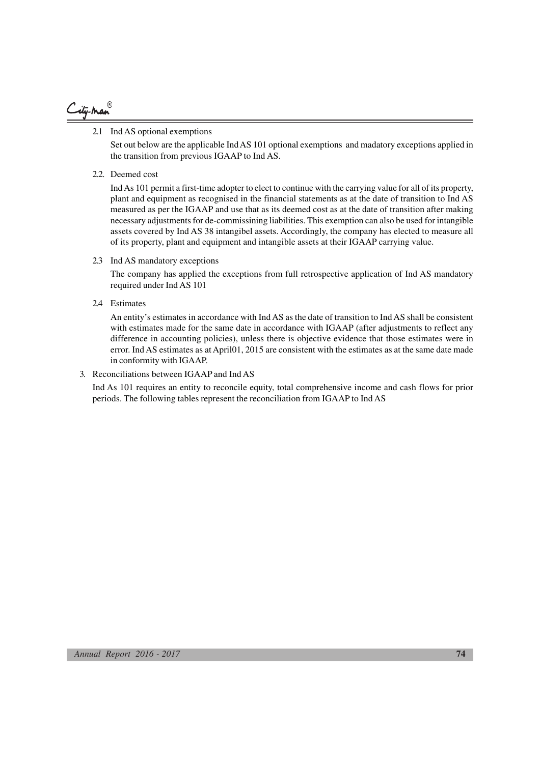# City-Man<sup>®</sup>

#### 2.1 Ind AS optional exemptions

Set out below are the applicable Ind AS 101 optional exemptions and madatory exceptions applied in the transition from previous IGAAP to Ind AS.

2.2. Deemed cost

Ind As 101 permit a first-time adopter to elect to continue with the carrying value for all of its property, plant and equipment as recognised in the financial statements as at the date of transition to Ind AS measured as per the IGAAP and use that as its deemed cost as at the date of transition after making necessary adjustments for de-commissining liabilities. This exemption can also be used for intangible assets covered by Ind AS 38 intangibel assets. Accordingly, the company has elected to measure all of its property, plant and equipment and intangible assets at their IGAAP carrying value.

2.3 Ind AS mandatory exceptions

The company has applied the exceptions from full retrospective application of Ind AS mandatory required under Ind AS 101

2.4 Estimates

An entity's estimates in accordance with Ind AS as the date of transition to Ind AS shall be consistent with estimates made for the same date in accordance with IGAAP (after adjustments to reflect any difference in accounting policies), unless there is objective evidence that those estimates were in error. Ind AS estimates as at April01, 2015 are consistent with the estimates as at the same date made in conformity with IGAAP.

3. Reconciliations between IGAAP and Ind AS

Ind As 101 requires an entity to reconcile equity, total comprehensive income and cash flows for prior periods. The following tables represent the reconciliation from IGAAP to Ind AS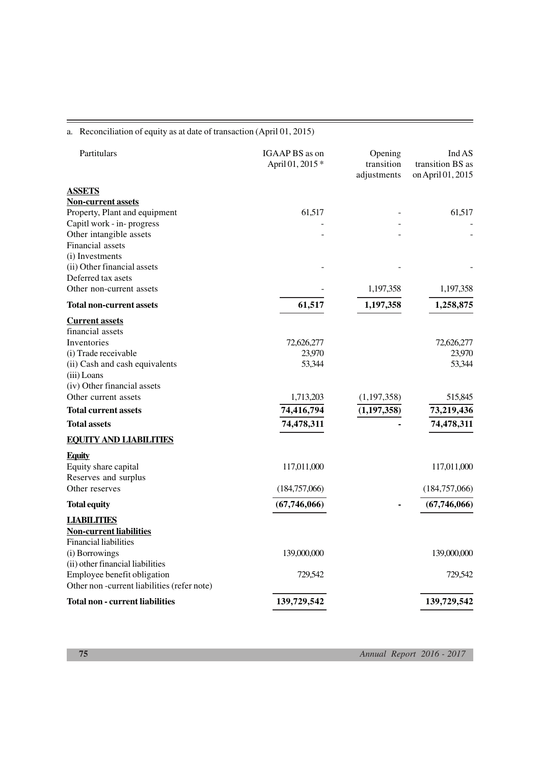| Partitulars                                        | IGAAP BS as on<br>April 01, 2015 * | Opening<br>transition<br>adjustments | Ind AS<br>transition BS as<br>on April 01, 2015 |
|----------------------------------------------------|------------------------------------|--------------------------------------|-------------------------------------------------|
| <b>ASSETS</b>                                      |                                    |                                      |                                                 |
| <b>Non-current assets</b>                          |                                    |                                      |                                                 |
| Property, Plant and equipment                      | 61,517                             |                                      | 61,517                                          |
| Capitl work - in- progress                         |                                    |                                      |                                                 |
| Other intangible assets<br>Financial assets        |                                    |                                      |                                                 |
| (i) Investments                                    |                                    |                                      |                                                 |
| (ii) Other financial assets                        |                                    |                                      |                                                 |
| Deferred tax asets                                 |                                    |                                      |                                                 |
| Other non-current assets                           |                                    | 1,197,358                            | 1,197,358                                       |
| <b>Total non-current assets</b>                    | 61,517                             | 1,197,358                            | 1,258,875                                       |
| <b>Current assets</b>                              |                                    |                                      |                                                 |
| financial assets                                   |                                    |                                      |                                                 |
| Inventories                                        | 72,626,277                         |                                      | 72,626,277                                      |
| (i) Trade receivable                               | 23,970                             |                                      | 23,970                                          |
| (ii) Cash and cash equivalents                     | 53,344                             |                                      | 53,344                                          |
| (iii) Loans<br>(iv) Other financial assets         |                                    |                                      |                                                 |
| Other current assets                               | 1,713,203                          | (1, 197, 358)                        | 515,845                                         |
| <b>Total current assets</b>                        | 74,416,794                         | (1, 197, 358)                        | 73,219,436                                      |
| <b>Total assets</b>                                | 74,478,311                         |                                      | 74,478,311                                      |
|                                                    |                                    |                                      |                                                 |
| <b>EQUITY AND LIABILITIES</b>                      |                                    |                                      |                                                 |
| <b>Equity</b>                                      |                                    |                                      |                                                 |
| Equity share capital                               | 117,011,000                        |                                      | 117,011,000                                     |
| Reserves and surplus<br>Other reserves             |                                    |                                      |                                                 |
|                                                    | (184, 757, 066)                    |                                      | (184, 757, 066)                                 |
| <b>Total equity</b>                                | (67, 746, 066)                     |                                      | (67,746,066)                                    |
| <b>LIABILITIES</b>                                 |                                    |                                      |                                                 |
| <b>Non-current liabilities</b>                     |                                    |                                      |                                                 |
| <b>Financial liabilities</b>                       |                                    |                                      |                                                 |
| (i) Borrowings<br>(ii) other financial liabilities | 139,000,000                        |                                      | 139,000,000                                     |
| Employee benefit obligation                        | 729,542                            |                                      | 729,542                                         |
| Other non-current liabilities (refer note)         |                                    |                                      |                                                 |
| Total non - current liabilities                    | 139,729,542                        |                                      | 139,729,542                                     |

a. Reconciliation of equity as at date of transaction (April 01, 2015)

**75** *Annual Report 2016 - 2017*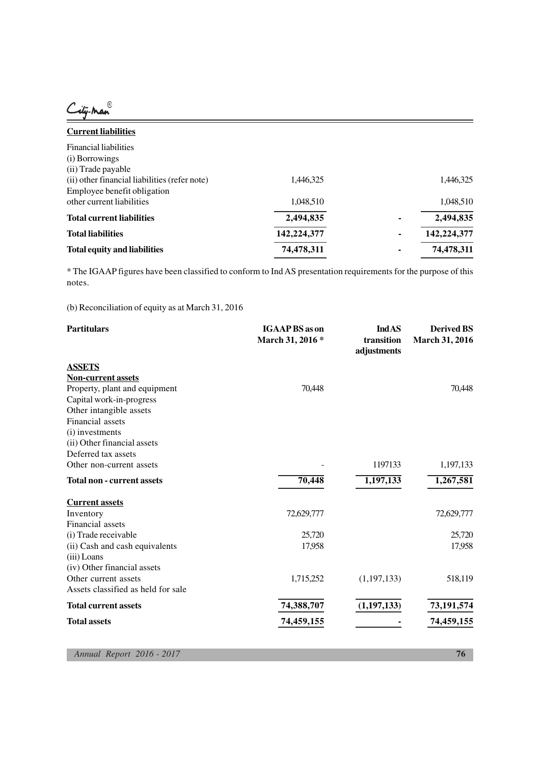City-Man

| <b>Current liabilities</b>                    |             |   |             |
|-----------------------------------------------|-------------|---|-------------|
| <b>Financial liabilities</b>                  |             |   |             |
| (i) Borrowings                                |             |   |             |
| (ii) Trade payable                            |             |   |             |
| (ii) other financial liabilities (refer note) | 1,446,325   |   | 1.446.325   |
| Employee benefit obligation                   |             |   |             |
| other current liabilities                     | 1,048,510   |   | 1,048,510   |
| <b>Total current liabilities</b>              | 2,494,835   | ۰ | 2,494,835   |
| <b>Total liabilities</b>                      | 142,224,377 | - | 142,224,377 |
| <b>Total equity and liabilities</b>           | 74,478,311  |   | 74,478,311  |

\* The IGAAP figures have been classified to conform to Ind AS presentation requirements for the purpose of this notes.

(b) Reconciliation of equity as at March 31, 2016

| <b>Derived BS</b><br>March 31, 2016 | <b>IndAS</b><br>transition<br>adjustments | <b>IGAAP BS</b> as on<br>March 31, 2016 * | <b>Partitulars</b>                 |
|-------------------------------------|-------------------------------------------|-------------------------------------------|------------------------------------|
|                                     |                                           |                                           | <b>ASSETS</b>                      |
|                                     |                                           |                                           | <b>Non-current assets</b>          |
| 70,448                              |                                           | 70,448                                    | Property, plant and equipment      |
|                                     |                                           |                                           | Capital work-in-progress           |
|                                     |                                           |                                           | Other intangible assets            |
|                                     |                                           |                                           | Financial assets                   |
|                                     |                                           |                                           | (i) investments                    |
|                                     |                                           |                                           | (ii) Other financial assets        |
|                                     |                                           |                                           | Deferred tax assets                |
| 1,197,133                           | 1197133                                   |                                           | Other non-current assets           |
| 1,267,581                           | 1,197,133                                 | 70,448                                    | <b>Total non - current assets</b>  |
|                                     |                                           |                                           | <b>Current assets</b>              |
| 72,629,777                          |                                           | 72,629,777                                | Inventory                          |
|                                     |                                           |                                           | Financial assets                   |
| 25,720                              |                                           | 25,720                                    | (i) Trade receivable               |
| 17,958                              |                                           | 17,958                                    | (ii) Cash and cash equivalents     |
|                                     |                                           |                                           | (iii) Loans                        |
|                                     |                                           |                                           | (iv) Other financial assets        |
| 518,119                             | (1, 197, 133)                             | 1,715,252                                 | Other current assets               |
|                                     |                                           |                                           | Assets classified as held for sale |
| 73,191,574                          | (1, 197, 133)                             | 74,388,707                                | <b>Total current assets</b>        |
| 74,459,155                          |                                           | 74,459,155                                | <b>Total assets</b>                |
|                                     |                                           |                                           |                                    |

*Annual Report 2016 - 2017* **76**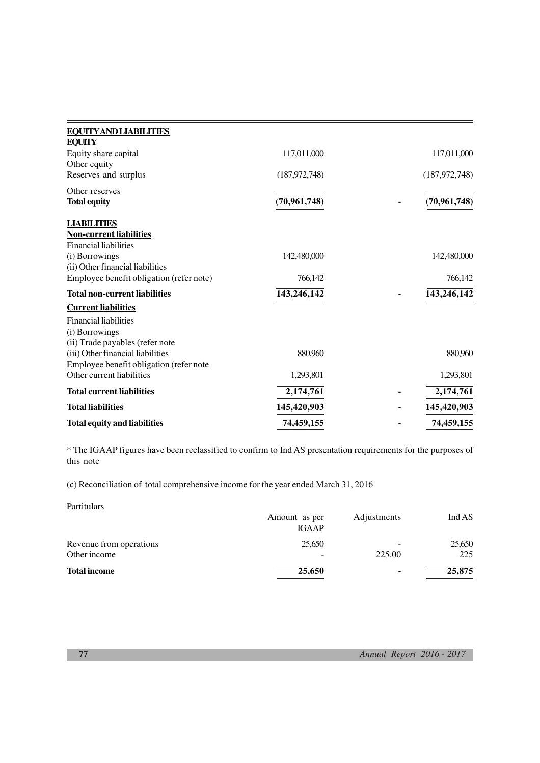| <b>EQUITYAND LIABILITIES</b>                                                         |                 |                 |
|--------------------------------------------------------------------------------------|-----------------|-----------------|
| <b>EQUITY</b><br>Equity share capital<br>Other equity                                | 117,011,000     | 117,011,000     |
| Reserves and surplus                                                                 | (187, 972, 748) | (187, 972, 748) |
| Other reserves<br><b>Total equity</b>                                                | (70, 961, 748)  | (70, 961, 748)  |
| <b>LIABILITIES</b><br><b>Non-current liabilities</b><br><b>Financial liabilities</b> |                 |                 |
| (i) Borrowings<br>(ii) Other financial liabilities                                   | 142,480,000     | 142,480,000     |
| Employee benefit obligation (refer note)                                             | 766,142         | 766,142         |
| <b>Total non-current liabilities</b>                                                 | 143,246,142     | 143,246,142     |
| <b>Current liabilities</b>                                                           |                 |                 |
| <b>Financial liabilities</b><br>(i) Borrowings<br>(ii) Trade payables (refer note    |                 |                 |
| (iii) Other financial liabilities<br>Employee benefit obligation (refer note         | 880,960         | 880,960         |
| Other current liabilities                                                            | 1,293,801       | 1,293,801       |
| <b>Total current liabilities</b>                                                     | 2,174,761       | 2,174,761       |
| <b>Total liabilities</b>                                                             | 145,420,903     | 145,420,903     |
| <b>Total equity and liabilities</b>                                                  | 74,459,155      | 74,459,155      |

\* The IGAAP figures have been reclassified to confirm to Ind AS presentation requirements for the purposes of this note

(c) Reconciliation of total comprehensive income for the year ended March 31, 2016

Partitulars

|                                         | Amount as per<br><b>IGAAP</b> | Adjustments | Ind AS        |
|-----------------------------------------|-------------------------------|-------------|---------------|
| Revenue from operations<br>Other income | 25,650                        | 225.00      | 25,650<br>225 |
| <b>Total income</b>                     | 25,650                        |             | 25,875        |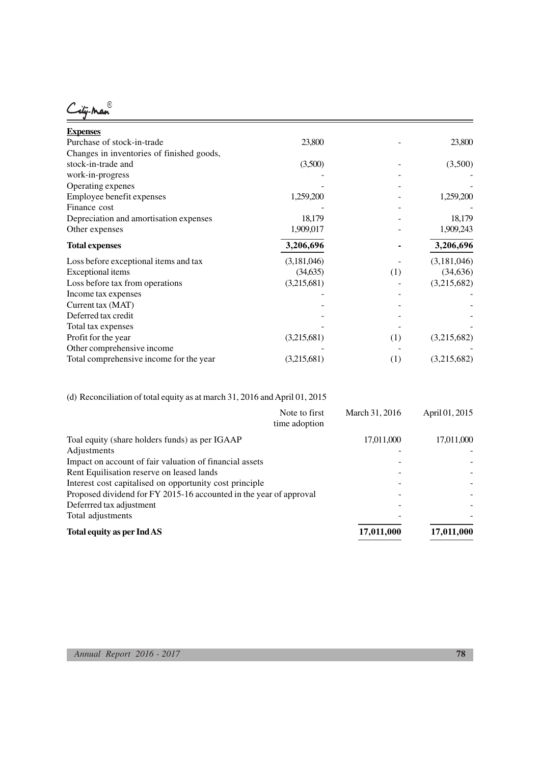City-Man

| <b>Expenses</b>                           |             |     |             |
|-------------------------------------------|-------------|-----|-------------|
| Purchase of stock-in-trade                | 23,800      |     | 23,800      |
| Changes in inventories of finished goods, |             |     |             |
| stock-in-trade and                        | (3,500)     |     | (3,500)     |
| work-in-progress                          |             |     |             |
| Operating expenes                         |             |     |             |
| Employee benefit expenses                 | 1,259,200   |     | 1,259,200   |
| Finance cost                              |             |     |             |
| Depreciation and amortisation expenses    | 18,179      |     | 18,179      |
| Other expenses                            | 1,909,017   |     | 1,909,243   |
| <b>Total expenses</b>                     | 3,206,696   |     | 3,206,696   |
|                                           |             |     |             |
| Loss before exceptional items and tax     | (3,181,046) |     | (3,181,046) |
| Exceptional items                         | (34,635)    | (1) | (34, 636)   |
| Loss before tax from operations           | (3,215,681) |     | (3,215,682) |
| Income tax expenses                       |             |     |             |
| Current tax (MAT)                         |             |     |             |
| Deferred tax credit                       |             |     |             |
| Total tax expenses                        |             |     |             |
| Profit for the year                       | (3,215,681) | (1) | (3,215,682) |
| Other comprehensive income                |             |     |             |

# (d) Reconciliation of total equity as at march 31, 2016 and April 01, 2015

|                                                                    | Note to first<br>time adoption | March 31, 2016 | April 01, 2015 |
|--------------------------------------------------------------------|--------------------------------|----------------|----------------|
| Toal equity (share holders funds) as per IGAAP                     |                                | 17,011,000     | 17,011,000     |
| Adjustments                                                        |                                |                |                |
| Impact on account of fair valuation of financial assets            |                                |                |                |
| Rent Equilisation reserve on leased lands                          |                                |                |                |
| Interest cost capitalised on opportunity cost principle            |                                |                |                |
| Proposed dividend for FY 2015-16 accounted in the year of approval |                                |                |                |
| Deferrred tax adjustment                                           |                                |                |                |
| Total adjustments                                                  |                                |                |                |
| Total equity as per Ind AS                                         |                                | 17,011,000     | 17,011,000     |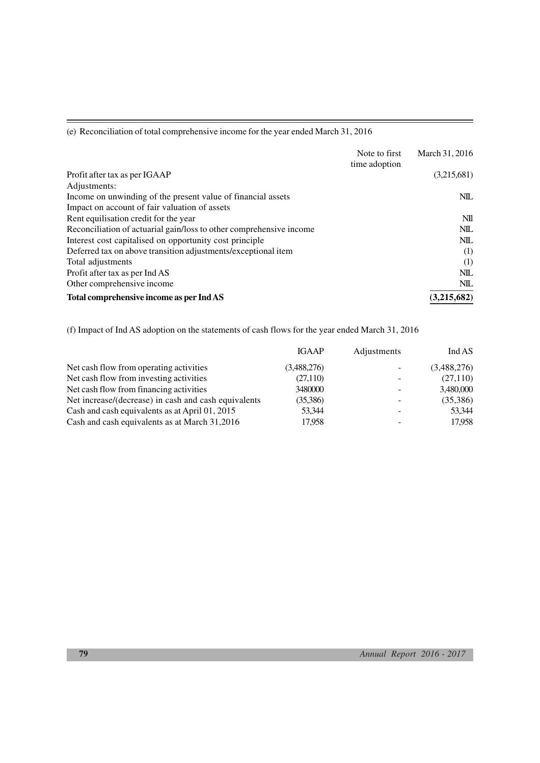|                                                                              | Note to first | March 31, 2016  |
|------------------------------------------------------------------------------|---------------|-----------------|
| Profit after tax as per IGAAP                                                | time adoption | (3,215,681)     |
| Adjustments:<br>Income on unwinding of the present value of financial assets |               | NIL.            |
| Impact on account of fair valuation of assets                                |               |                 |
| Rent equilisation credit for the year                                        |               | N <sub>II</sub> |
| Reconciliation of actuarial gain/loss to other comprehensive income          |               | NIL             |
| Interest cost capitalised on opportunity cost principle.                     |               | NIL             |
| Deferred tax on above transition adjustments/exceptional item                |               | (1)             |
| Total adjustments                                                            |               | (1)             |
| Profit after tax as per Ind AS                                               |               | NIL             |
| Other comprehensive income                                                   |               | NIL             |
| Total comprehensive income as per Ind AS                                     |               | (3,215,682)     |

(f) Impact of Ind AS adoption on the statements of cash flows for the year ended March 31, 2016

(e) Reconciliation of total comprehensive income for the year ended March 31, 2016

|                                                      | <b>IGAAP</b> | Adjustments | Ind AS      |
|------------------------------------------------------|--------------|-------------|-------------|
| Net cash flow from operating activities              | (3,488,276)  |             | (3,488,276) |
| Net cash flow from investing activities              | (27,110)     |             | (27, 110)   |
| Net cash flow from financing activities              | 3480000      |             | 3,480,000   |
| Net increase/(decrease) in cash and cash equivalents | (35,386)     |             | (35,386)    |
| Cash and cash equivalents as at April 01, 2015       | 53.344       |             | 53.344      |
| Cash and cash equivalents as at March 31,2016        | 17.958       |             | 17,958      |

**79** *Annual Report 2016 - 2017*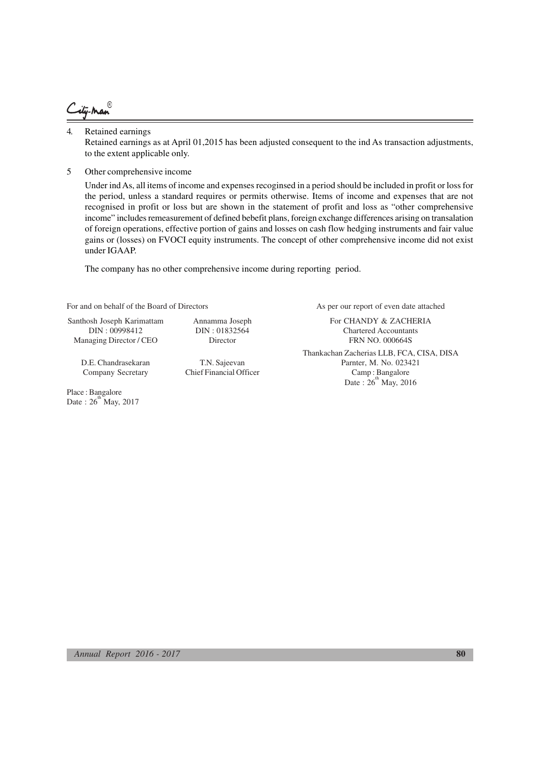.<br>ity-Man®

#### 4. Retained earnings

Retained earnings as at April 01,2015 has been adjusted consequent to the ind As transaction adjustments, to the extent applicable only.

5 Other comprehensive income

Under ind As, all items of income and expenses recoginsed in a period should be included in profit or loss for the period, unless a standard requires or permits otherwise. Items of income and expenses that are not recognised in profit or loss but are shown in the statement of profit and loss as "other comprehensive income" includes remeasurement of defined bebefit plans, foreign exchange differences arising on transalation of foreign operations, effective portion of gains and losses on cash flow hedging instruments and fair value gains or (losses) on FVOCI equity instruments. The concept of other comprehensive income did not exist under IGAAP.

The company has no other comprehensive income during reporting period.

For and on behalf of the Board of Directors As per our report of even date attached

Managing Director / CEO Director **Director** FRN NO. 000664S

Place : Bangalore Date:  $26^{th}$ May, 2017

Santhosh Joseph Karimattam Annamma Joseph For CHANDY & ZACHERIA DIN : 00998412 DIN : 01832564 Chartered Accountants

Thankachan Zacherias LLB, FCA, CISA, DISA D.E. Chandrasekaran T.N. Sajeevan Parnter, M. No. 023421 Company Secretary Chief Financial Officer Camp : Bangalore Date:  $26^{th}$  May, 2016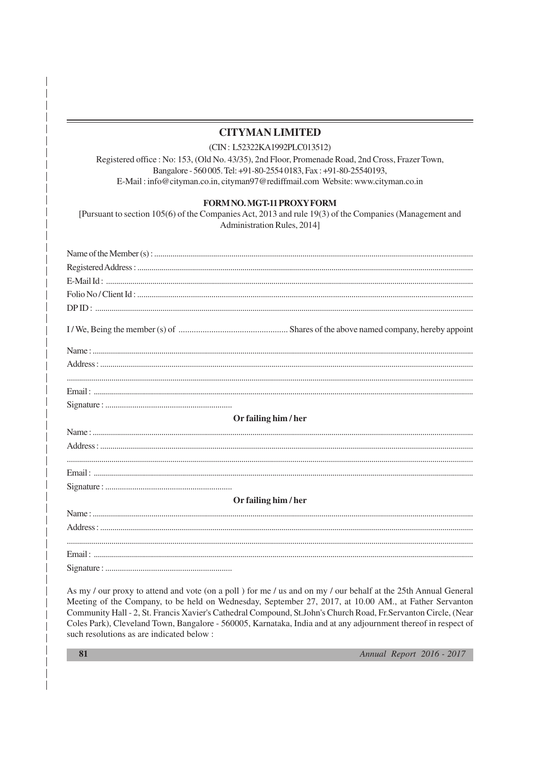## **CITYMAN LIMITED**

(CIN: L52322KA1992PLC013512)

Registered office: No: 153, (Old No. 43/35), 2nd Floor, Promenade Road, 2nd Cross, Frazer Town, Bangalore - 560 005. Tel: +91-80-2554 0183, Fax: +91-80-25540193, E-Mail: info@cityman.co.in, cityman97@rediffmail.com Website: www.cityman.co.in

#### FORM NO. MGT-11 PROXY FORM

[Pursuant to section 105(6) of the Companies Act, 2013 and rule 19(3) of the Companies (Management and Administration Rules, 2014]

| Or failing him / her |  |  |  |  |
|----------------------|--|--|--|--|
|                      |  |  |  |  |
|                      |  |  |  |  |
|                      |  |  |  |  |
|                      |  |  |  |  |
|                      |  |  |  |  |
| Or failing him / her |  |  |  |  |
|                      |  |  |  |  |
|                      |  |  |  |  |
|                      |  |  |  |  |
|                      |  |  |  |  |
|                      |  |  |  |  |

As my / our proxy to attend and vote (on a poll) for me / us and on my / our behalf at the 25th Annual General Meeting of the Company, to be held on Wednesday, September 27, 2017, at 10.00 AM., at Father Servanton Community Hall - 2, St. Francis Xavier's Cathedral Compound, St.John's Church Road, Fr.Servanton Circle, (Near Coles Park), Cleveland Town, Bangalore - 560005, Karnataka, India and at any adjournment thereof in respect of such resolutions as are indicated below:

Annual Report 2016 - 2017

81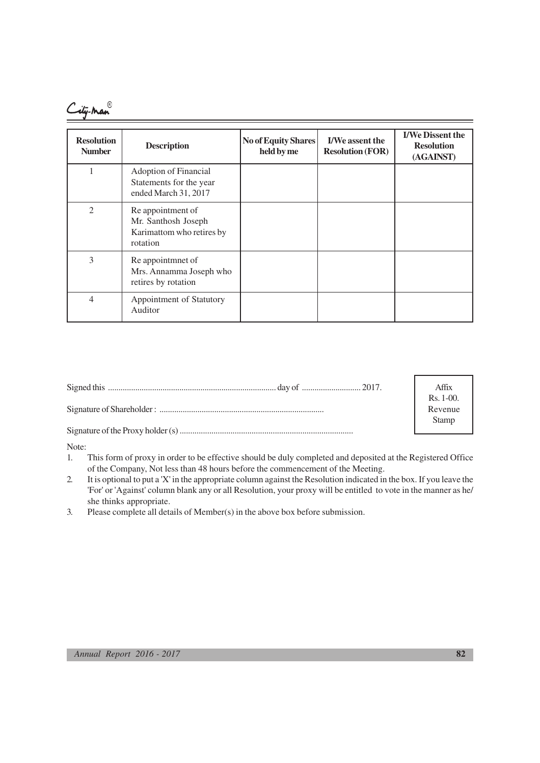City-man

| <b>Resolution</b><br><b>Number</b> | <b>Description</b>                                                                | <b>No of Equity Shares</b><br>held by me | <b>I/We assent the</b><br><b>Resolution (FOR)</b> | <b>I/We Dissent the</b><br><b>Resolution</b><br>(AGAINST) |
|------------------------------------|-----------------------------------------------------------------------------------|------------------------------------------|---------------------------------------------------|-----------------------------------------------------------|
| 1                                  | Adoption of Financial<br>Statements for the year<br>ended March 31, 2017          |                                          |                                                   |                                                           |
| $\mathfrak{2}$                     | Re appointment of<br>Mr. Santhosh Joseph<br>Karimattom who retires by<br>rotation |                                          |                                                   |                                                           |
| 3                                  | Re appointmnet of<br>Mrs. Annamma Joseph who<br>retires by rotation               |                                          |                                                   |                                                           |
| $\overline{4}$                     | Appointment of Statutory<br>Auditor                                               |                                          |                                                   |                                                           |

| Affix                         |
|-------------------------------|
|                               |
| Rs. 1-00.<br>Revenue<br>Stamp |
|                               |
|                               |
|                               |

Note:

- 1. This form of proxy in order to be effective should be duly completed and deposited at the Registered Office of the Company, Not less than 48 hours before the commencement of the Meeting.
- 2. It is optional to put a 'X' in the appropriate column against the Resolution indicated in the box. If you leave the 'For' or 'Against' column blank any or all Resolution, your proxy will be entitled to vote in the manner as he/ she thinks appropriate.

3. Please complete all details of Member(s) in the above box before submission.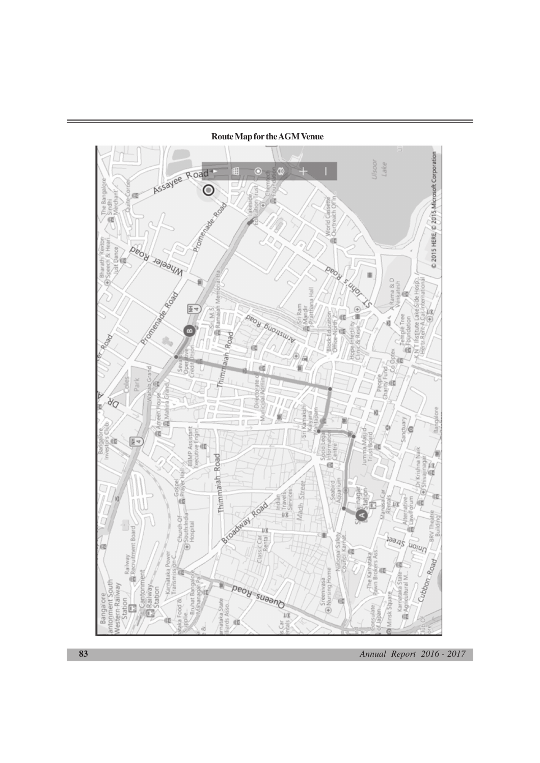**Route Map for the AGM Venue**

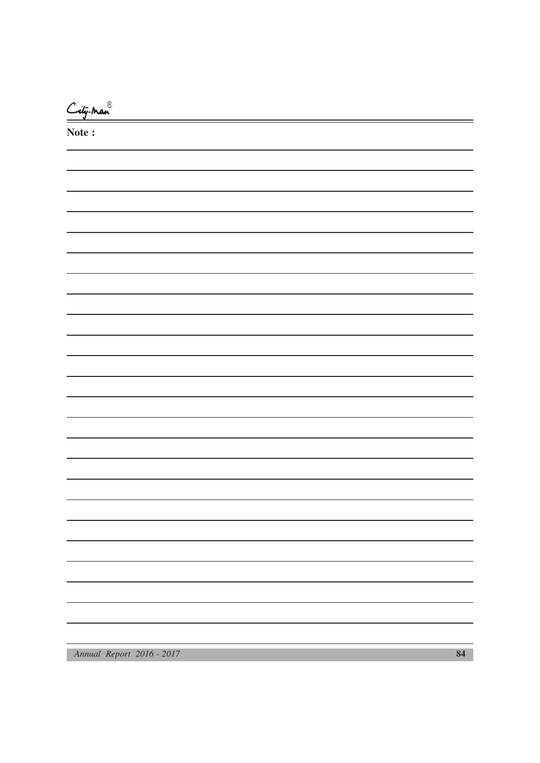City-man<sup>®</sup>

**Note :**

*Annual Report 2016 - 2017* **84**

۰